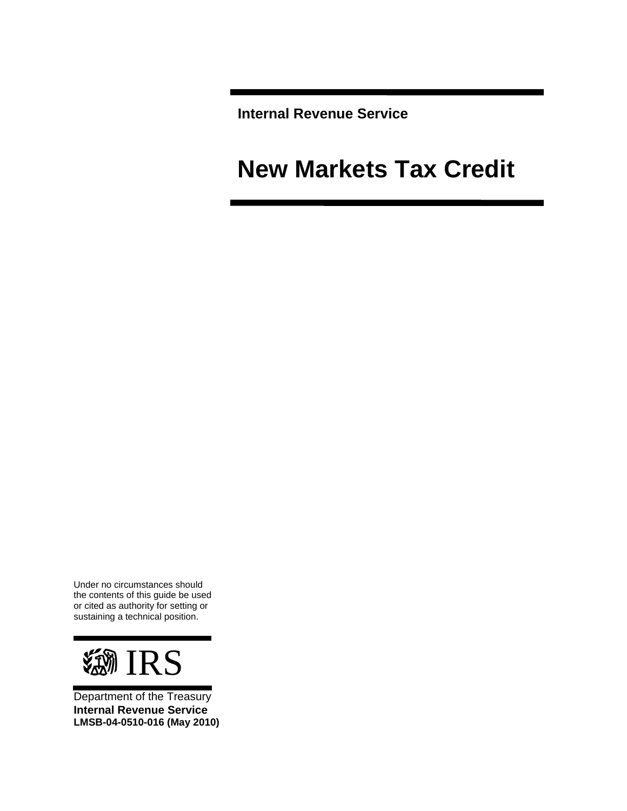**Internal Revenue Service** 

# **New Markets Tax Credit**

Under no circumstances should the contents of this guide be used or cited as authority for setting or sustaining a technical position.



Department of the Treasury **Internal Revenue Service LMSB-04-0510-016 (May 2010)**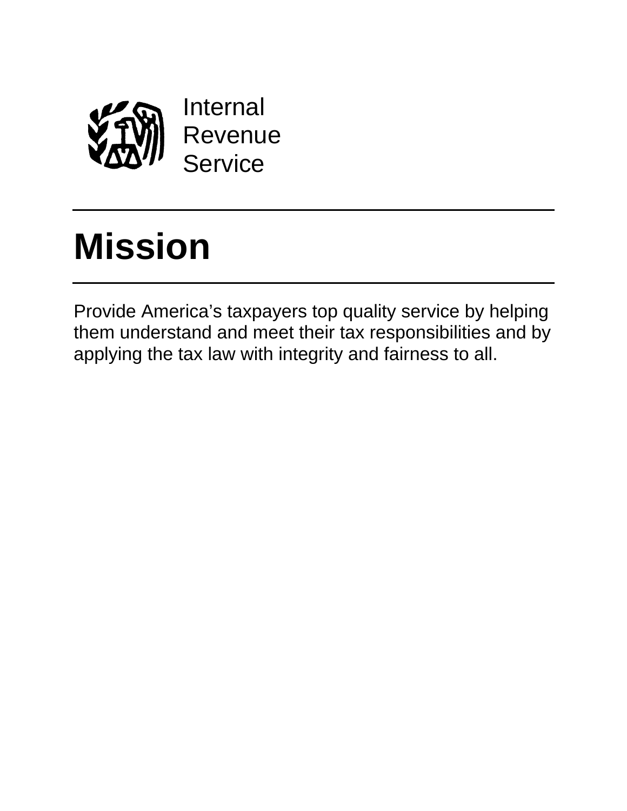

# **Mission**

Provide America's taxpayers top quality service by helping them understand and meet their tax responsibilities and by applying the tax law with integrity and fairness to all.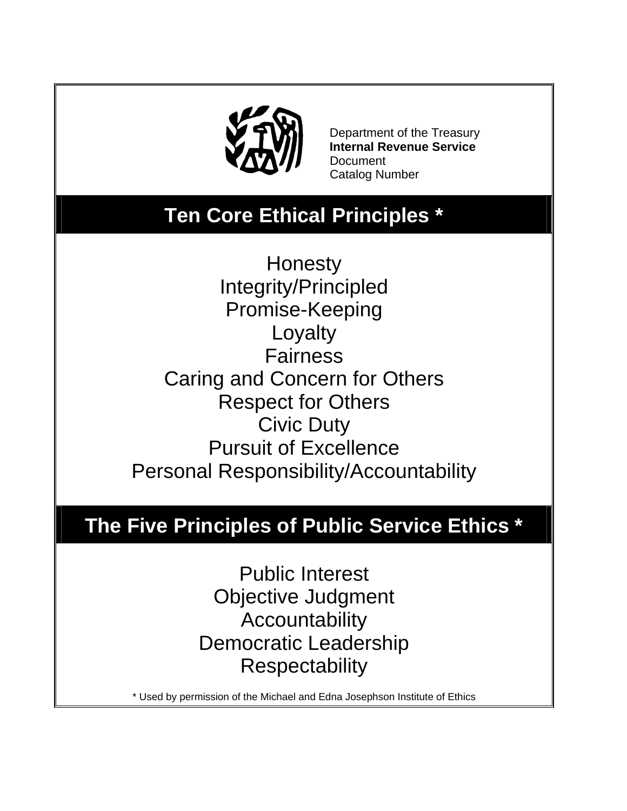

 Department of the Treasury **Internal Revenue Service Document** Catalog Number

# **Ten Core Ethical Principles \***

**Honesty** Integrity/Principled Promise-Keeping Loyalty **Fairness** Caring and Concern for Others Respect for Others Civic Duty Pursuit of Excellence Personal Responsibility/Accountability

# **The Five Principles of Public Service Ethics \***

Public Interest Objective Judgment Accountability Democratic Leadership **Respectability** 

\* Used by permission of the Michael and Edna Josephson Institute of Ethics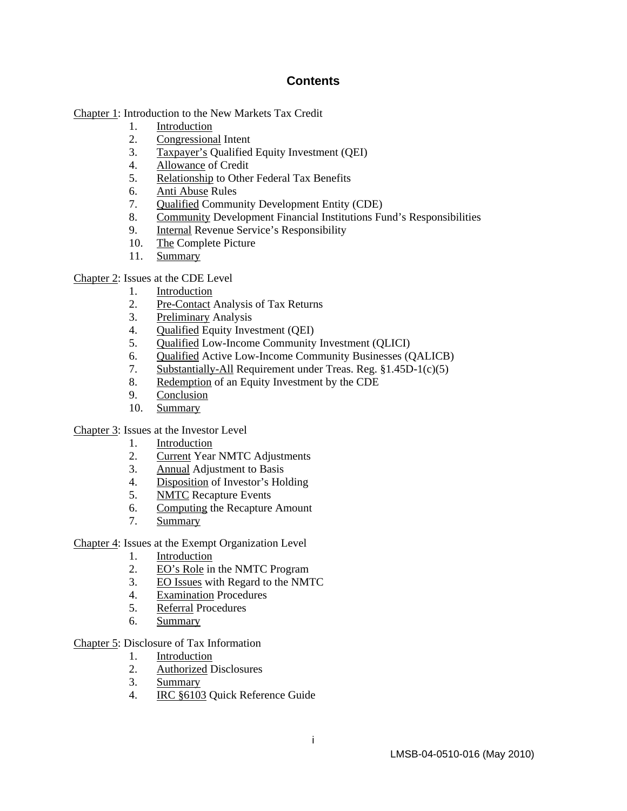#### **Contents**

[Chapter 1:](#page-5-0) Introduction to the New Markets Tax Credit

- 1. [Introduction](#page-5-0)
- 2. [Congressional](#page-5-0) Intent
- 3. [Taxpayer's](#page-6-0) Qualified Equity Investment (QEI)
- 4. [Allowance](#page-7-0) of Credit
- 5. [Relationship](#page-8-0) to Other Federal Tax Benefits
- 6. [Anti Abuse](#page-9-0) Rules
- 7. [Qualified](#page-9-0) Community Development Entity (CDE)
- 8. [Community](#page-10-0) Development Financial Institutions Fund's Responsibilities
- 9. [Internal](#page-10-0) Revenue Service's Responsibility
- 10. [The C](#page-11-0)omplete Picture
- 11. [Summary](#page-11-0)

#### [Chapter 2:](#page-13-0) Issues at the CDE Level

- 1. [Introduction](#page-13-0)
- 2. [Pre-Contact](#page-13-0) Analysis of Tax Returns
- 3. [Preliminary](#page-14-0) Analysis
- 4. [Qualified](#page-16-0) Equity Investment (QEI)
- 5. [Qualified](#page-17-0) Low-Income Community Investment (QLICI)
- 6. [Qualified](#page-24-0) Active Low-Income Community Businesses (QALICB)
- 7. [Substantially-All](#page-30-0) Requirement under Treas. Reg. §1.45D-1(c)(5)
- 8. [Redemption](#page-31-0) of an Equity Investment by the CDE
- 9. [Conclusion](#page-33-0)
- 10. [Summary](#page-33-0)

[Chapter 3:](#page-35-0) Issues at the Investor Level

- 1. [Introduction](#page-35-0)
- 2. [Current](#page-35-0) Year NMTC Adjustments
- 3. [Annual](#page-36-0) Adjustment to Basis
- 4. [Disposition](#page-37-0) of Investor's Holding
- 5. [NMTC](#page-37-0) Recapture Events
- 6. [Computing](#page-38-0) the Recapture Amount
- 7. [Summary](#page-41-0)

[Chapter 4:](#page-42-0) Issues at the Exempt Organization Level

- 1. [Introduction](#page-42-0)
- 2. [EO's Role](#page-42-0) in the NMTC Program
- 3. [EO Issues](#page-43-0) with Regard to the NMTC
- 4. [Examination](#page-43-0) Procedures
- 5. [Referral](#page-45-0) Procedures
- 6. [Summary](#page-45-0)

[Chapter 5:](#page-46-0) Disclosure of Tax Information

- 1. [Introduction](#page-46-0)
- 2. [Authorized](#page-46-0) Disclosures
- 3. [Summary](#page-49-0)
- 4. [IRC §6103](#page-49-0) Quick Reference Guide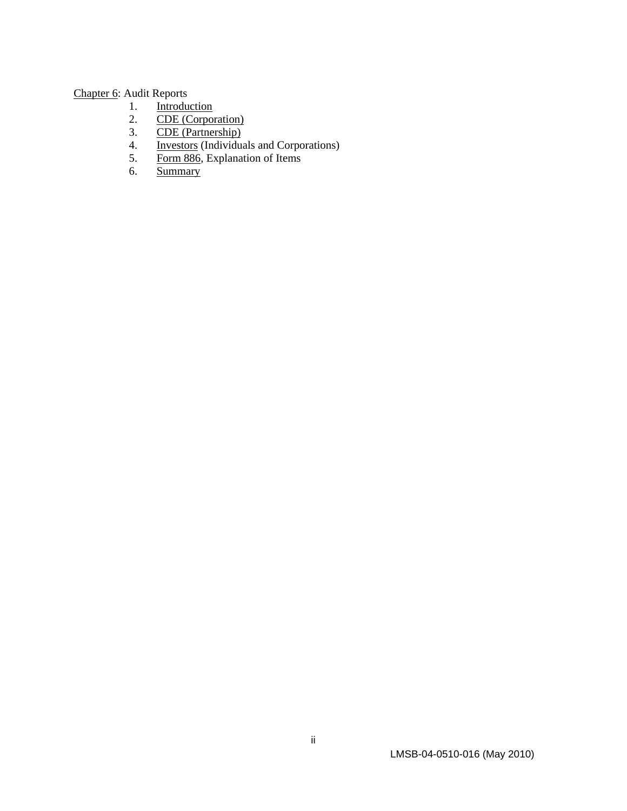# [Chapter 6:](#page-51-0) Audit Reports

- 1. [Introduction](#page-51-0)<br>2. CDE (Corpor
- 2. [CDE \(Corporation\)](#page-51-0)<br>3. CDE (Partnership)
- [CDE \(Partnership\)](#page-52-0)
- 4. **[Investors](#page-53-0)** (Individuals and Corporations)
- 5. [Form 886](#page-54-0), Explanation of Items
- 6. [Summary](#page-55-0)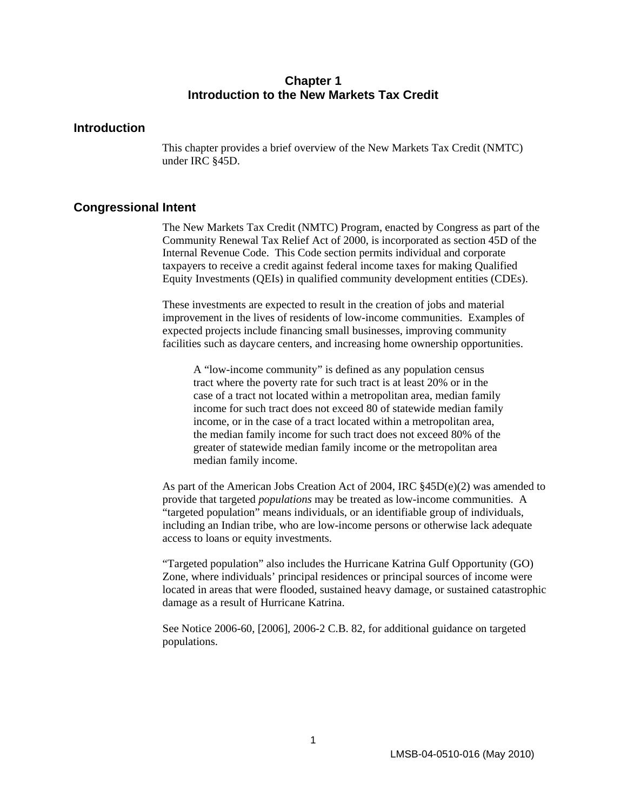#### **Chapter 1 Introduction to the New Markets Tax Credit**

#### <span id="page-5-0"></span>**Introduction**

This chapter provides a brief overview of the New Markets Tax Credit (NMTC) under IRC §45D.

#### **Congressional Intent**

The New Markets Tax Credit (NMTC) Program, enacted by Congress as part of the Community Renewal Tax Relief Act of 2000, is incorporated as section 45D of the Internal Revenue Code. This Code section permits individual and corporate taxpayers to receive a credit against federal income taxes for making Qualified Equity Investments (QEIs) in qualified community development entities (CDEs).

These investments are expected to result in the creation of jobs and material improvement in the lives of residents of low-income communities. Examples of expected projects include financing small businesses, improving community facilities such as daycare centers, and increasing home ownership opportunities.

A "low-income community" is defined as any population census tract where the poverty rate for such tract is at least 20% or in the case of a tract not located within a metropolitan area, median family income for such tract does not exceed 80 of statewide median family income, or in the case of a tract located within a metropolitan area, the median family income for such tract does not exceed 80% of the greater of statewide median family income or the metropolitan area median family income.

As part of the American Jobs Creation Act of 2004, IRC  $\S 45D(e)(2)$  was amended to provide that targeted *populations* may be treated as low-income communities. A "targeted population" means individuals, or an identifiable group of individuals, including an Indian tribe, who are low-income persons or otherwise lack adequate access to loans or equity investments.

"Targeted population" also includes the Hurricane Katrina Gulf Opportunity (GO) Zone, where individuals' principal residences or principal sources of income were located in areas that were flooded, sustained heavy damage, or sustained catastrophic damage as a result of Hurricane Katrina.

See Notice 2006-60, [2006], 2006-2 C.B. 82, for additional guidance on targeted populations.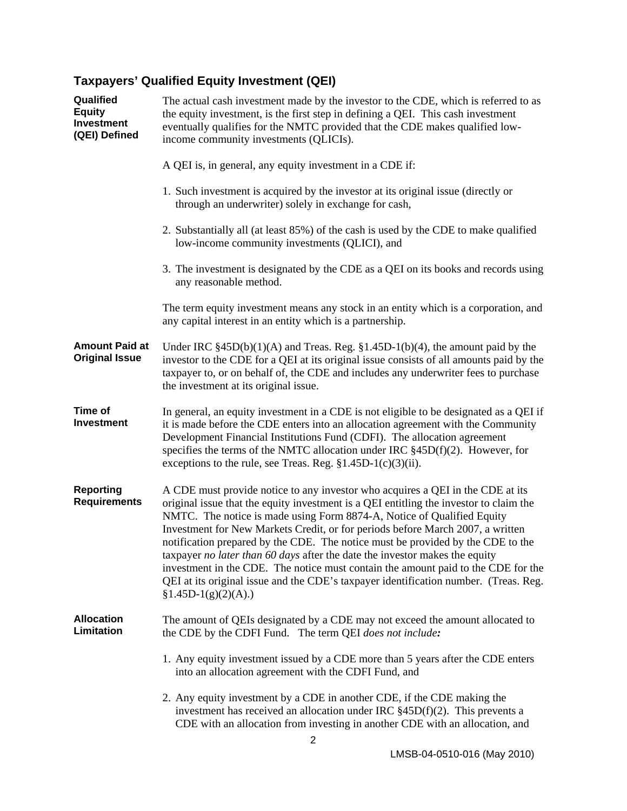# <span id="page-6-0"></span>**Taxpayers' Qualified Equity Investment (QEI)**

| Qualified<br><b>Equity</b><br><b>Investment</b><br>(QEI) Defined | The actual cash investment made by the investor to the CDE, which is referred to as<br>the equity investment, is the first step in defining a QEI. This cash investment<br>eventually qualifies for the NMTC provided that the CDE makes qualified low-<br>income community investments (QLICIs).                                                                                                                                                                                                                                                                                                                                                                                                           |
|------------------------------------------------------------------|-------------------------------------------------------------------------------------------------------------------------------------------------------------------------------------------------------------------------------------------------------------------------------------------------------------------------------------------------------------------------------------------------------------------------------------------------------------------------------------------------------------------------------------------------------------------------------------------------------------------------------------------------------------------------------------------------------------|
|                                                                  | A QEI is, in general, any equity investment in a CDE if:                                                                                                                                                                                                                                                                                                                                                                                                                                                                                                                                                                                                                                                    |
|                                                                  | 1. Such investment is acquired by the investor at its original issue (directly or<br>through an underwriter) solely in exchange for cash,                                                                                                                                                                                                                                                                                                                                                                                                                                                                                                                                                                   |
|                                                                  | 2. Substantially all (at least 85%) of the cash is used by the CDE to make qualified<br>low-income community investments (QLICI), and                                                                                                                                                                                                                                                                                                                                                                                                                                                                                                                                                                       |
|                                                                  | 3. The investment is designated by the CDE as a QEI on its books and records using<br>any reasonable method.                                                                                                                                                                                                                                                                                                                                                                                                                                                                                                                                                                                                |
|                                                                  | The term equity investment means any stock in an entity which is a corporation, and<br>any capital interest in an entity which is a partnership.                                                                                                                                                                                                                                                                                                                                                                                                                                                                                                                                                            |
| <b>Amount Paid at</b><br><b>Original Issue</b>                   | Under IRC $\S 45D(b)(1)(A)$ and Treas. Reg. $\S 1.45D-1(b)(4)$ , the amount paid by the<br>investor to the CDE for a QEI at its original issue consists of all amounts paid by the<br>taxpayer to, or on behalf of, the CDE and includes any underwriter fees to purchase<br>the investment at its original issue.                                                                                                                                                                                                                                                                                                                                                                                          |
| Time of<br><b>Investment</b>                                     | In general, an equity investment in a CDE is not eligible to be designated as a QEI if<br>it is made before the CDE enters into an allocation agreement with the Community<br>Development Financial Institutions Fund (CDFI). The allocation agreement<br>specifies the terms of the NMTC allocation under IRC $\S 45D(f)(2)$ . However, for<br>exceptions to the rule, see Treas. Reg. $$1.45D-1(c)(3)(ii)$ .                                                                                                                                                                                                                                                                                              |
| <b>Reporting</b><br><b>Requirements</b>                          | A CDE must provide notice to any investor who acquires a QEI in the CDE at its<br>original issue that the equity investment is a QEI entitling the investor to claim the<br>NMTC. The notice is made using Form 8874-A, Notice of Qualified Equity<br>Investment for New Markets Credit, or for periods before March 2007, a written<br>notification prepared by the CDE. The notice must be provided by the CDE to the<br>taxpayer no later than 60 days after the date the investor makes the equity<br>investment in the CDE. The notice must contain the amount paid to the CDE for the<br>QEI at its original issue and the CDE's taxpayer identification number. (Treas. Reg.<br>$$1.45D-1(g)(2)(A).$ |
| <b>Allocation</b><br>Limitation                                  | The amount of QEIs designated by a CDE may not exceed the amount allocated to<br>the CDE by the CDFI Fund. The term QEI does not include:                                                                                                                                                                                                                                                                                                                                                                                                                                                                                                                                                                   |
|                                                                  | 1. Any equity investment issued by a CDE more than 5 years after the CDE enters<br>into an allocation agreement with the CDFI Fund, and                                                                                                                                                                                                                                                                                                                                                                                                                                                                                                                                                                     |
|                                                                  | 2. Any equity investment by a CDE in another CDE, if the CDE making the<br>investment has received an allocation under IRC $\S$ 45D(f)(2). This prevents a<br>CDE with an allocation from investing in another CDE with an allocation, and                                                                                                                                                                                                                                                                                                                                                                                                                                                                  |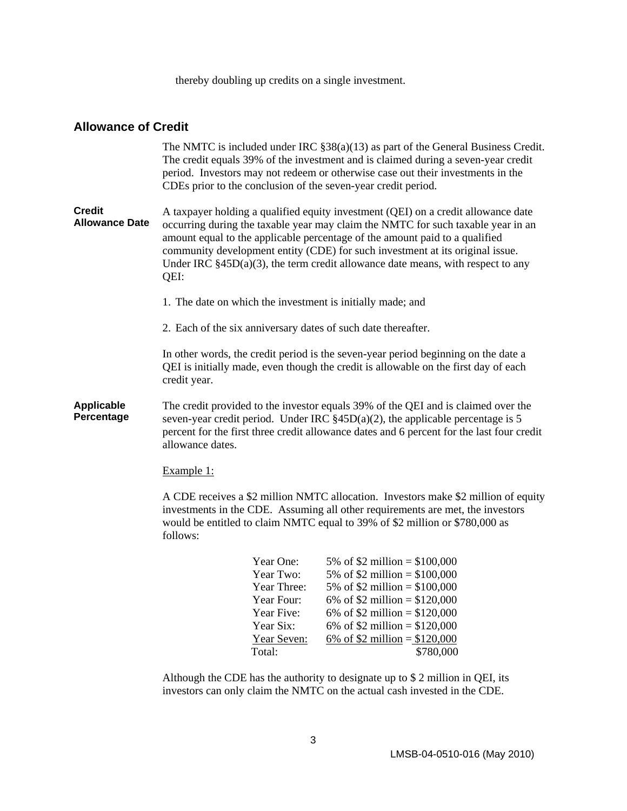thereby doubling up credits on a single investment.

#### <span id="page-7-0"></span>**Allowance of Credit**

|                                        |                  |                           | The NMTC is included under IRC $\S 38(a)(13)$ as part of the General Business Credit.<br>The credit equals 39% of the investment and is claimed during a seven-year credit<br>period. Investors may not redeem or otherwise case out their investments in the<br>CDEs prior to the conclusion of the seven-year credit period.                                                                                              |
|----------------------------------------|------------------|---------------------------|-----------------------------------------------------------------------------------------------------------------------------------------------------------------------------------------------------------------------------------------------------------------------------------------------------------------------------------------------------------------------------------------------------------------------------|
| <b>Credit</b><br><b>Allowance Date</b> | QEI:             |                           | A taxpayer holding a qualified equity investment (QEI) on a credit allowance date<br>occurring during the taxable year may claim the NMTC for such taxable year in an<br>amount equal to the applicable percentage of the amount paid to a qualified<br>community development entity (CDE) for such investment at its original issue.<br>Under IRC $§$ 45D(a)(3), the term credit allowance date means, with respect to any |
|                                        |                  |                           | 1. The date on which the investment is initially made; and                                                                                                                                                                                                                                                                                                                                                                  |
|                                        |                  |                           | 2. Each of the six anniversary dates of such date thereafter.                                                                                                                                                                                                                                                                                                                                                               |
|                                        | credit year.     |                           | In other words, the credit period is the seven-year period beginning on the date a<br>QEI is initially made, even though the credit is allowable on the first day of each                                                                                                                                                                                                                                                   |
| Applicable<br>Percentage               | allowance dates. |                           | The credit provided to the investor equals 39% of the QEI and is claimed over the<br>seven-year credit period. Under IRC $\S 45D(a)(2)$ , the applicable percentage is 5<br>percent for the first three credit allowance dates and 6 percent for the last four credit                                                                                                                                                       |
|                                        | Example 1:       |                           |                                                                                                                                                                                                                                                                                                                                                                                                                             |
|                                        | follows:         |                           | A CDE receives a \$2 million NMTC allocation. Investors make \$2 million of equity<br>investments in the CDE. Assuming all other requirements are met, the investors<br>would be entitled to claim NMTC equal to 39% of \$2 million or \$780,000 as                                                                                                                                                                         |
|                                        |                  | Year One:<br>Year Two:    | 5% of \$2 million = $$100,000$<br>5% of \$2 million = $$100,000$                                                                                                                                                                                                                                                                                                                                                            |
|                                        |                  | Year Three:<br>Year Four: | 5% of \$2 million = $$100,000$<br>6% of \$2 million = $$120,000$                                                                                                                                                                                                                                                                                                                                                            |
|                                        |                  |                           |                                                                                                                                                                                                                                                                                                                                                                                                                             |

Total: \$780,000 Although the CDE has the authority to designate up to \$ 2 million in QEI, its

Year Five:  $6\% \text{ of } $2 \text{ million} = $120,000$ Year Six:  $6\% \text{ of } $2 \text{ million} = $120,000$ Year Seven:  $6\% \text{ of } $2 \text{ million} = $120,000$ 

investors can only claim the NMTC on the actual cash invested in the CDE.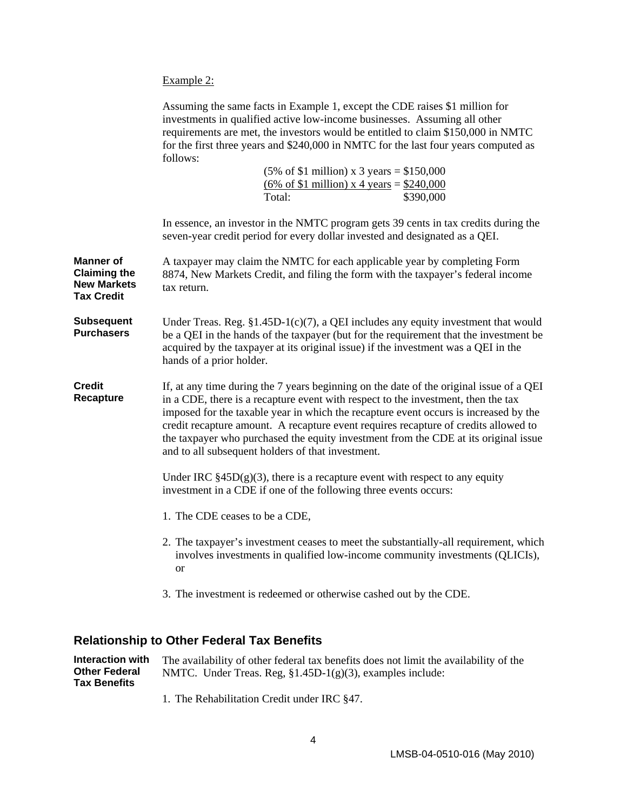<span id="page-8-0"></span>Example 2:

| Assuming the same facts in Example 1, except the CDE raises \$1 million for         |
|-------------------------------------------------------------------------------------|
| investments in qualified active low-income businesses. Assuming all other           |
| requirements are met, the investors would be entitled to claim \$150,000 in NMTC    |
| for the first three years and \$240,000 in NMTC for the last four years computed as |
| follows:                                                                            |

| $(5\% \text{ of } $1 \text{ million}) \times 3 \text{ years} = $150,000$ |           |
|--------------------------------------------------------------------------|-----------|
| $(6\% \text{ of } $1 \text{ million}) \times 4 \text{ years} = $240,000$ |           |
| Total:                                                                   | \$390,000 |

In essence, an investor in the NMTC program gets 39 cents in tax credits during the seven-year credit period for every dollar invested and designated as a QEI.

**Manner of Claiming the New Markets Tax Credit**  A taxpayer may claim the NMTC for each applicable year by completing Form 8874, New Markets Credit, and filing the form with the taxpayer's federal income tax return.

**Subsequent Purchasers**  Under Treas. Reg.  $$1.45D-1(c)(7)$ , a QEI includes any equity investment that would be a QEI in the hands of the taxpayer (but for the requirement that the investment be acquired by the taxpayer at its original issue) if the investment was a QEI in the hands of a prior holder.

**Credit Recapture**  If, at any time during the 7 years beginning on the date of the original issue of a QEI in a CDE, there is a recapture event with respect to the investment, then the tax imposed for the taxable year in which the recapture event occurs is increased by the credit recapture amount. A recapture event requires recapture of credits allowed to the taxpayer who purchased the equity investment from the CDE at its original issue and to all subsequent holders of that investment.

> Under IRC  $\S 45D(g)(3)$ , there is a recapture event with respect to any equity investment in a CDE if one of the following three events occurs:

- 1. The CDE ceases to be a CDE,
- 2. The taxpayer's investment ceases to meet the substantially-all requirement, which involves investments in qualified low-income community investments (QLICIs), or
- 3. The investment is redeemed or otherwise cashed out by the CDE.

#### **Relationship to Other Federal Tax Benefits**

**Interaction with Other Federal Tax Benefits**  The availability of other federal tax benefits does not limit the availability of the NMTC. Under Treas. Reg, §1.45D-1(g)(3), examples include:

1. The Rehabilitation Credit under IRC §47.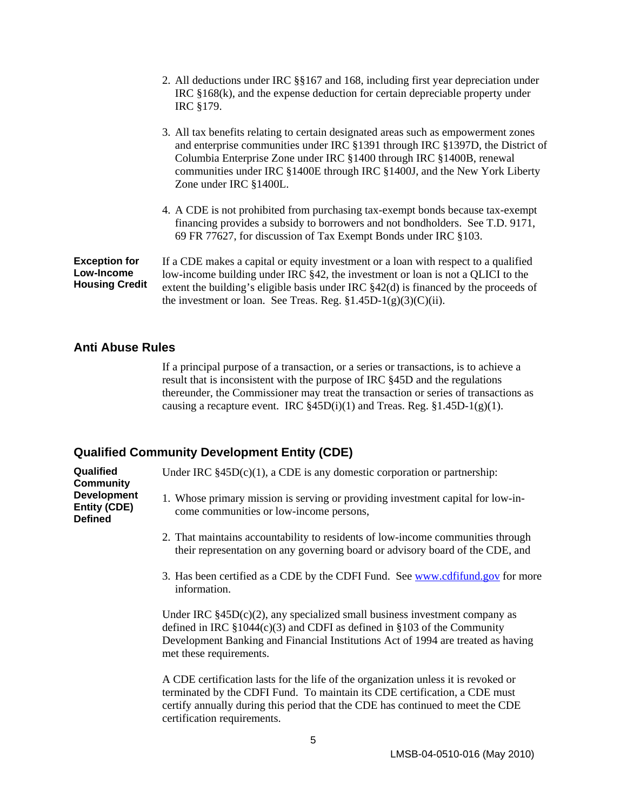<span id="page-9-0"></span>

|                                                                    | 2. All deductions under IRC §§167 and 168, including first year depreciation under<br>IRC $§168(k)$ , and the expense deduction for certain depreciable property under<br>IRC §179.                                                                                                                                                                 |
|--------------------------------------------------------------------|-----------------------------------------------------------------------------------------------------------------------------------------------------------------------------------------------------------------------------------------------------------------------------------------------------------------------------------------------------|
|                                                                    | 3. All tax benefits relating to certain designated areas such as empowerment zones<br>and enterprise communities under IRC §1391 through IRC §1397D, the District of<br>Columbia Enterprise Zone under IRC §1400 through IRC §1400B, renewal<br>communities under IRC §1400E through IRC §1400J, and the New York Liberty<br>Zone under IRC §1400L. |
|                                                                    | 4. A CDE is not prohibited from purchasing tax-exempt bonds because tax-exempt<br>financing provides a subsidy to borrowers and not bondholders. See T.D. 9171,<br>69 FR 77627, for discussion of Tax Exempt Bonds under IRC §103.                                                                                                                  |
| <b>Exception for</b><br><b>Low-Income</b><br><b>Housing Credit</b> | If a CDE makes a capital or equity investment or a loan with respect to a qualified<br>low-income building under IRC §42, the investment or loan is not a QLICI to the<br>extent the building's eligible basis under IRC $\S 42(d)$ is financed by the proceeds of<br>the investment or loan. See Treas. Reg. $$1.45D-1(g)(3)(C)(ii)$ .             |

#### **Anti Abuse Rules**

If a principal purpose of a transaction, or a series or transactions, is to achieve a result that is inconsistent with the purpose of IRC §45D and the regulations thereunder, the Commissioner may treat the transaction or series of transactions as causing a recapture event. IRC  $\S 45D(i)(1)$  and Treas. Reg.  $\S 1.45D-1(g)(1)$ .

#### **Qualified Community Development Entity (CDE)**

**Qualified Community Development Entity (CDE) Defined** 

Under IRC  $§45D(c)(1)$ , a CDE is any domestic corporation or partnership:

- 1. Whose primary mission is serving or providing investment capital for low-income communities or low-income persons,
- 2. That maintains accountability to residents of low-income communities through their representation on any governing board or advisory board of the CDE, and
- 3. Has been certified as a CDE by the CDFI Fund. See www.cdfifund.gov for more information.

Under IRC  $§45D(c)(2)$ , any specialized small business investment company as defined in IRC  $$1044(c)(3)$  and CDFI as defined in  $$103$  of the Community Development Banking and Financial Institutions Act of 1994 are treated as having met these requirements.

A CDE certification lasts for the life of the organization unless it is revoked or terminated by the CDFI Fund. To maintain its CDE certification, a CDE must certify annually during this period that the CDE has continued to meet the CDE certification requirements.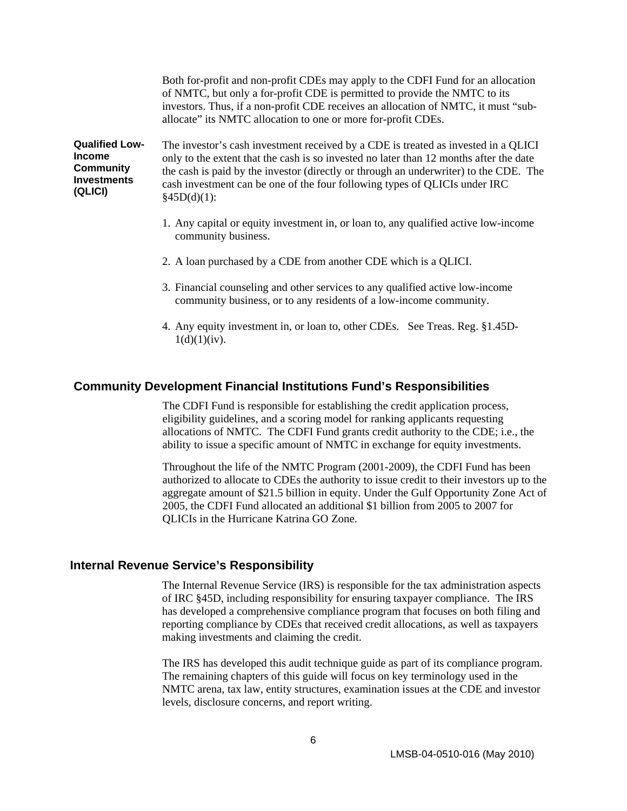Both for-profit and non-profit CDEs may apply to the CDFI Fund for an allocation of NMTC, but only a for-profit CDE is permitted to provide the NMTC to its investors. Thus, if a non-profit CDE receives an allocation of NMTC, it must "suballocate" its NMTC allocation to one or more for-profit CDEs.

<span id="page-10-0"></span>**Qualified Low-Income Community Investments (QLICI)**  The investor's cash investment received by a CDE is treated as invested in a QLICI only to the extent that the cash is so invested no later than 12 months after the date the cash is paid by the investor (directly or through an underwriter) to the CDE. The cash investment can be one of the four following types of QLICIs under IRC  $§45D(d)(1):$ 

- 1. Any capital or equity investment in, or loan to, any qualified active low-income community business.
- 2. A loan purchased by a CDE from another CDE which is a QLICI.
- 3. Financial counseling and other services to any qualified active low-income community business, or to any residents of a low-income community.
- 4. Any equity investment in, or loan to, other CDEs. See Treas. Reg. §1.45D- $1(d)(1)(iv)$ .

#### **Community Development Financial Institutions Fund's Responsibilities**

The CDFI Fund is responsible for establishing the credit application process, eligibility guidelines, and a scoring model for ranking applicants requesting allocations of NMTC. The CDFI Fund grants credit authority to the CDE; i.e., the ability to issue a specific amount of NMTC in exchange for equity investments.

Throughout the life of the NMTC Program (2001-2009), the CDFI Fund has been authorized to allocate to CDEs the authority to issue credit to their investors up to the aggregate amount of \$21.5 billion in equity. Under the Gulf Opportunity Zone Act of 2005, the CDFI Fund allocated an additional \$1 billion from 2005 to 2007 for QLICIs in the Hurricane Katrina GO Zone.

#### **Internal Revenue Service's Responsibility**

The Internal Revenue Service (IRS) is responsible for the tax administration aspects of IRC §45D, including responsibility for ensuring taxpayer compliance. The IRS has developed a comprehensive compliance program that focuses on both filing and reporting compliance by CDEs that received credit allocations, as well as taxpayers making investments and claiming the credit.

The IRS has developed this audit technique guide as part of its compliance program. The remaining chapters of this guide will focus on key terminology used in the NMTC arena, tax law, entity structures, examination issues at the CDE and investor levels, disclosure concerns, and report writing.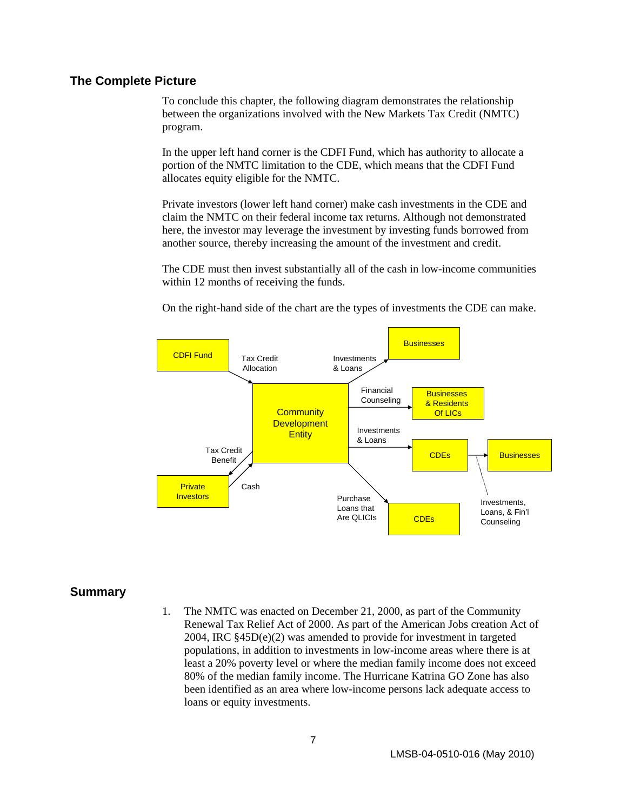#### <span id="page-11-0"></span>**The Complete Picture**

To conclude this chapter, the following diagram demonstrates the relationship between the organizations involved with the New Markets Tax Credit (NMTC) program.

In the upper left hand corner is the CDFI Fund, which has authority to allocate a portion of the NMTC limitation to the CDE, which means that the CDFI Fund allocates equity eligible for the NMTC.

Private investors (lower left hand corner) make cash investments in the CDE and claim the NMTC on their federal income tax returns. Although not demonstrated here, the investor may leverage the investment by investing funds borrowed from another source, thereby increasing the amount of the investment and credit.

The CDE must then invest substantially all of the cash in low-income communities within 12 months of receiving the funds.

On the right-hand side of the chart are the types of investments the CDE can make.



#### **Summary**

1. The NMTC was enacted on December 21, 2000, as part of the Community Renewal Tax Relief Act of 2000. As part of the American Jobs creation Act of 2004, IRC §45D(e)(2) was amended to provide for investment in targeted populations, in addition to investments in low-income areas where there is at least a 20% poverty level or where the median family income does not exceed 80% of the median family income. The Hurricane Katrina GO Zone has also been identified as an area where low-income persons lack adequate access to loans or equity investments.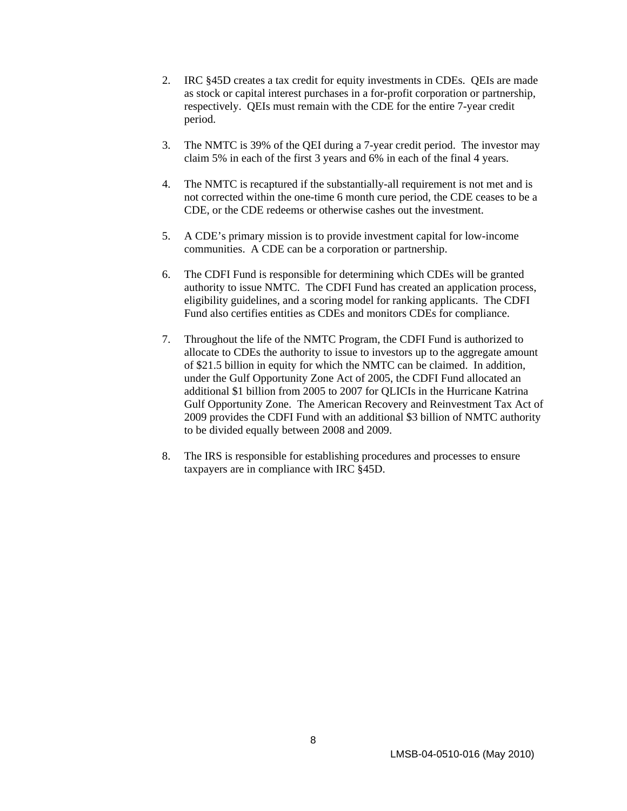- 2. IRC §45D creates a tax credit for equity investments in CDEs. QEIs are made as stock or capital interest purchases in a for-profit corporation or partnership, respectively. QEIs must remain with the CDE for the entire 7-year credit period.
- 3. The NMTC is 39% of the QEI during a 7-year credit period. The investor may claim 5% in each of the first 3 years and 6% in each of the final 4 years.
- 4. The NMTC is recaptured if the substantially-all requirement is not met and is not corrected within the one-time 6 month cure period, the CDE ceases to be a CDE, or the CDE redeems or otherwise cashes out the investment.
- 5. A CDE's primary mission is to provide investment capital for low-income communities. A CDE can be a corporation or partnership.
- 6. The CDFI Fund is responsible for determining which CDEs will be granted authority to issue NMTC. The CDFI Fund has created an application process, eligibility guidelines, and a scoring model for ranking applicants. The CDFI Fund also certifies entities as CDEs and monitors CDEs for compliance.
- 7. Throughout the life of the NMTC Program, the CDFI Fund is authorized to allocate to CDEs the authority to issue to investors up to the aggregate amount of \$21.5 billion in equity for which the NMTC can be claimed. In addition, under the Gulf Opportunity Zone Act of 2005, the CDFI Fund allocated an additional \$1 billion from 2005 to 2007 for QLICIs in the Hurricane Katrina Gulf Opportunity Zone. The American Recovery and Reinvestment Tax Act of 2009 provides the CDFI Fund with an additional \$3 billion of NMTC authority to be divided equally between 2008 and 2009.
- 8. The IRS is responsible for establishing procedures and processes to ensure taxpayers are in compliance with IRC §45D.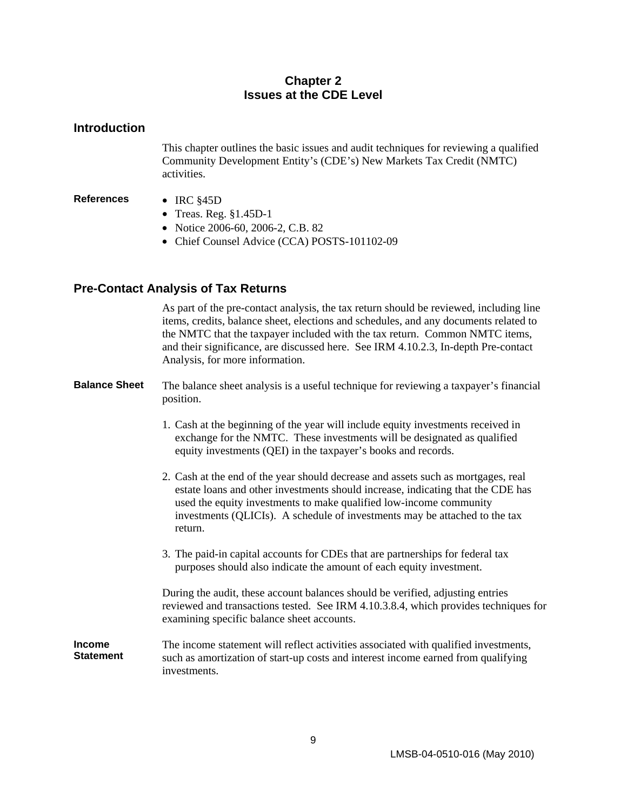#### **Chapter 2 Issues at the CDE Level**

#### <span id="page-13-0"></span>**Introduction**

This chapter outlines the basic issues and audit techniques for reviewing a qualified Community Development Entity's (CDE's) New Markets Tax Credit (NMTC) activities.

#### **References** • IRC §45D

- Treas. Reg. §1.45D-1
- Notice 2006-60, 2006-2, C.B. 82
- Chief Counsel Advice (CCA) POSTS-101102-09

#### **Pre-Contact Analysis of Tax Returns**

As part of the pre-contact analysis, the tax return should be reviewed, including line items, credits, balance sheet, elections and schedules, and any documents related to the NMTC that the taxpayer included with the tax return. Common NMTC items, and their significance, are discussed here. See IRM 4.10.2.3, In-depth Pre-contact Analysis, for more information.

#### **Balance Sheet** The balance sheet analysis is a useful technique for reviewing a taxpayer's financial position.

- 1. Cash at the beginning of the year will include equity investments received in exchange for the NMTC. These investments will be designated as qualified equity investments (QEI) in the taxpayer's books and records.
- 2. Cash at the end of the year should decrease and assets such as mortgages, real estate loans and other investments should increase, indicating that the CDE has used the equity investments to make qualified low-income community investments (QLICIs). A schedule of investments may be attached to the tax return.
- 3. The paid-in capital accounts for CDEs that are partnerships for federal tax purposes should also indicate the amount of each equity investment.

During the audit, these account balances should be verified, adjusting entries reviewed and transactions tested. See IRM 4.10.3.8.4, which provides techniques for examining specific balance sheet accounts.

#### **Income Statement**  The income statement will reflect activities associated with qualified investments, such as amortization of start-up costs and interest income earned from qualifying investments.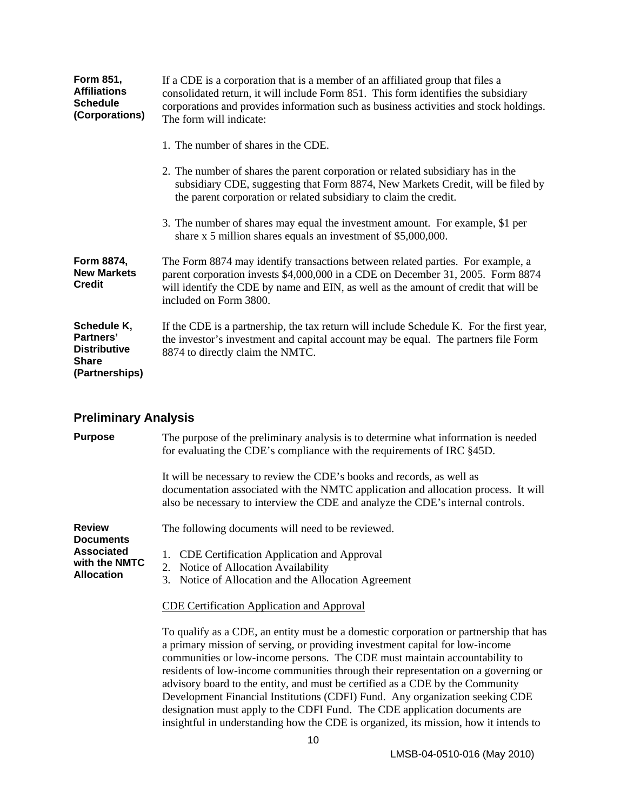<span id="page-14-0"></span>

| <b>Form 851,</b><br><b>Affiliations</b><br><b>Schedule</b><br>(Corporations)      | If a CDE is a corporation that is a member of an affiliated group that files a<br>consolidated return, it will include Form 851. This form identifies the subsidiary<br>corporations and provides information such as business activities and stock holdings.<br>The form will indicate: |
|-----------------------------------------------------------------------------------|------------------------------------------------------------------------------------------------------------------------------------------------------------------------------------------------------------------------------------------------------------------------------------------|
|                                                                                   | 1. The number of shares in the CDE.                                                                                                                                                                                                                                                      |
|                                                                                   | 2. The number of shares the parent corporation or related subsidiary has in the<br>subsidiary CDE, suggesting that Form 8874, New Markets Credit, will be filed by<br>the parent corporation or related subsidiary to claim the credit.                                                  |
|                                                                                   | 3. The number of shares may equal the investment amount. For example, \$1 per<br>share $x$ 5 million shares equals an investment of \$5,000,000.                                                                                                                                         |
| Form 8874,<br><b>New Markets</b><br><b>Credit</b>                                 | The Form 8874 may identify transactions between related parties. For example, a<br>parent corporation invests \$4,000,000 in a CDE on December 31, 2005. Form 8874<br>will identify the CDE by name and EIN, as well as the amount of credit that will be<br>included on Form 3800.      |
| Schedule K,<br>Partners'<br><b>Distributive</b><br><b>Share</b><br>(Partnerships) | If the CDE is a partnership, the tax return will include Schedule K. For the first year,<br>the investor's investment and capital account may be equal. The partners file Form<br>8874 to directly claim the NMTC.                                                                       |

# **Preliminary Analysis**

| <b>Purpose</b>                                          | The purpose of the preliminary analysis is to determine what information is needed<br>for evaluating the CDE's compliance with the requirements of IRC §45D.                                                                                                                                                                                                                                                                                                                                                                                                                                                                                                                     |
|---------------------------------------------------------|----------------------------------------------------------------------------------------------------------------------------------------------------------------------------------------------------------------------------------------------------------------------------------------------------------------------------------------------------------------------------------------------------------------------------------------------------------------------------------------------------------------------------------------------------------------------------------------------------------------------------------------------------------------------------------|
|                                                         | It will be necessary to review the CDE's books and records, as well as<br>documentation associated with the NMTC application and allocation process. It will<br>also be necessary to interview the CDE and analyze the CDE's internal controls.                                                                                                                                                                                                                                                                                                                                                                                                                                  |
| <b>Review</b><br><b>Documents</b>                       | The following documents will need to be reviewed.                                                                                                                                                                                                                                                                                                                                                                                                                                                                                                                                                                                                                                |
| <b>Associated</b><br>with the NMTC<br><b>Allocation</b> | CDE Certification Application and Approval<br>1.<br>2. Notice of Allocation Availability<br>3. Notice of Allocation and the Allocation Agreement                                                                                                                                                                                                                                                                                                                                                                                                                                                                                                                                 |
|                                                         | <b>CDE Certification Application and Approval</b>                                                                                                                                                                                                                                                                                                                                                                                                                                                                                                                                                                                                                                |
|                                                         | To qualify as a CDE, an entity must be a domestic corporation or partnership that has<br>a primary mission of serving, or providing investment capital for low-income<br>communities or low-income persons. The CDE must maintain accountability to<br>residents of low-income communities through their representation on a governing or<br>advisory board to the entity, and must be certified as a CDE by the Community<br>Development Financial Institutions (CDFI) Fund. Any organization seeking CDE<br>designation must apply to the CDFI Fund. The CDE application documents are<br>insightful in understanding how the CDE is organized, its mission, how it intends to |
|                                                         | 10.                                                                                                                                                                                                                                                                                                                                                                                                                                                                                                                                                                                                                                                                              |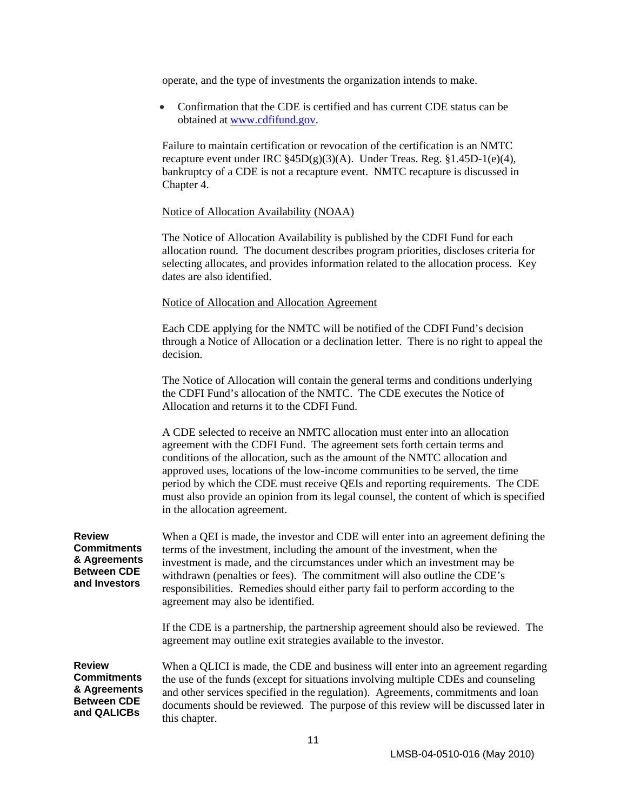operate, and the type of investments the organization intends to make.

• Confirmation that the CDE is certified and has current CDE status can be obtained at www.cdfifund.gov.

Failure to maintain certification or revocation of the certification is an NMTC recapture event under IRC §45D(g)(3)(A). Under Treas. Reg. §1.45D-1(e)(4), bankruptcy of a CDE is not a recapture event. NMTC recapture is discussed in Chapter 4.

#### Notice of Allocation Availability (NOAA)

The Notice of Allocation Availability is published by the CDFI Fund for each allocation round. The document describes program priorities, discloses criteria for selecting allocates, and provides information related to the allocation process. Key dates are also identified.

#### Notice of Allocation and Allocation Agreement

Each CDE applying for the NMTC will be notified of the CDFI Fund's decision through a Notice of Allocation or a declination letter. There is no right to appeal the decision.

The Notice of Allocation will contain the general terms and conditions underlying the CDFI Fund's allocation of the NMTC. The CDE executes the Notice of Allocation and returns it to the CDFI Fund.

A CDE selected to receive an NMTC allocation must enter into an allocation agreement with the CDFI Fund. The agreement sets forth certain terms and conditions of the allocation, such as the amount of the NMTC allocation and approved uses, locations of the low-income communities to be served, the time period by which the CDE must receive QEIs and reporting requirements. The CDE must also provide an opinion from its legal counsel, the content of which is specified in the allocation agreement.

| <b>Review</b><br><b>Commitments</b><br>& Agreements<br><b>Between CDE</b><br>and Investors | When a QEI is made, the investor and CDE will enter into an agreement defining the<br>terms of the investment, including the amount of the investment, when the<br>investment is made, and the circumstances under which an investment may be<br>withdrawn (penalties or fees). The commitment will also outline the CDE's<br>responsibilities. Remedies should either party fail to perform according to the<br>agreement may also be identified.<br>If the CDE is a partnership, the partnership agreement should also be reviewed. The<br>agreement may outline exit strategies available to the investor. |
|--------------------------------------------------------------------------------------------|---------------------------------------------------------------------------------------------------------------------------------------------------------------------------------------------------------------------------------------------------------------------------------------------------------------------------------------------------------------------------------------------------------------------------------------------------------------------------------------------------------------------------------------------------------------------------------------------------------------|
| <b>Review</b>                                                                              | When a QLICI is made, the CDE and business will enter into an agreement regarding                                                                                                                                                                                                                                                                                                                                                                                                                                                                                                                             |
| <b>Commitments</b>                                                                         | the use of the funds (except for situations involving multiple CDEs and counseling                                                                                                                                                                                                                                                                                                                                                                                                                                                                                                                            |
| & Agreements                                                                               | and other services specified in the regulation). Agreements, commitments and loan                                                                                                                                                                                                                                                                                                                                                                                                                                                                                                                             |
| <b>Between CDE</b>                                                                         | documents should be reviewed. The purpose of this review will be discussed later in                                                                                                                                                                                                                                                                                                                                                                                                                                                                                                                           |
| and QALICBs                                                                                | this chapter.                                                                                                                                                                                                                                                                                                                                                                                                                                                                                                                                                                                                 |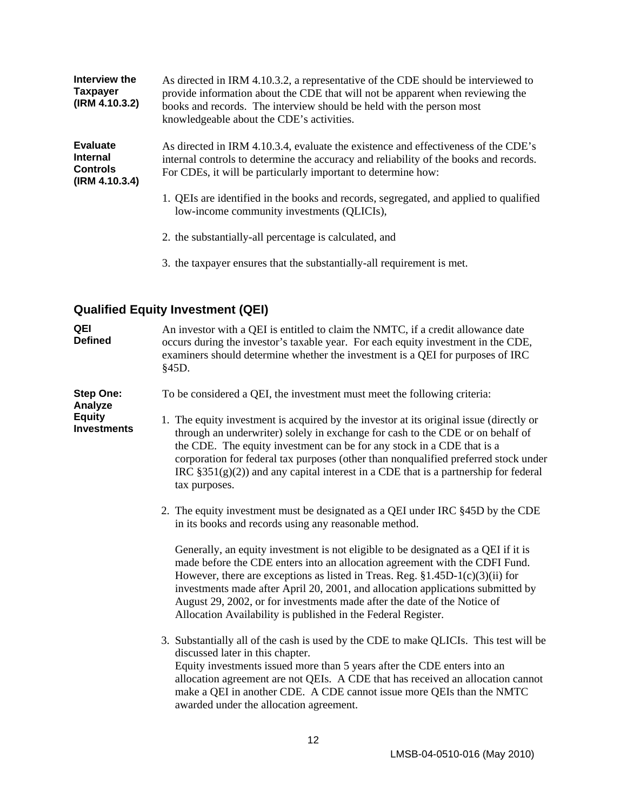<span id="page-16-0"></span>

| Interview the<br><b>Taxpayer</b><br>(IRM 4.10.3.2)                      | As directed in IRM 4.10.3.2, a representative of the CDE should be interviewed to<br>provide information about the CDE that will not be apparent when reviewing the<br>books and records. The interview should be held with the person most<br>knowledgeable about the CDE's activities. |
|-------------------------------------------------------------------------|------------------------------------------------------------------------------------------------------------------------------------------------------------------------------------------------------------------------------------------------------------------------------------------|
| <b>Evaluate</b><br><b>Internal</b><br><b>Controls</b><br>(IRM 4.10.3.4) | As directed in IRM 4.10.3.4, evaluate the existence and effectiveness of the CDE's<br>internal controls to determine the accuracy and reliability of the books and records.<br>For CDEs, it will be particularly important to determine how:                                             |
|                                                                         | 1. QEIs are identified in the books and records, segregated, and applied to qualified<br>low-income community investments (QLICIs),                                                                                                                                                      |
|                                                                         | 2. the substantially-all percentage is calculated, and                                                                                                                                                                                                                                   |

3. the taxpayer ensures that the substantially-all requirement is met.

# **Qualified Equity Investment (QEI)**

| QEI<br><b>Defined</b>               | An investor with a QEI is entitled to claim the NMTC, if a credit allowance date<br>occurs during the investor's taxable year. For each equity investment in the CDE,<br>examiners should determine whether the investment is a QEI for purposes of IRC<br>§45D.                                                                                                                                                                                                                     |
|-------------------------------------|--------------------------------------------------------------------------------------------------------------------------------------------------------------------------------------------------------------------------------------------------------------------------------------------------------------------------------------------------------------------------------------------------------------------------------------------------------------------------------------|
| <b>Step One:</b><br>Analyze         | To be considered a QEI, the investment must meet the following criteria:                                                                                                                                                                                                                                                                                                                                                                                                             |
| <b>Equity</b><br><b>Investments</b> | 1. The equity investment is acquired by the investor at its original issue (directly or<br>through an underwriter) solely in exchange for cash to the CDE or on behalf of<br>the CDE. The equity investment can be for any stock in a CDE that is a<br>corporation for federal tax purposes (other than nonqualified preferred stock under<br>IRC $\S351(g)(2)$ and any capital interest in a CDE that is a partnership for federal<br>tax purposes.                                 |
|                                     | 2. The equity investment must be designated as a QEI under IRC §45D by the CDE<br>in its books and records using any reasonable method.                                                                                                                                                                                                                                                                                                                                              |
|                                     | Generally, an equity investment is not eligible to be designated as a QEI if it is<br>made before the CDE enters into an allocation agreement with the CDFI Fund.<br>However, there are exceptions as listed in Treas. Reg. $§1.45D-1(c)(3)(ii)$ for<br>investments made after April 20, 2001, and allocation applications submitted by<br>August 29, 2002, or for investments made after the date of the Notice of<br>Allocation Availability is published in the Federal Register. |
|                                     | 3. Substantially all of the cash is used by the CDE to make QLICIs. This test will be<br>discussed later in this chapter.<br>Equity investments issued more than 5 years after the CDE enters into an<br>allocation agreement are not QEIs. A CDE that has received an allocation cannot<br>make a QEI in another CDE. A CDE cannot issue more QEIs than the NMTC<br>awarded under the allocation agreement.                                                                         |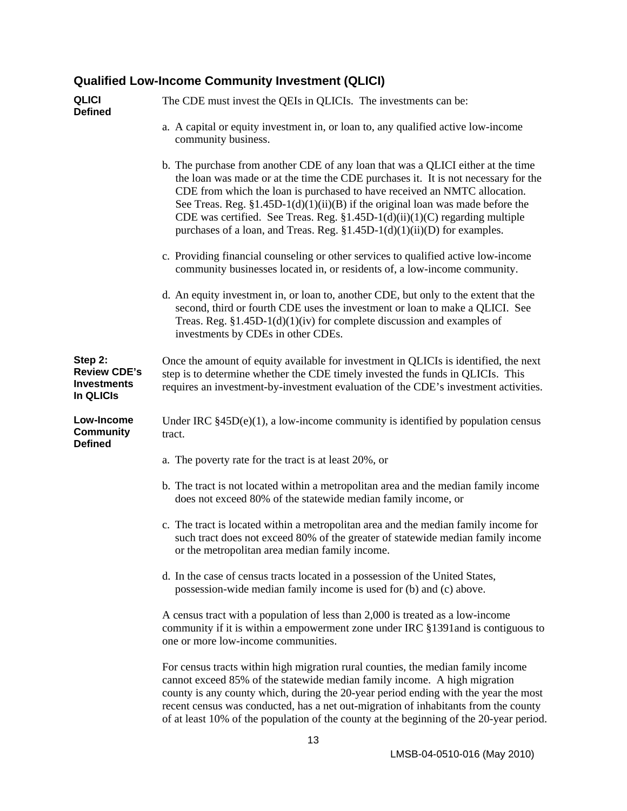# <span id="page-17-0"></span>**Qualified Low-Income Community Investment (QLICI)**

| <b>QLICI</b><br><b>Defined</b>                                    | The CDE must invest the QEIs in QLICIs. The investments can be:                                                                                                                                                                                                                                                                                                                                                                                                                                      |
|-------------------------------------------------------------------|------------------------------------------------------------------------------------------------------------------------------------------------------------------------------------------------------------------------------------------------------------------------------------------------------------------------------------------------------------------------------------------------------------------------------------------------------------------------------------------------------|
|                                                                   | a. A capital or equity investment in, or loan to, any qualified active low-income<br>community business.                                                                                                                                                                                                                                                                                                                                                                                             |
|                                                                   | b. The purchase from another CDE of any loan that was a QLICI either at the time<br>the loan was made or at the time the CDE purchases it. It is not necessary for the<br>CDE from which the loan is purchased to have received an NMTC allocation.<br>See Treas. Reg. $$1.45D-1(d)(1)(ii)(B)$ if the original loan was made before the<br>CDE was certified. See Treas. Reg. $$1.45D-1(d)(ii)(1)(C)$ regarding multiple<br>purchases of a loan, and Treas. Reg. §1.45D-1(d)(1)(ii)(D) for examples. |
|                                                                   | c. Providing financial counseling or other services to qualified active low-income<br>community businesses located in, or residents of, a low-income community.                                                                                                                                                                                                                                                                                                                                      |
|                                                                   | d. An equity investment in, or loan to, another CDE, but only to the extent that the<br>second, third or fourth CDE uses the investment or loan to make a QLICI. See<br>Treas. Reg. $$1.45D-1(d)(1)(iv)$ for complete discussion and examples of<br>investments by CDEs in other CDEs.                                                                                                                                                                                                               |
| Step 2:<br><b>Review CDE's</b><br><b>Investments</b><br>In QLICIs | Once the amount of equity available for investment in QLICIs is identified, the next<br>step is to determine whether the CDE timely invested the funds in QLICIs. This<br>requires an investment-by-investment evaluation of the CDE's investment activities.                                                                                                                                                                                                                                        |
| Low-Income<br><b>Community</b><br><b>Defined</b>                  | Under IRC $§45D(e)(1)$ , a low-income community is identified by population census<br>tract.                                                                                                                                                                                                                                                                                                                                                                                                         |
|                                                                   | a. The poverty rate for the tract is at least 20%, or                                                                                                                                                                                                                                                                                                                                                                                                                                                |
|                                                                   | b. The tract is not located within a metropolitan area and the median family income<br>does not exceed 80% of the statewide median family income, or                                                                                                                                                                                                                                                                                                                                                 |
|                                                                   | c. The tract is located within a metropolitan area and the median family income for<br>such tract does not exceed 80% of the greater of statewide median family income<br>or the metropolitan area median family income.                                                                                                                                                                                                                                                                             |
|                                                                   | d. In the case of census tracts located in a possession of the United States,<br>possession-wide median family income is used for (b) and (c) above.                                                                                                                                                                                                                                                                                                                                                 |
|                                                                   | A census tract with a population of less than 2,000 is treated as a low-income<br>community if it is within a empowerment zone under IRC §1391 and is contiguous to<br>one or more low-income communities.                                                                                                                                                                                                                                                                                           |
|                                                                   | For census tracts within high migration rural counties, the median family income<br>cannot exceed 85% of the statewide median family income. A high migration<br>county is any county which, during the 20-year period ending with the year the most<br>recent census was conducted, has a net out-migration of inhabitants from the county<br>of at least 10% of the population of the county at the beginning of the 20-year period.                                                               |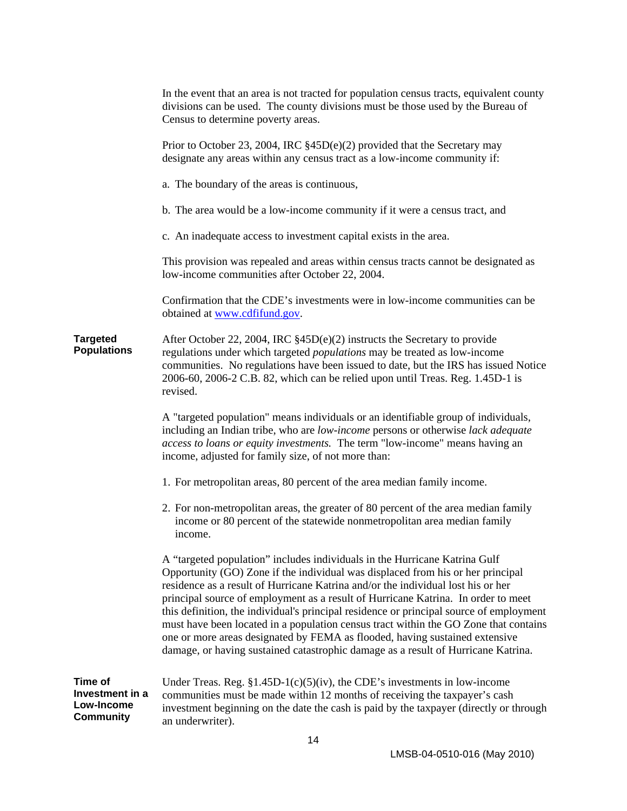|                                                              | In the event that an area is not tracted for population census tracts, equivalent county<br>divisions can be used. The county divisions must be those used by the Bureau of<br>Census to determine poverty areas.                                                                                                                                                                                                                                                                                                                                                                                                                                                                             |
|--------------------------------------------------------------|-----------------------------------------------------------------------------------------------------------------------------------------------------------------------------------------------------------------------------------------------------------------------------------------------------------------------------------------------------------------------------------------------------------------------------------------------------------------------------------------------------------------------------------------------------------------------------------------------------------------------------------------------------------------------------------------------|
|                                                              | Prior to October 23, 2004, IRC $§$ 45D(e)(2) provided that the Secretary may<br>designate any areas within any census tract as a low-income community if:                                                                                                                                                                                                                                                                                                                                                                                                                                                                                                                                     |
|                                                              | a. The boundary of the areas is continuous,                                                                                                                                                                                                                                                                                                                                                                                                                                                                                                                                                                                                                                                   |
|                                                              | b. The area would be a low-income community if it were a census tract, and                                                                                                                                                                                                                                                                                                                                                                                                                                                                                                                                                                                                                    |
|                                                              | c. An inadequate access to investment capital exists in the area.                                                                                                                                                                                                                                                                                                                                                                                                                                                                                                                                                                                                                             |
|                                                              | This provision was repealed and areas within census tracts cannot be designated as<br>low-income communities after October 22, 2004.                                                                                                                                                                                                                                                                                                                                                                                                                                                                                                                                                          |
|                                                              | Confirmation that the CDE's investments were in low-income communities can be<br>obtained at www.cdfifund.gov.                                                                                                                                                                                                                                                                                                                                                                                                                                                                                                                                                                                |
| <b>Targeted</b><br><b>Populations</b>                        | After October 22, 2004, IRC $\S$ 45D(e)(2) instructs the Secretary to provide<br>regulations under which targeted <i>populations</i> may be treated as low-income<br>communities. No regulations have been issued to date, but the IRS has issued Notice<br>2006-60, 2006-2 C.B. 82, which can be relied upon until Treas. Reg. 1.45D-1 is<br>revised.                                                                                                                                                                                                                                                                                                                                        |
|                                                              | A "targeted population" means individuals or an identifiable group of individuals,<br>including an Indian tribe, who are low-income persons or otherwise lack adequate<br>access to loans or equity investments. The term "low-income" means having an<br>income, adjusted for family size, of not more than:                                                                                                                                                                                                                                                                                                                                                                                 |
|                                                              | 1. For metropolitan areas, 80 percent of the area median family income.                                                                                                                                                                                                                                                                                                                                                                                                                                                                                                                                                                                                                       |
|                                                              | 2. For non-metropolitan areas, the greater of 80 percent of the area median family<br>income or 80 percent of the statewide nonmetropolitan area median family<br>income.                                                                                                                                                                                                                                                                                                                                                                                                                                                                                                                     |
|                                                              | A "targeted population" includes individuals in the Hurricane Katrina Gulf<br>Opportunity (GO) Zone if the individual was displaced from his or her principal<br>residence as a result of Hurricane Katrina and/or the individual lost his or her<br>principal source of employment as a result of Hurricane Katrina. In order to meet<br>this definition, the individual's principal residence or principal source of employment<br>must have been located in a population census tract within the GO Zone that contains<br>one or more areas designated by FEMA as flooded, having sustained extensive<br>damage, or having sustained catastrophic damage as a result of Hurricane Katrina. |
| <b>Time of</b><br>Investment in a<br>Low-Income<br>Community | Under Treas. Reg. $$1.45D-1(c)(5)(iv)$ , the CDE's investments in low-income<br>communities must be made within 12 months of receiving the taxpayer's cash<br>investment beginning on the date the cash is paid by the taxpayer (directly or through<br>an underwriter).                                                                                                                                                                                                                                                                                                                                                                                                                      |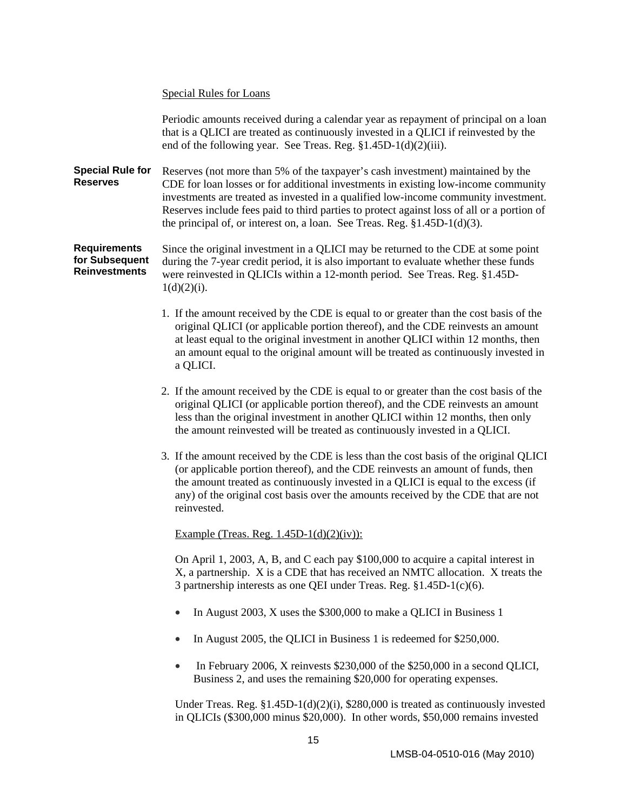#### Special Rules for Loans

Periodic amounts received during a calendar year as repayment of principal on a loan that is a QLICI are treated as continuously invested in a QLICI if reinvested by the end of the following year. See Treas. Reg. §1.45D-1(d)(2)(iii).

**Special Rule for Reserves**  Reserves (not more than 5% of the taxpayer's cash investment) maintained by the CDE for loan losses or for additional investments in existing low-income community investments are treated as invested in a qualified low-income community investment. Reserves include fees paid to third parties to protect against loss of all or a portion of the principal of, or interest on, a loan. See Treas. Reg. §1.45D-1(d)(3).

**Requirements for Subsequent Reinvestments**  Since the original investment in a QLICI may be returned to the CDE at some point during the 7-year credit period, it is also important to evaluate whether these funds were reinvested in QLICIs within a 12-month period. See Treas. Reg. §1.45D- $1(d)(2)(i)$ .

- 1. If the amount received by the CDE is equal to or greater than the cost basis of the original QLICI (or applicable portion thereof), and the CDE reinvests an amount at least equal to the original investment in another QLICI within 12 months, then an amount equal to the original amount will be treated as continuously invested in a QLICI.
- 2. If the amount received by the CDE is equal to or greater than the cost basis of the original QLICI (or applicable portion thereof), and the CDE reinvests an amount less than the original investment in another QLICI within 12 months, then only the amount reinvested will be treated as continuously invested in a QLICI.
- 3. If the amount received by the CDE is less than the cost basis of the original QLICI (or applicable portion thereof), and the CDE reinvests an amount of funds, then the amount treated as continuously invested in a QLICI is equal to the excess (if any) of the original cost basis over the amounts received by the CDE that are not reinvested.

Example (Treas. Reg.  $1.45D-1(d)(2)(iv)$ ):

On April 1, 2003, A, B, and C each pay \$100,000 to acquire a capital interest in X, a partnership. X is a CDE that has received an NMTC allocation. X treats the 3 partnership interests as one QEI under Treas. Reg. §1.45D-1(c)(6).

- In August 2003, X uses the \$300,000 to make a QLICI in Business 1
- In August 2005, the QLICI in Business 1 is redeemed for \$250,000.
- In February 2006, X reinvests \$230,000 of the \$250,000 in a second QLICI, Business 2, and uses the remaining \$20,000 for operating expenses.

Under Treas. Reg.  $\S1.45D-1(d)(2)(i)$ , \$280,000 is treated as continuously invested in QLICIs (\$300,000 minus \$20,000). In other words, \$50,000 remains invested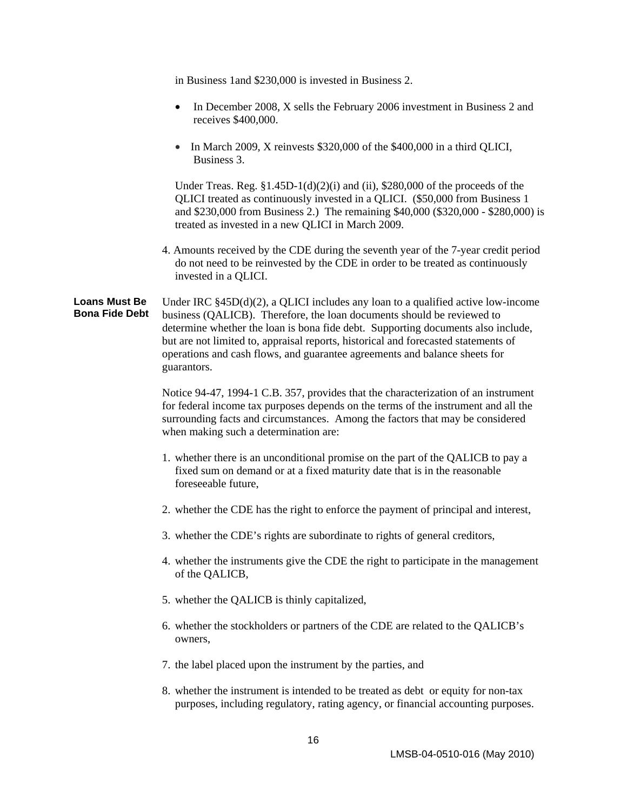in Business 1and \$230,000 is invested in Business 2.

- In December 2008, X sells the February 2006 investment in Business 2 and receives \$400,000.
- In March 2009, X reinvests \$320,000 of the \$400,000 in a third QLICI, Business 3.

Under Treas. Reg.  $$1.45D-1(d)(2)(i)$  and (ii),  $$280,000$  of the proceeds of the QLICI treated as continuously invested in a QLICI. (\$50,000 from Business 1 and \$230,000 from Business 2.) The remaining \$40,000 (\$320,000 - \$280,000) is treated as invested in a new QLICI in March 2009.

4. Amounts received by the CDE during the seventh year of the 7-year credit period do not need to be reinvested by the CDE in order to be treated as continuously invested in a QLICI.

**Loans Must Be Bona Fide Debt**  Under IRC  $\S 45D(d)(2)$ , a OLICI includes any loan to a qualified active low-income business (QALICB). Therefore, the loan documents should be reviewed to determine whether the loan is bona fide debt.Supporting documents also include, but are not limited to, appraisal reports, historical and forecasted statements of operations and cash flows, and guarantee agreements and balance sheets for guarantors.

> Notice 94-47, 1994-1 C.B. 357, provides that the characterization of an instrument for federal income tax purposes depends on the terms of the instrument and all the surrounding facts and circumstances. Among the factors that may be considered when making such a determination are:

- 1. whether there is an unconditional promise on the part of the QALICB to pay a fixed sum on demand or at a fixed maturity date that is in the reasonable foreseeable future,
- 2. whether the CDE has the right to enforce the payment of principal and interest,
- 3. whether the CDE's rights are subordinate to rights of general creditors,
- 4. whether the instruments give the CDE the right to participate in the management of the QALICB,
- 5. whether the QALICB is thinly capitalized,
- 6. whether the stockholders or partners of the CDE are related to the QALICB's owners,
- 7. the label placed upon the instrument by the parties, and
- 8. whether the instrument is intended to be treated as debt or equity for non-tax purposes, including regulatory, rating agency, or financial accounting purposes.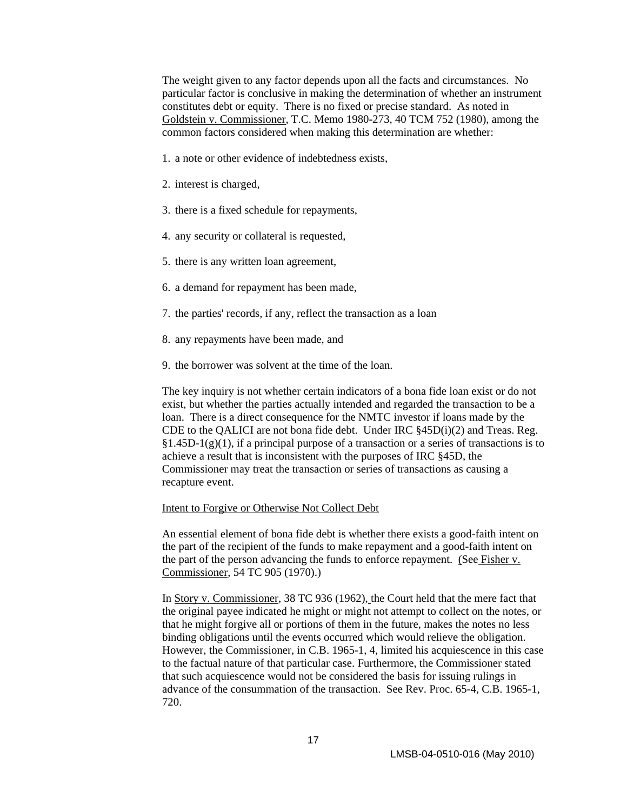The weight given to any factor depends upon all the facts and circumstances. No particular factor is conclusive in making the determination of whether an instrument constitutes debt or equity. There is no fixed or precise standard. As noted in Goldstein v. Commissioner, T.C. Memo 1980-273, 40 TCM 752 (1980), among the common factors considered when making this determination are whether:

- 1. a note or other evidence of indebtedness exists,
- 2. interest is charged,
- 3. there is a fixed schedule for repayments,
- 4. any security or collateral is requested,
- 5. there is any written loan agreement,
- 6. a demand for repayment has been made,
- 7. the parties' records, if any, reflect the transaction as a loan
- 8. any repayments have been made, and
- 9. the borrower was solvent at the time of the loan.

The key inquiry is not whether certain indicators of a bona fide loan exist or do not exist, but whether the parties actually intended and regarded the transaction to be a loan. There is a direct consequence for the NMTC investor if loans made by the CDE to the QALICI are not bona fide debt. Under IRC §45D(i)(2) and Treas. Reg.  $§1.45D-1(g)(1)$ , if a principal purpose of a transaction or a series of transactions is to achieve a result that is inconsistent with the purposes of IRC §45D, the Commissioner may treat the transaction or series of transactions as causing a recapture event.

#### Intent to Forgive or Otherwise Not Collect Debt

An essential element of bona fide debt is whether there exists a good-faith intent on the part of the recipient of the funds to make repayment and a good-faith intent on the part of the person advancing the funds to enforce repayment. (See Fisher v. Commissioner, 54 TC 905 (1970).)

In Story v. Commissioner, 38 TC 936 (1962), the Court held that the mere fact that the original payee indicated he might or might not attempt to collect on the notes, or that he might forgive all or portions of them in the future, makes the notes no less binding obligations until the events occurred which would relieve the obligation. However, the Commissioner, in C.B. 1965-1, 4, limited his acquiescence in this case to the factual nature of that particular case. Furthermore, the Commissioner stated that such acquiescence would not be considered the basis for issuing rulings in advance of the consummation of the transaction. See Rev. Proc. 65-4, C.B. 1965-1, 720.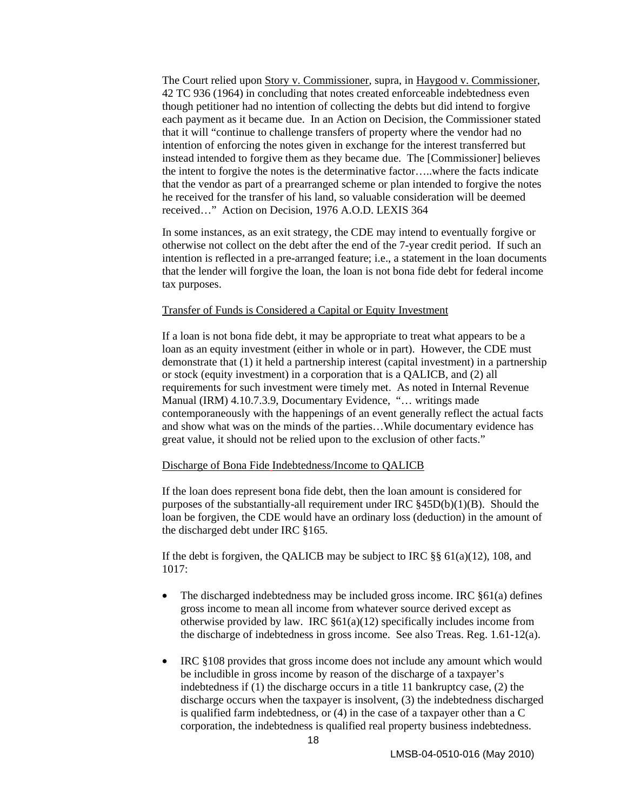The Court relied upon Story v. Commissioner, supra, in Haygood v. Commissioner, 42 TC 936 (1964) in concluding that notes created enforceable indebtedness even though petitioner had no intention of collecting the debts but did intend to forgive each payment as it became due. In an Action on Decision, the Commissioner stated that it will "continue to challenge transfers of property where the vendor had no intention of enforcing the notes given in exchange for the interest transferred but instead intended to forgive them as they became due. The [Commissioner] believes the intent to forgive the notes is the determinative factor…..where the facts indicate that the vendor as part of a prearranged scheme or plan intended to forgive the notes he received for the transfer of his land, so valuable consideration will be deemed received…" Action on Decision, 1976 A.O.D. LEXIS 364

In some instances, as an exit strategy, the CDE may intend to eventually forgive or otherwise not collect on the debt after the end of the 7-year credit period. If such an intention is reflected in a pre-arranged feature; i.e., a statement in the loan documents that the lender will forgive the loan, the loan is not bona fide debt for federal income tax purposes.

#### Transfer of Funds is Considered a Capital or Equity Investment

If a loan is not bona fide debt, it may be appropriate to treat what appears to be a loan as an equity investment (either in whole or in part). However, the CDE must demonstrate that (1) it held a partnership interest (capital investment) in a partnership or stock (equity investment) in a corporation that is a QALICB, and (2) all requirements for such investment were timely met. As noted in Internal Revenue Manual (IRM) 4.10.7.3.9, Documentary Evidence, "… writings made contemporaneously with the happenings of an event generally reflect the actual facts and show what was on the minds of the parties…While documentary evidence has great value, it should not be relied upon to the exclusion of other facts."

#### Discharge of Bona Fide Indebtedness/Income to QALICB

If the loan does represent bona fide debt, then the loan amount is considered for purposes of the substantially-all requirement under IRC §45D(b)(1)(B). Should the loan be forgiven, the CDE would have an ordinary loss (deduction) in the amount of the discharged debt under IRC §165.

If the debt is forgiven, the QALICB may be subject to IRC §§ 61(a)(12), 108, and 1017:

- The discharged indebtedness may be included gross income. IRC  $§61(a)$  defines gross income to mean all income from whatever source derived except as otherwise provided by law. IRC  $§61(a)(12)$  specifically includes income from the discharge of indebtedness in gross income. See also Treas. Reg. 1.61-12(a).
- IRC §108 provides that gross income does not include any amount which would be includible in gross income by reason of the discharge of a taxpayer's indebtedness if (1) the discharge occurs in a title 11 bankruptcy case, (2) the discharge occurs when the taxpayer is insolvent, (3) the indebtedness discharged is qualified farm indebtedness, or (4) in the case of a taxpayer other than a C corporation, the indebtedness is qualified real property business indebtedness.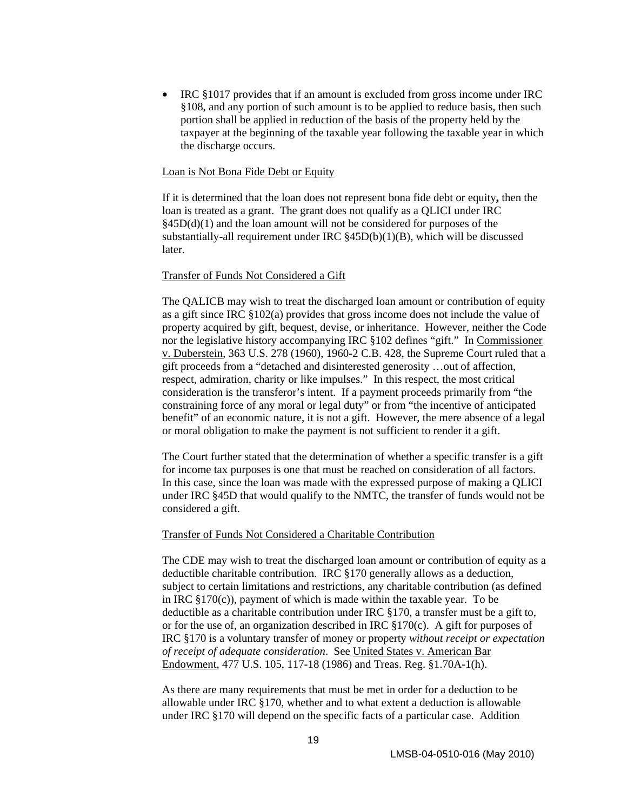• IRC §1017 provides that if an amount is excluded from gross income under IRC §108, and any portion of such amount is to be applied to reduce basis, then such portion shall be applied in reduction of the basis of the property held by the taxpayer at the beginning of the taxable year following the taxable year in which the discharge occurs.

#### Loan is Not Bona Fide Debt or Equity

If it is determined that the loan does not represent bona fide debt or equity**,** then the loan is treated as a grant. The grant does not qualify as a QLICI under IRC  $§45D(d)(1)$  and the loan amount will not be considered for purposes of the substantially-all requirement under IRC §45D(b)(1)(B), which will be discussed later.

#### Transfer of Funds Not Considered a Gift

The QALICB may wish to treat the discharged loan amount or contribution of equity as a gift since IRC §102(a) provides that gross income does not include the value of property acquired by gift, bequest, devise, or inheritance. However, neither the Code nor the legislative history accompanying IRC §102 defines "gift." In Commissioner v. Duberstein, 363 U.S. 278 (1960), 1960-2 C.B. 428, the Supreme Court ruled that a gift proceeds from a "detached and disinterested generosity …out of affection, respect, admiration, charity or like impulses." In this respect, the most critical consideration is the transferor's intent. If a payment proceeds primarily from "the constraining force of any moral or legal duty" or from "the incentive of anticipated benefit" of an economic nature, it is not a gift. However, the mere absence of a legal or moral obligation to make the payment is not sufficient to render it a gift.

The Court further stated that the determination of whether a specific transfer is a gift for income tax purposes is one that must be reached on consideration of all factors. In this case, since the loan was made with the expressed purpose of making a QLICI under IRC §45D that would qualify to the NMTC, the transfer of funds would not be considered a gift.

#### Transfer of Funds Not Considered a Charitable Contribution

The CDE may wish to treat the discharged loan amount or contribution of equity as a deductible charitable contribution. IRC §170 generally allows as a deduction, subject to certain limitations and restrictions, any charitable contribution (as defined in IRC  $\S 170(c)$ , payment of which is made within the taxable year. To be deductible as a charitable contribution under IRC §170, a transfer must be a gift to, or for the use of, an organization described in IRC §170(c). A gift for purposes of IRC §170 is a voluntary transfer of money or property *without receipt or expectation of receipt of adequate consideration*. See United States v. American Bar Endowment, 477 U.S. 105, 117-18 (1986) and Treas. Reg. §1.70A-1(h).

As there are many requirements that must be met in order for a deduction to be allowable under IRC §170, whether and to what extent a deduction is allowable under IRC §170 will depend on the specific facts of a particular case. Addition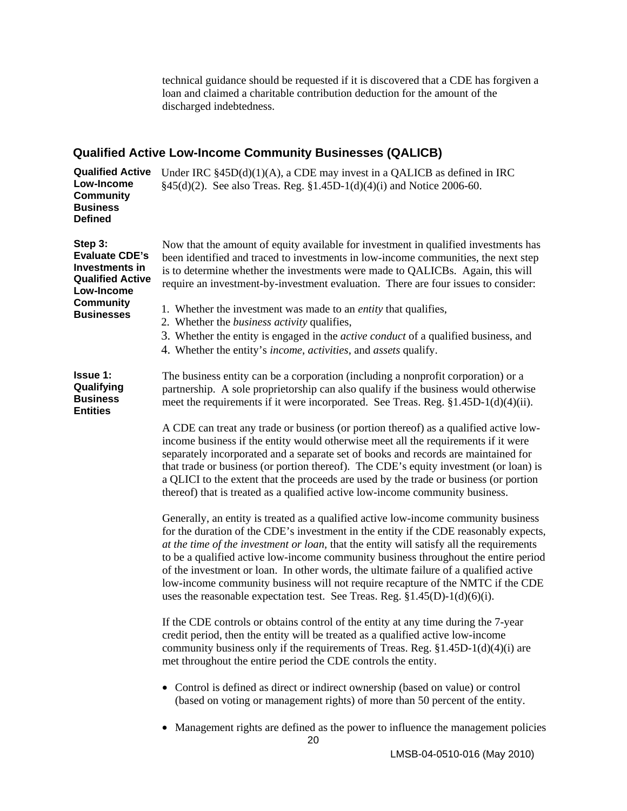technical guidance should be requested if it is discovered that a CDE has forgiven a loan and claimed a charitable contribution deduction for the amount of the discharged indebtedness.

## <span id="page-24-0"></span>**Qualified Active Low-Income Community Businesses (QALICB)**

| <b>Qualified Active</b><br>Low-Income<br><b>Community</b><br><b>Business</b><br><b>Defined</b>                                              | Under IRC $\S$ 45D(d)(1)(A), a CDE may invest in a QALICB as defined in IRC<br>§45(d)(2). See also Treas. Reg. §1.45D-1(d)(4)(i) and Notice 2006-60.                                                                                                                                                                                                                                                                                                                                                                                                                                                                          |
|---------------------------------------------------------------------------------------------------------------------------------------------|-------------------------------------------------------------------------------------------------------------------------------------------------------------------------------------------------------------------------------------------------------------------------------------------------------------------------------------------------------------------------------------------------------------------------------------------------------------------------------------------------------------------------------------------------------------------------------------------------------------------------------|
| Step 3:<br><b>Evaluate CDE's</b><br><b>Investments in</b><br><b>Qualified Active</b><br>Low-Income<br><b>Community</b><br><b>Businesses</b> | Now that the amount of equity available for investment in qualified investments has<br>been identified and traced to investments in low-income communities, the next step<br>is to determine whether the investments were made to QALICBs. Again, this will<br>require an investment-by-investment evaluation. There are four issues to consider:                                                                                                                                                                                                                                                                             |
|                                                                                                                                             | 1. Whether the investment was made to an <i>entity</i> that qualifies,<br>2. Whether the <i>business activity</i> qualifies,<br>3. Whether the entity is engaged in the <i>active conduct</i> of a qualified business, and<br>4. Whether the entity's <i>income</i> , <i>activities</i> , and <i>assets</i> qualify.                                                                                                                                                                                                                                                                                                          |
| <b>Issue 1:</b><br>Qualifying<br><b>Business</b><br><b>Entities</b>                                                                         | The business entity can be a corporation (including a nonprofit corporation) or a<br>partnership. A sole proprietorship can also qualify if the business would otherwise<br>meet the requirements if it were incorporated. See Treas. Reg. §1.45D-1(d)(4)(ii).                                                                                                                                                                                                                                                                                                                                                                |
|                                                                                                                                             | A CDE can treat any trade or business (or portion thereof) as a qualified active low-<br>income business if the entity would otherwise meet all the requirements if it were<br>separately incorporated and a separate set of books and records are maintained for<br>that trade or business (or portion thereof). The CDE's equity investment (or loan) is<br>a QLICI to the extent that the proceeds are used by the trade or business (or portion<br>thereof) that is treated as a qualified active low-income community business.                                                                                          |
|                                                                                                                                             | Generally, an entity is treated as a qualified active low-income community business<br>for the duration of the CDE's investment in the entity if the CDE reasonably expects,<br>at the time of the investment or loan, that the entity will satisfy all the requirements<br>to be a qualified active low-income community business throughout the entire period<br>of the investment or loan. In other words, the ultimate failure of a qualified active<br>low-income community business will not require recapture of the NMTC if the CDE<br>uses the reasonable expectation test. See Treas. Reg. $\S1.45(D)-1(d)(6)(i)$ . |
|                                                                                                                                             | If the CDE controls or obtains control of the entity at any time during the 7-year<br>credit period, then the entity will be treated as a qualified active low-income<br>community business only if the requirements of Treas. Reg. $$1.45D-1(d)(4)(i)$ are<br>met throughout the entire period the CDE controls the entity.                                                                                                                                                                                                                                                                                                  |
|                                                                                                                                             | • Control is defined as direct or indirect ownership (based on value) or control<br>(based on voting or management rights) of more than 50 percent of the entity.                                                                                                                                                                                                                                                                                                                                                                                                                                                             |
|                                                                                                                                             | Management rights are defined as the power to influence the management policies                                                                                                                                                                                                                                                                                                                                                                                                                                                                                                                                               |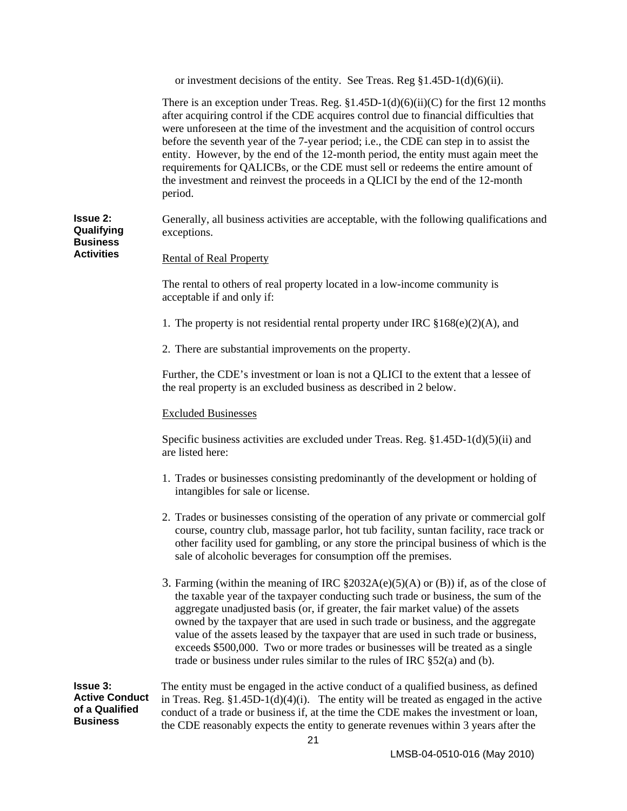or investment decisions of the entity. See Treas. Reg §1.45D-1(d)(6)(ii).

There is an exception under Treas. Reg.  $\S1.45D-1(d)(6)(ii)(C)$  for the first 12 months after acquiring control if the CDE acquires control due to financial difficulties that were unforeseen at the time of the investment and the acquisition of control occurs before the seventh year of the 7-year period; i.e., the CDE can step in to assist the entity. However, by the end of the 12-month period, the entity must again meet the requirements for QALICBs, or the CDE must sell or redeems the entire amount of the investment and reinvest the proceeds in a QLICI by the end of the 12-month period.

**Issue 2: Qualifying Business**  Generally, all business activities are acceptable, with the following qualifications and exceptions.

**Activities**

Rental of Real Property

The rental to others of real property located in a low-income community is acceptable if and only if:

1. The property is not residential rental property under IRC  $$168(e)(2)(A)$ , and

2. There are substantial improvements on the property.

Further, the CDE's investment or loan is not a QLICI to the extent that a lessee of the real property is an excluded business as described in 2 below.

#### Excluded Businesses

Specific business activities are excluded under Treas. Reg. §1.45D-1(d)(5)(ii) and are listed here:

- 1. Trades or businesses consisting predominantly of the development or holding of intangibles for sale or license.
- 2. Trades or businesses consisting of the operation of any private or commercial golf course, country club, massage parlor, hot tub facility, suntan facility, race track or other facility used for gambling, or any store the principal business of which is the sale of alcoholic beverages for consumption off the premises.
- 3. Farming (within the meaning of IRC  $\S2032A(e)(5)(A)$  or (B)) if, as of the close of the taxable year of the taxpayer conducting such trade or business, the sum of the aggregate unadjusted basis (or, if greater, the fair market value) of the assets owned by the taxpayer that are used in such trade or business, and the aggregate value of the assets leased by the taxpayer that are used in such trade or business, exceeds \$500,000. Two or more trades or businesses will be treated as a single trade or business under rules similar to the rules of IRC §52(a) and (b).

**Issue 3: Active Conduct of a Qualified Business**  The entity must be engaged in the active conduct of a qualified business, as defined in Treas. Reg.  $$1.45D-1(d)(4)(i)$ . The entity will be treated as engaged in the active conduct of a trade or business if, at the time the CDE makes the investment or loan, the CDE reasonably expects the entity to generate revenues within 3 years after the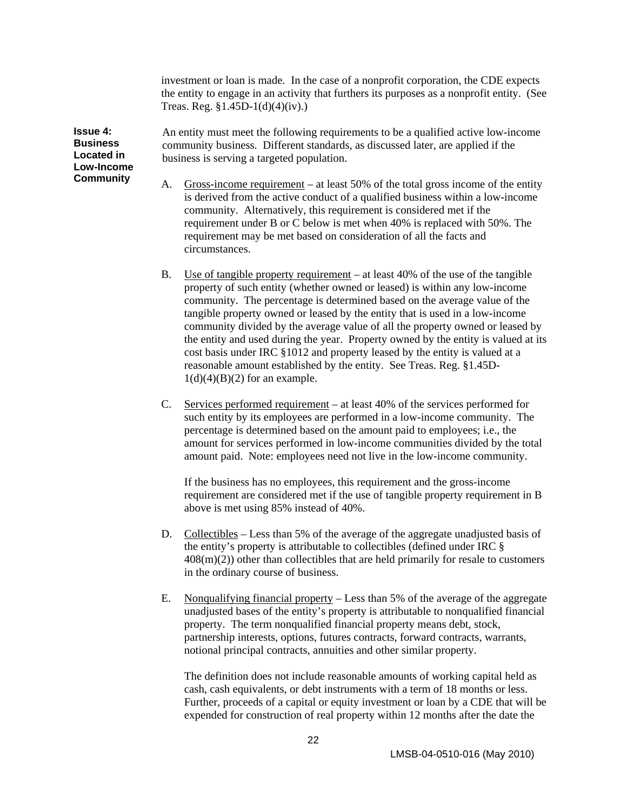investment or loan is made. In the case of a nonprofit corporation, the CDE expects the entity to engage in an activity that furthers its purposes as a nonprofit entity. (See Treas. Reg. §1.45D-1(d)(4)(iv).)

**Issue 4: Business Located in Low-Income Community** 

An entity must meet the following requirements to be a qualified active low-income community business. Different standards, as discussed later, are applied if the business is serving a targeted population.

- A. Gross-income requirement at least 50% of the total gross income of the entity is derived from the active conduct of a qualified business within a low-income community. Alternatively, this requirement is considered met if the requirement under B or C below is met when 40% is replaced with 50%. The requirement may be met based on consideration of all the facts and circumstances.
- B. Use of tangible property requirement at least 40% of the use of the tangible property of such entity (whether owned or leased) is within any low-income community. The percentage is determined based on the average value of the tangible property owned or leased by the entity that is used in a low-income community divided by the average value of all the property owned or leased by the entity and used during the year. Property owned by the entity is valued at its cost basis under IRC §1012 and property leased by the entity is valued at a reasonable amount established by the entity. See Treas. Reg. §1.45D- $1(d)(4)(B)(2)$  for an example.
- C. Services performed requirement at least 40% of the services performed for such entity by its employees are performed in a low-income community. The percentage is determined based on the amount paid to employees; i.e., the amount for services performed in low-income communities divided by the total amount paid. Note: employees need not live in the low-income community.

If the business has no employees, this requirement and the gross-income requirement are considered met if the use of tangible property requirement in B above is met using 85% instead of 40%.

- D. Collectibles Less than 5% of the average of the aggregate unadjusted basis of the entity's property is attributable to collectibles (defined under IRC §  $408(m)(2)$ ) other than collectibles that are held primarily for resale to customers in the ordinary course of business.
- E. Nonqualifying financial property Less than 5% of the average of the aggregate unadjusted bases of the entity's property is attributable to nonqualified financial property. The term nonqualified financial property means debt, stock, partnership interests, options, futures contracts, forward contracts, warrants, notional principal contracts, annuities and other similar property.

The definition does not include reasonable amounts of working capital held as cash, cash equivalents, or debt instruments with a term of 18 months or less. Further, proceeds of a capital or equity investment or loan by a CDE that will be expended for construction of real property within 12 months after the date the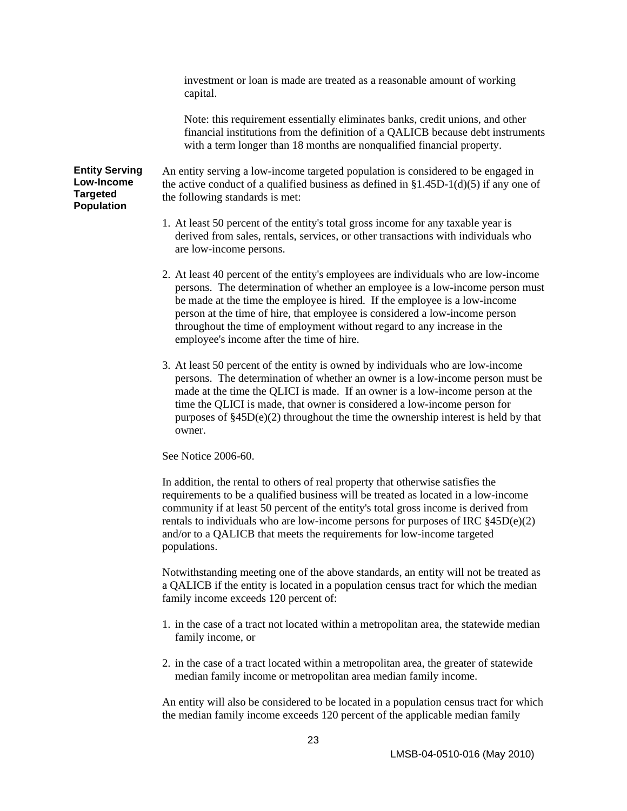investment or loan is made are treated as a reasonable amount of working capital.

Note: this requirement essentially eliminates banks, credit unions, and other financial institutions from the definition of a QALICB because debt instruments with a term longer than 18 months are nonqualified financial property.

#### **Entity Serving Low-Income Targeted Population**

An entity serving a low-income targeted population is considered to be engaged in the active conduct of a qualified business as defined in  $$1.45D-1(d)(5)$  if any one of the following standards is met:

- 1. At least 50 percent of the entity's total gross income for any taxable year is derived from sales, rentals, services, or other transactions with individuals who are low-income persons.
- 2. At least 40 percent of the entity's employees are individuals who are low-income persons. The determination of whether an employee is a low-income person must be made at the time the employee is hired. If the employee is a low-income person at the time of hire, that employee is considered a low-income person throughout the time of employment without regard to any increase in the employee's income after the time of hire.
- 3. At least 50 percent of the entity is owned by individuals who are low-income persons. The determination of whether an owner is a low-income person must be made at the time the QLICI is made. If an owner is a low-income person at the time the QLICI is made, that owner is considered a low-income person for purposes of §45D(e)(2) throughout the time the ownership interest is held by that owner.

#### See Notice 2006-60.

In addition, the rental to others of real property that otherwise satisfies the requirements to be a qualified business will be treated as located in a low-income community if at least 50 percent of the entity's total gross income is derived from rentals to individuals who are low-income persons for purposes of IRC  $§45D(e)(2)$ and/or to a QALICB that meets the requirements for low-income targeted populations.

Notwithstanding meeting one of the above standards, an entity will not be treated as a QALICB if the entity is located in a population census tract for which the median family income exceeds 120 percent of:

- 1. in the case of a tract not located within a metropolitan area, the statewide median family income, or
- 2. in the case of a tract located within a metropolitan area, the greater of statewide median family income or metropolitan area median family income.

An entity will also be considered to be located in a population census tract for which the median family income exceeds 120 percent of the applicable median family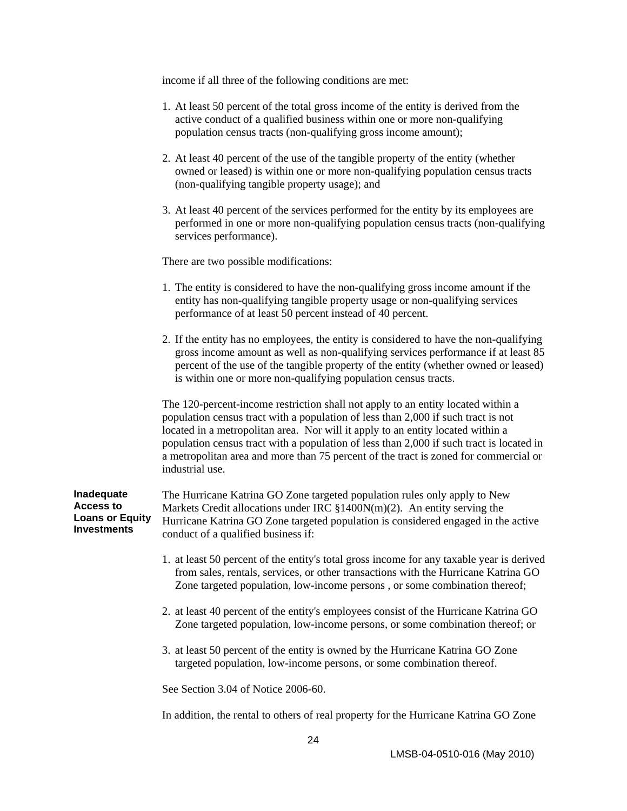income if all three of the following conditions are met:

- 1. At least 50 percent of the total gross income of the entity is derived from the active conduct of a qualified business within one or more non-qualifying population census tracts (non-qualifying gross income amount);
- 2. At least 40 percent of the use of the tangible property of the entity (whether owned or leased) is within one or more non-qualifying population census tracts (non-qualifying tangible property usage); and
- 3. At least 40 percent of the services performed for the entity by its employees are performed in one or more non-qualifying population census tracts (non-qualifying services performance).

There are two possible modifications:

- 1. The entity is considered to have the non-qualifying gross income amount if the entity has non-qualifying tangible property usage or non-qualifying services performance of at least 50 percent instead of 40 percent.
- 2. If the entity has no employees, the entity is considered to have the non-qualifying gross income amount as well as non-qualifying services performance if at least 85 percent of the use of the tangible property of the entity (whether owned or leased) is within one or more non-qualifying population census tracts.

The 120-percent-income restriction shall not apply to an entity located within a population census tract with a population of less than 2,000 if such tract is not located in a metropolitan area. Nor will it apply to an entity located within a population census tract with a population of less than 2,000 if such tract is located in a metropolitan area and more than 75 percent of the tract is zoned for commercial or industrial use.

| Inadequate             | The Hurricane Katrina GO Zone targeted population rules only apply to New         |  |  |  |  |
|------------------------|-----------------------------------------------------------------------------------|--|--|--|--|
| Access to              | Markets Credit allocations under IRC $$1400N(m)(2)$ . An entity serving the       |  |  |  |  |
| <b>Loans or Equity</b> | Hurricane Katrina GO Zone targeted population is considered engaged in the active |  |  |  |  |
| Investments            | conduct of a qualified business if:                                               |  |  |  |  |

- 1. at least 50 percent of the entity's total gross income for any taxable year is derived from sales, rentals, services, or other transactions with the Hurricane Katrina GO Zone targeted population, low-income persons , or some combination thereof;
- 2. at least 40 percent of the entity's employees consist of the Hurricane Katrina GO Zone targeted population, low-income persons, or some combination thereof; or
- 3. at least 50 percent of the entity is owned by the Hurricane Katrina GO Zone targeted population, low-income persons, or some combination thereof.

See Section 3.04 of Notice 2006-60.

In addition, the rental to others of real property for the Hurricane Katrina GO Zone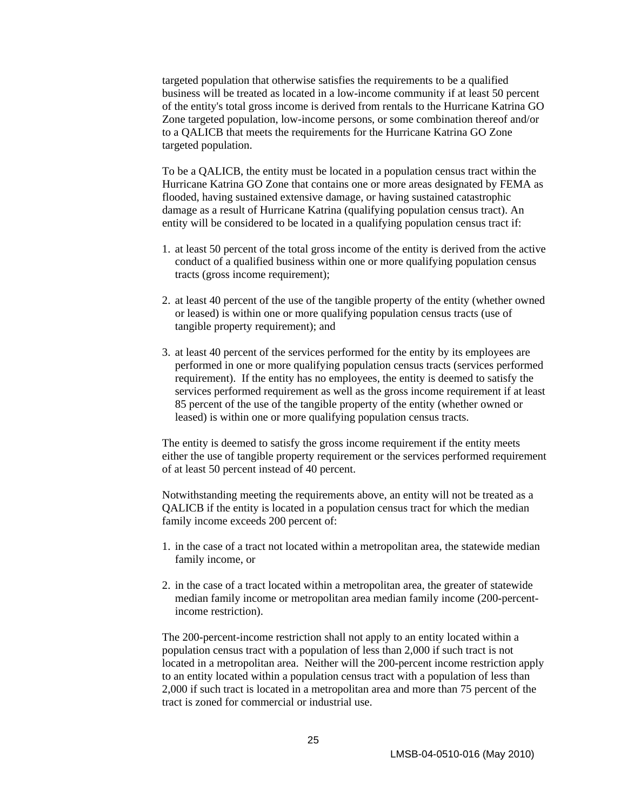targeted population that otherwise satisfies the requirements to be a qualified business will be treated as located in a low-income community if at least 50 percent of the entity's total gross income is derived from rentals to the Hurricane Katrina GO Zone targeted population, low-income persons, or some combination thereof and/or to a QALICB that meets the requirements for the Hurricane Katrina GO Zone targeted population.

To be a QALICB, the entity must be located in a population census tract within the Hurricane Katrina GO Zone that contains one or more areas designated by FEMA as flooded, having sustained extensive damage, or having sustained catastrophic damage as a result of Hurricane Katrina (qualifying population census tract). An entity will be considered to be located in a qualifying population census tract if:

- 1. at least 50 percent of the total gross income of the entity is derived from the active conduct of a qualified business within one or more qualifying population census tracts (gross income requirement);
- 2. at least 40 percent of the use of the tangible property of the entity (whether owned or leased) is within one or more qualifying population census tracts (use of tangible property requirement); and
- 3. at least 40 percent of the services performed for the entity by its employees are performed in one or more qualifying population census tracts (services performed requirement). If the entity has no employees, the entity is deemed to satisfy the services performed requirement as well as the gross income requirement if at least 85 percent of the use of the tangible property of the entity (whether owned or leased) is within one or more qualifying population census tracts.

The entity is deemed to satisfy the gross income requirement if the entity meets either the use of tangible property requirement or the services performed requirement of at least 50 percent instead of 40 percent.

Notwithstanding meeting the requirements above, an entity will not be treated as a QALICB if the entity is located in a population census tract for which the median family income exceeds 200 percent of:

- 1. in the case of a tract not located within a metropolitan area, the statewide median family income, or
- 2. in the case of a tract located within a metropolitan area, the greater of statewide median family income or metropolitan area median family income (200-percentincome restriction).

The 200-percent-income restriction shall not apply to an entity located within a population census tract with a population of less than 2,000 if such tract is not located in a metropolitan area. Neither will the 200-percent income restriction apply to an entity located within a population census tract with a population of less than 2,000 if such tract is located in a metropolitan area and more than 75 percent of the tract is zoned for commercial or industrial use.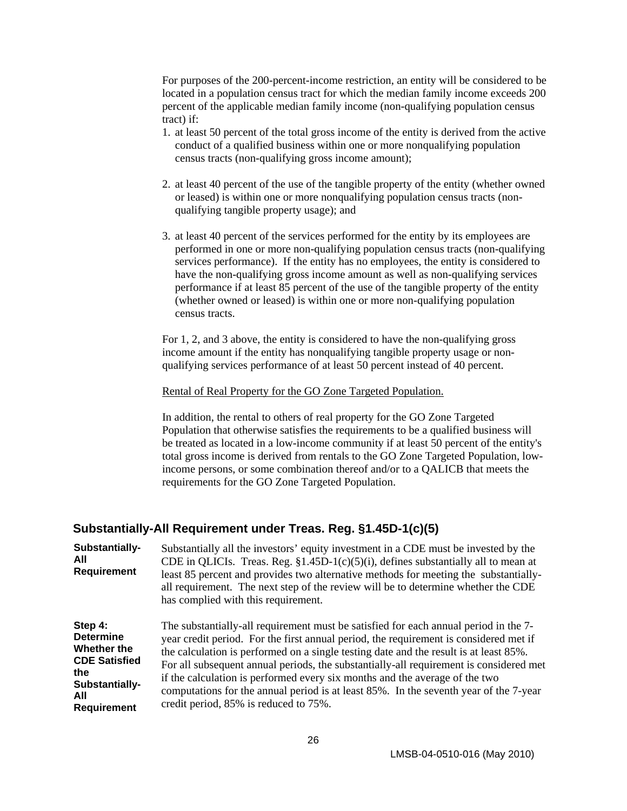<span id="page-30-0"></span>For purposes of the 200-percent-income restriction, an entity will be considered to be located in a population census tract for which the median family income exceeds 200 percent of the applicable median family income (non-qualifying population census tract) if:

- 1. at least 50 percent of the total gross income of the entity is derived from the active conduct of a qualified business within one or more nonqualifying population census tracts (non-qualifying gross income amount);
- 2. at least 40 percent of the use of the tangible property of the entity (whether owned or leased) is within one or more nonqualifying population census tracts (nonqualifying tangible property usage); and
- 3. at least 40 percent of the services performed for the entity by its employees are performed in one or more non-qualifying population census tracts (non-qualifying services performance). If the entity has no employees, the entity is considered to have the non-qualifying gross income amount as well as non-qualifying services performance if at least 85 percent of the use of the tangible property of the entity (whether owned or leased) is within one or more non-qualifying population census tracts.

For 1, 2, and 3 above, the entity is considered to have the non-qualifying gross income amount if the entity has nonqualifying tangible property usage or nonqualifying services performance of at least 50 percent instead of 40 percent.

#### Rental of Real Property for the GO Zone Targeted Population.

In addition, the rental to others of real property for the GO Zone Targeted Population that otherwise satisfies the requirements to be a qualified business will be treated as located in a low-income community if at least 50 percent of the entity's total gross income is derived from rentals to the GO Zone Targeted Population, lowincome persons, or some combination thereof and/or to a QALICB that meets the requirements for the GO Zone Targeted Population.

#### **Substantially-All Requirement under Treas. Reg. §1.45D-1(c)(5)**

**Substantially-All Requirement**  Substantially all the investors' equity investment in a CDE must be invested by the CDE in QLICIs. Treas. Reg.  $$1.45D-1(c)(5)(i)$ , defines substantially all to mean at least 85 percent and provides two alternative methods for meeting the substantiallyall requirement. The next step of the review will be to determine whether the CDE has complied with this requirement.

**Step 4: Determine Whether the CDE Satisfied the Substantially-All Requirement** The substantially-all requirement must be satisfied for each annual period in the 7 year credit period. For the first annual period, the requirement is considered met if the calculation is performed on a single testing date and the result is at least 85%. For all subsequent annual periods, the substantially-all requirement is considered met if the calculation is performed every six months and the average of the two computations for the annual period is at least 85%. In the seventh year of the 7-year credit period, 85% is reduced to 75%.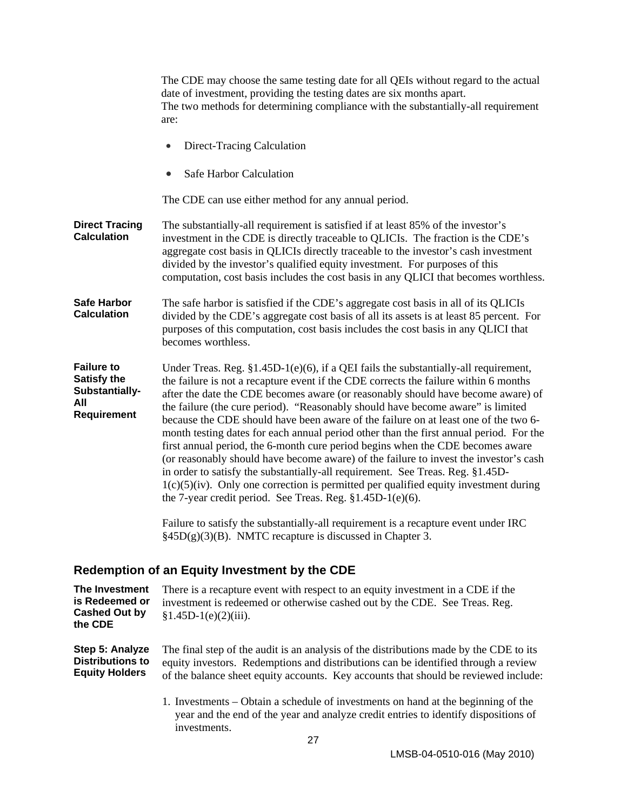<span id="page-31-0"></span>

|                                                                                 | The CDE may choose the same testing date for all QEIs without regard to the actual<br>date of investment, providing the testing dates are six months apart.<br>The two methods for determining compliance with the substantially-all requirement<br>are:                                                                                                                                                                                                                                                                                                                                                                                                                                                                                                                                                                                                                                                                                                                                                                                                                                                              |  |  |
|---------------------------------------------------------------------------------|-----------------------------------------------------------------------------------------------------------------------------------------------------------------------------------------------------------------------------------------------------------------------------------------------------------------------------------------------------------------------------------------------------------------------------------------------------------------------------------------------------------------------------------------------------------------------------------------------------------------------------------------------------------------------------------------------------------------------------------------------------------------------------------------------------------------------------------------------------------------------------------------------------------------------------------------------------------------------------------------------------------------------------------------------------------------------------------------------------------------------|--|--|
|                                                                                 | Direct-Tracing Calculation                                                                                                                                                                                                                                                                                                                                                                                                                                                                                                                                                                                                                                                                                                                                                                                                                                                                                                                                                                                                                                                                                            |  |  |
|                                                                                 | Safe Harbor Calculation                                                                                                                                                                                                                                                                                                                                                                                                                                                                                                                                                                                                                                                                                                                                                                                                                                                                                                                                                                                                                                                                                               |  |  |
|                                                                                 | The CDE can use either method for any annual period.                                                                                                                                                                                                                                                                                                                                                                                                                                                                                                                                                                                                                                                                                                                                                                                                                                                                                                                                                                                                                                                                  |  |  |
| <b>Direct Tracing</b><br><b>Calculation</b>                                     | The substantially-all requirement is satisfied if at least 85% of the investor's<br>investment in the CDE is directly traceable to QLICIs. The fraction is the CDE's<br>aggregate cost basis in QLICIs directly traceable to the investor's cash investment<br>divided by the investor's qualified equity investment. For purposes of this<br>computation, cost basis includes the cost basis in any QLICI that becomes worthless.                                                                                                                                                                                                                                                                                                                                                                                                                                                                                                                                                                                                                                                                                    |  |  |
| Safe Harbor<br><b>Calculation</b>                                               | The safe harbor is satisfied if the CDE's aggregate cost basis in all of its QLICIs<br>divided by the CDE's aggregate cost basis of all its assets is at least 85 percent. For<br>purposes of this computation, cost basis includes the cost basis in any QLICI that<br>becomes worthless.                                                                                                                                                                                                                                                                                                                                                                                                                                                                                                                                                                                                                                                                                                                                                                                                                            |  |  |
| <b>Failure to</b><br><b>Satisfy the</b><br>Substantially-<br>All<br>Requirement | Under Treas. Reg. $$1.45D-1(e)(6)$ , if a QEI fails the substantially-all requirement,<br>the failure is not a recapture event if the CDE corrects the failure within 6 months<br>after the date the CDE becomes aware (or reasonably should have become aware) of<br>the failure (the cure period). "Reasonably should have become aware" is limited<br>because the CDE should have been aware of the failure on at least one of the two 6-<br>month testing dates for each annual period other than the first annual period. For the<br>first annual period, the 6-month cure period begins when the CDE becomes aware<br>(or reasonably should have become aware) of the failure to invest the investor's cash<br>in order to satisfy the substantially-all requirement. See Treas. Reg. §1.45D-<br>$1(c)(5)(iv)$ . Only one correction is permitted per qualified equity investment during<br>the 7-year credit period. See Treas. Reg. $$1.45D-1(e)(6)$ .<br>Failure to satisfy the substantially-all requirement is a recapture event under IRC<br>$\S45D(g)(3)(B)$ . NMTC recapture is discussed in Chapter 3. |  |  |
| Redemption of an Equity Investment by the CDE                                   |                                                                                                                                                                                                                                                                                                                                                                                                                                                                                                                                                                                                                                                                                                                                                                                                                                                                                                                                                                                                                                                                                                                       |  |  |
|                                                                                 |                                                                                                                                                                                                                                                                                                                                                                                                                                                                                                                                                                                                                                                                                                                                                                                                                                                                                                                                                                                                                                                                                                                       |  |  |

| The Investment<br>is Redeemed or<br><b>Cashed Out by</b><br>the CDE | There is a recapture event with respect to an equity investment in a CDE if the<br>investment is redeemed or otherwise cashed out by the CDE. See Treas. Reg.<br>$$1.45D-1(e)(2)(iii)$ .                                                                            |
|---------------------------------------------------------------------|---------------------------------------------------------------------------------------------------------------------------------------------------------------------------------------------------------------------------------------------------------------------|
| Step 5: Analyze<br><b>Distributions to</b><br><b>Equity Holders</b> | The final step of the audit is an analysis of the distributions made by the CDE to its<br>equity investors. Redemptions and distributions can be identified through a review<br>of the balance sheet equity accounts. Key accounts that should be reviewed include: |
|                                                                     | 1. Investments – Obtain a schedule of investments on hand at the beginning of the<br>year and the end of the year and analyze credit entries to identify dispositions of<br>investments.                                                                            |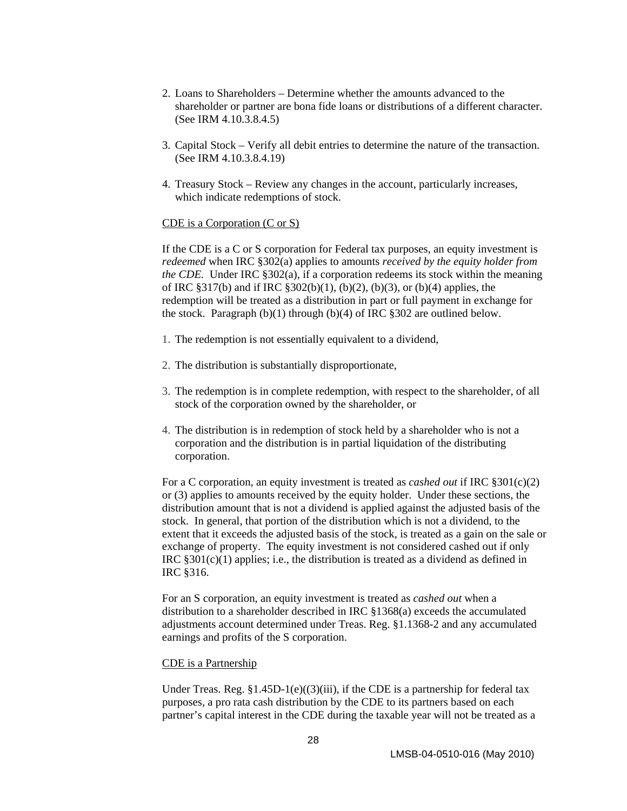- 2. Loans to Shareholders Determine whether the amounts advanced to the shareholder or partner are bona fide loans or distributions of a different character. (See IRM 4.10.3.8.4.5)
- 3. Capital Stock Verify all debit entries to determine the nature of the transaction. (See IRM 4.10.3.8.4.19)
- 4. Treasury Stock Review any changes in the account, particularly increases, which indicate redemptions of stock.

#### CDE is a Corporation (C or S)

If the CDE is a C or S corporation for Federal tax purposes, an equity investment is *redeemed* when IRC §302(a) applies to amounts *received by the equity holder from the CDE.* Under IRC §302(a), if a corporation redeems its stock within the meaning of IRC §317(b) and if IRC §302(b)(1), (b)(2), (b)(3), or (b)(4) applies, the redemption will be treated as a distribution in part or full payment in exchange for the stock. Paragraph  $(b)(1)$  through  $(b)(4)$  of IRC §302 are outlined below.

- 1. The redemption is not essentially equivalent to a dividend,
- 2. The distribution is substantially disproportionate,
- 3. The redemption is in complete redemption, with respect to the shareholder, of all stock of the corporation owned by the shareholder, or
- 4. The distribution is in redemption of stock held by a shareholder who is not a corporation and the distribution is in partial liquidation of the distributing corporation.

For a C corporation, an equity investment is treated as *cashed out* if IRC §301(c)(2) or (3) applies to amounts received by the equity holder. Under these sections, the distribution amount that is not a dividend is applied against the adjusted basis of the stock. In general, that portion of the distribution which is not a dividend, to the extent that it exceeds the adjusted basis of the stock, is treated as a gain on the sale or exchange of property. The equity investment is not considered cashed out if only IRC §301(c)(1) applies; i.e., the distribution is treated as a dividend as defined in IRC §316.

For an S corporation, an equity investment is treated as *cashed out* when a distribution to a shareholder described in IRC §1368(a) exceeds the accumulated adjustments account determined under Treas. Reg. §1.1368-2 and any accumulated earnings and profits of the S corporation.

#### CDE is a Partnership

Under Treas. Reg.  $\S1.45D-1(e)((3)(iii))$ , if the CDE is a partnership for federal tax purposes, a pro rata cash distribution by the CDE to its partners based on each partner's capital interest in the CDE during the taxable year will not be treated as a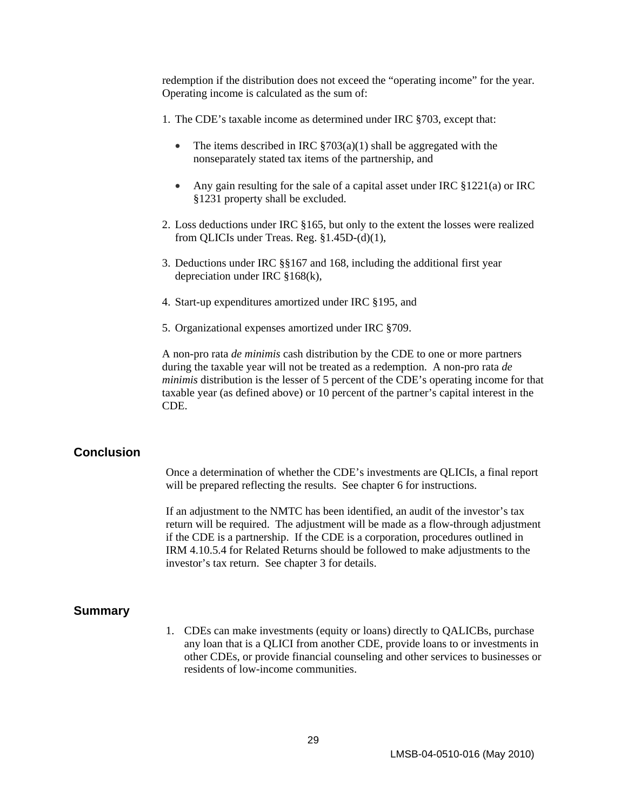<span id="page-33-0"></span>redemption if the distribution does not exceed the "operating income" for the year. Operating income is calculated as the sum of:

- 1. The CDE's taxable income as determined under IRC §703, except that:
	- The items described in IRC  $\S703(a)(1)$  shall be aggregated with the nonseparately stated tax items of the partnership, and
	- Any gain resulting for the sale of a capital asset under IRC §1221(a) or IRC §1231 property shall be excluded.
- 2. Loss deductions under IRC §165, but only to the extent the losses were realized from QLICIs under Treas. Reg. §1.45D-(d)(1),
- 3. Deductions under IRC §§167 and 168, including the additional first year depreciation under IRC §168(k),
- 4. Start-up expenditures amortized under IRC §195, and
- 5. Organizational expenses amortized under IRC §709.

A non-pro rata *de minimis* cash distribution by the CDE to one or more partners during the taxable year will not be treated as a redemption. A non-pro rata *de minimis* distribution is the lesser of 5 percent of the CDE's operating income for that taxable year (as defined above) or 10 percent of the partner's capital interest in the CDE.

#### **Conclusion**

Once a determination of whether the CDE's investments are QLICIs, a final report will be prepared reflecting the results. See chapter 6 for instructions.

If an adjustment to the NMTC has been identified, an audit of the investor's tax return will be required. The adjustment will be made as a flow-through adjustment if the CDE is a partnership. If the CDE is a corporation, procedures outlined in IRM 4.10.5.4 for Related Returns should be followed to make adjustments to the investor's tax return. See chapter 3 for details.

#### **Summary**

1. CDEs can make investments (equity or loans) directly to QALICBs, purchase any loan that is a QLICI from another CDE, provide loans to or investments in other CDEs, or provide financial counseling and other services to businesses or residents of low-income communities.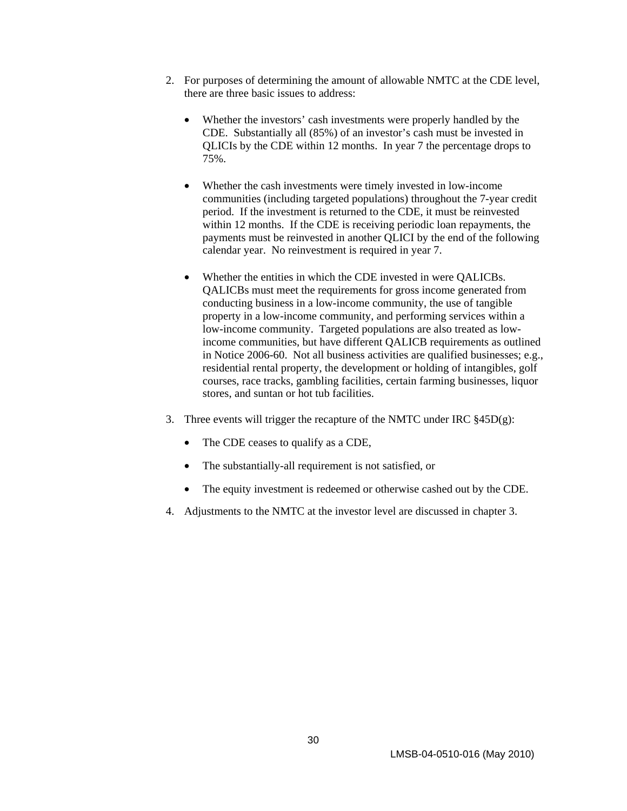- 2. For purposes of determining the amount of allowable NMTC at the CDE level, there are three basic issues to address:
	- Whether the investors' cash investments were properly handled by the CDE. Substantially all (85%) of an investor's cash must be invested in QLICIs by the CDE within 12 months. In year 7 the percentage drops to 75%.
	- Whether the cash investments were timely invested in low-income communities (including targeted populations) throughout the 7-year credit period. If the investment is returned to the CDE, it must be reinvested within 12 months. If the CDE is receiving periodic loan repayments, the payments must be reinvested in another QLICI by the end of the following calendar year. No reinvestment is required in year 7.
	- Whether the entities in which the CDE invested in were QALICBs. QALICBs must meet the requirements for gross income generated from conducting business in a low-income community, the use of tangible property in a low-income community, and performing services within a low-income community. Targeted populations are also treated as lowincome communities, but have different QALICB requirements as outlined in Notice 2006-60. Not all business activities are qualified businesses; e.g., residential rental property, the development or holding of intangibles, golf courses, race tracks, gambling facilities, certain farming businesses, liquor stores, and suntan or hot tub facilities.
- 3. Three events will trigger the recapture of the NMTC under IRC §45D(g):
	- The CDE ceases to qualify as a CDE,
	- The substantially-all requirement is not satisfied, or
	- The equity investment is redeemed or otherwise cashed out by the CDE.
- 4. Adjustments to the NMTC at the investor level are discussed in chapter 3.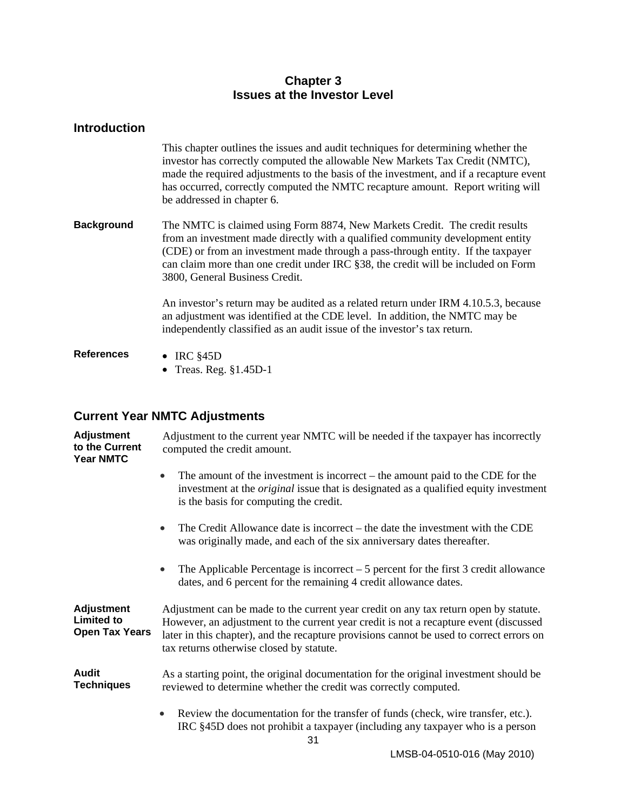### **Chapter 3 Issues at the Investor Level**

<span id="page-35-0"></span>

| <b>Introduction</b> |                                                                                                                                                                                                                                                                                                                                                                              |
|---------------------|------------------------------------------------------------------------------------------------------------------------------------------------------------------------------------------------------------------------------------------------------------------------------------------------------------------------------------------------------------------------------|
|                     | This chapter outlines the issues and audit techniques for determining whether the<br>investor has correctly computed the allowable New Markets Tax Credit (NMTC),<br>made the required adjustments to the basis of the investment, and if a recapture event<br>has occurred, correctly computed the NMTC recapture amount. Report writing will<br>be addressed in chapter 6. |
| <b>Background</b>   | The NMTC is claimed using Form 8874, New Markets Credit. The credit results<br>from an investment made directly with a qualified community development entity<br>(CDE) or from an investment made through a pass-through entity. If the taxpayer<br>can claim more than one credit under IRC §38, the credit will be included on Form<br>3800, General Business Credit.      |
|                     | An investor's return may be audited as a related return under IRM 4.10.5.3, because<br>an adjustment was identified at the CDE level. In addition, the NMTC may be<br>independently classified as an audit issue of the investor's tax return.                                                                                                                               |
| <b>References</b>   | • IRC $§45D$<br>• Treas. Reg. $§1.45D-1$                                                                                                                                                                                                                                                                                                                                     |

# **Current Year NMTC Adjustments**

| <b>Adjustment</b><br>to the Current<br><b>Year NMTC</b>         | Adjustment to the current year NMTC will be needed if the taxpayer has incorrectly<br>computed the credit amount.                                                                                                                                                                                                     |  |  |  |
|-----------------------------------------------------------------|-----------------------------------------------------------------------------------------------------------------------------------------------------------------------------------------------------------------------------------------------------------------------------------------------------------------------|--|--|--|
|                                                                 | The amount of the investment is incorrect – the amount paid to the CDE for the<br>$\bullet$<br>investment at the <i>original</i> issue that is designated as a qualified equity investment<br>is the basis for computing the credit.                                                                                  |  |  |  |
|                                                                 | The Credit Allowance date is incorrect – the date the investment with the CDE<br>was originally made, and each of the six anniversary dates thereafter.                                                                                                                                                               |  |  |  |
|                                                                 | The Applicable Percentage is incorrect $-5$ percent for the first 3 credit allowance<br>$\bullet$<br>dates, and 6 percent for the remaining 4 credit allowance dates.                                                                                                                                                 |  |  |  |
| <b>Adjustment</b><br><b>Limited to</b><br><b>Open Tax Years</b> | Adjustment can be made to the current year credit on any tax return open by statute.<br>However, an adjustment to the current year credit is not a recapture event (discussed<br>later in this chapter), and the recapture provisions cannot be used to correct errors on<br>tax returns otherwise closed by statute. |  |  |  |
| <b>Audit</b><br><b>Techniques</b>                               | As a starting point, the original documentation for the original investment should be<br>reviewed to determine whether the credit was correctly computed.                                                                                                                                                             |  |  |  |
|                                                                 | Review the documentation for the transfer of funds (check, wire transfer, etc.).<br>$\bullet$<br>IRC §45D does not prohibit a taxpayer (including any taxpayer who is a person                                                                                                                                        |  |  |  |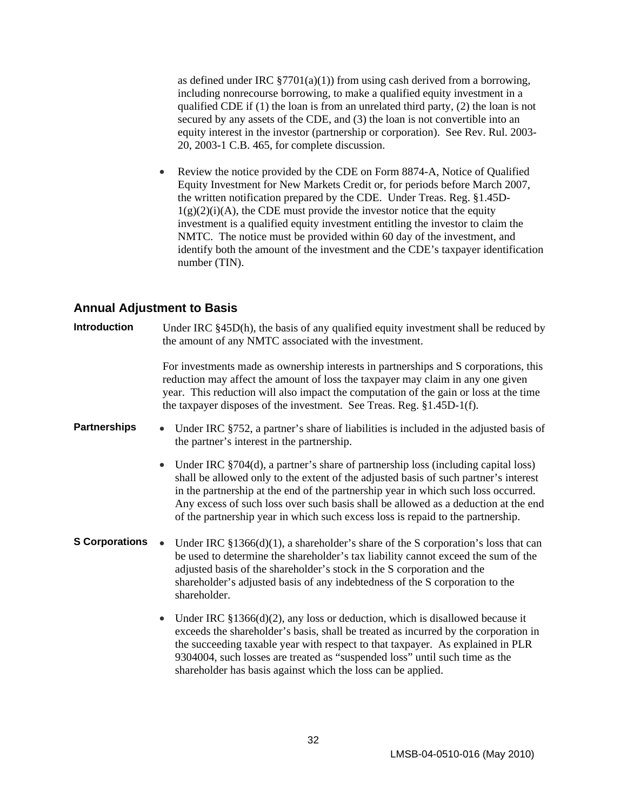<span id="page-36-0"></span>as defined under IRC  $\S7701(a)(1)$  from using cash derived from a borrowing, including nonrecourse borrowing, to make a qualified equity investment in a qualified CDE if (1) the loan is from an unrelated third party, (2) the loan is not secured by any assets of the CDE, and (3) the loan is not convertible into an equity interest in the investor (partnership or corporation). See Rev. Rul. 2003- 20, 2003-1 C.B. 465, for complete discussion.

• Review the notice provided by the CDE on Form 8874-A, Notice of Qualified Equity Investment for New Markets Credit or, for periods before March 2007, the written notification prepared by the CDE. Under Treas. Reg. §1.45D- $1(g)(2)(i)(A)$ , the CDE must provide the investor notice that the equity investment is a qualified equity investment entitling the investor to claim the NMTC. The notice must be provided within 60 day of the investment, and identify both the amount of the investment and the CDE's taxpayer identification number (TIN).

#### **Annual Adjustment to Basis**

| <b>Introduction</b>   | Under IRC §45D(h), the basis of any qualified equity investment shall be reduced by<br>the amount of any NMTC associated with the investment.                                                                                                                                                                                                                                                                                                         |  |  |  |  |
|-----------------------|-------------------------------------------------------------------------------------------------------------------------------------------------------------------------------------------------------------------------------------------------------------------------------------------------------------------------------------------------------------------------------------------------------------------------------------------------------|--|--|--|--|
|                       | For investments made as ownership interests in partnerships and S corporations, this<br>reduction may affect the amount of loss the taxpayer may claim in any one given<br>year. This reduction will also impact the computation of the gain or loss at the time<br>the taxpayer disposes of the investment. See Treas. Reg. §1.45D-1(f).                                                                                                             |  |  |  |  |
| <b>Partnerships</b>   | Under IRC §752, a partner's share of liabilities is included in the adjusted basis of<br>$\bullet$<br>the partner's interest in the partnership.                                                                                                                                                                                                                                                                                                      |  |  |  |  |
|                       | Under IRC §704(d), a partner's share of partnership loss (including capital loss)<br>$\bullet$<br>shall be allowed only to the extent of the adjusted basis of such partner's interest<br>in the partnership at the end of the partnership year in which such loss occurred.<br>Any excess of such loss over such basis shall be allowed as a deduction at the end<br>of the partnership year in which such excess loss is repaid to the partnership. |  |  |  |  |
| <b>S Corporations</b> | Under IRC $\S 1366(d)(1)$ , a shareholder's share of the S corporation's loss that can<br>be used to determine the shareholder's tax liability cannot exceed the sum of the<br>adjusted basis of the shareholder's stock in the S corporation and the<br>shareholder's adjusted basis of any indebtedness of the S corporation to the<br>shareholder.                                                                                                 |  |  |  |  |
|                       | Under IRC $$1366(d)(2)$ , any loss or deduction, which is disallowed because it<br>$\bullet$<br>exceeds the shareholder's basis, shall be treated as incurred by the corporation in<br>the succeeding taxable year with respect to that taxpayer. As explained in PLR<br>9304004, such losses are treated as "suspended loss" until such time as the<br>shareholder has basis against which the loss can be applied.                                  |  |  |  |  |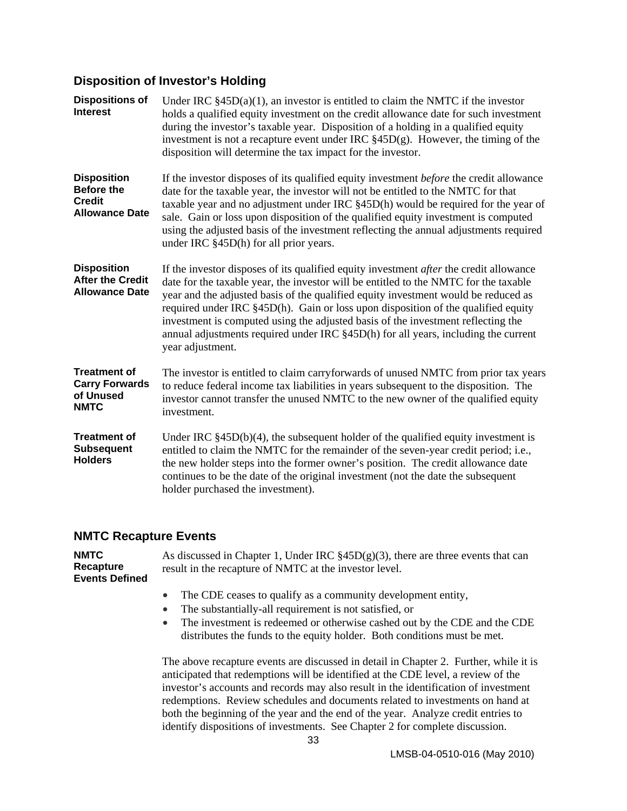# <span id="page-37-0"></span>**Disposition of Investor's Holding**

| <b>Dispositions of</b><br><b>Interest</b>                                         | Under IRC $\S$ 45D(a)(1), an investor is entitled to claim the NMTC if the investor<br>holds a qualified equity investment on the credit allowance date for such investment<br>during the investor's taxable year. Disposition of a holding in a qualified equity<br>investment is not a recapture event under IRC $\S 45D(g)$ . However, the timing of the<br>disposition will determine the tax impact for the investor.                                                                                                                                     |  |  |  |  |
|-----------------------------------------------------------------------------------|----------------------------------------------------------------------------------------------------------------------------------------------------------------------------------------------------------------------------------------------------------------------------------------------------------------------------------------------------------------------------------------------------------------------------------------------------------------------------------------------------------------------------------------------------------------|--|--|--|--|
| <b>Disposition</b><br><b>Before the</b><br><b>Credit</b><br><b>Allowance Date</b> | If the investor disposes of its qualified equity investment <i>before</i> the credit allowance<br>date for the taxable year, the investor will not be entitled to the NMTC for that<br>taxable year and no adjustment under IRC §45D(h) would be required for the year of<br>sale. Gain or loss upon disposition of the qualified equity investment is computed<br>using the adjusted basis of the investment reflecting the annual adjustments required<br>under IRC §45D(h) for all prior years.                                                             |  |  |  |  |
| <b>Disposition</b><br><b>After the Credit</b><br><b>Allowance Date</b>            | If the investor disposes of its qualified equity investment <i>after</i> the credit allowance<br>date for the taxable year, the investor will be entitled to the NMTC for the taxable<br>year and the adjusted basis of the qualified equity investment would be reduced as<br>required under IRC §45D(h). Gain or loss upon disposition of the qualified equity<br>investment is computed using the adjusted basis of the investment reflecting the<br>annual adjustments required under IRC §45D(h) for all years, including the current<br>year adjustment. |  |  |  |  |
| <b>Treatment of</b><br><b>Carry Forwards</b><br>of Unused<br><b>NMTC</b>          | The investor is entitled to claim carryforwards of unused NMTC from prior tax years<br>to reduce federal income tax liabilities in years subsequent to the disposition. The<br>investor cannot transfer the unused NMTC to the new owner of the qualified equity<br>investment.                                                                                                                                                                                                                                                                                |  |  |  |  |
| <b>Treatment of</b><br><b>Subsequent</b><br><b>Holders</b>                        | Under IRC $§45D(b)(4)$ , the subsequent holder of the qualified equity investment is<br>entitled to claim the NMTC for the remainder of the seven-year credit period; i.e.,<br>the new holder steps into the former owner's position. The credit allowance date<br>continues to be the date of the original investment (not the date the subsequent<br>holder purchased the investment).                                                                                                                                                                       |  |  |  |  |

# **NMTC Recapture Events**

| <b>NMTC</b><br>Recapture<br><b>Events Defined</b> | As discussed in Chapter 1, Under IRC $\S 45D(g)(3)$ , there are three events that can<br>result in the recapture of NMTC at the investor level.                            |  |  |  |  |
|---------------------------------------------------|----------------------------------------------------------------------------------------------------------------------------------------------------------------------------|--|--|--|--|
|                                                   | The CDE ceases to qualify as a community development entity,<br>$\bullet$                                                                                                  |  |  |  |  |
|                                                   | The substantially-all requirement is not satisfied, or<br>$\bullet$                                                                                                        |  |  |  |  |
|                                                   | The investment is redeemed or otherwise cashed out by the CDE and the CDE<br>$\bullet$                                                                                     |  |  |  |  |
|                                                   | distributes the funds to the equity holder. Both conditions must be met.                                                                                                   |  |  |  |  |
|                                                   | The above recapture events are discussed in detail in Chapter 2. Further, while it is<br>anticipated that redemptions will be identified at the CDE level, a review of the |  |  |  |  |
|                                                   | investor's accounts and records may also result in the identification of investment                                                                                        |  |  |  |  |
|                                                   | redemptions. Review schedules and documents related to investments on hand at                                                                                              |  |  |  |  |
|                                                   | both the beginning of the year and the end of the year. Analyze credit entries to                                                                                          |  |  |  |  |

identify dispositions of investments. See Chapter 2 for complete discussion.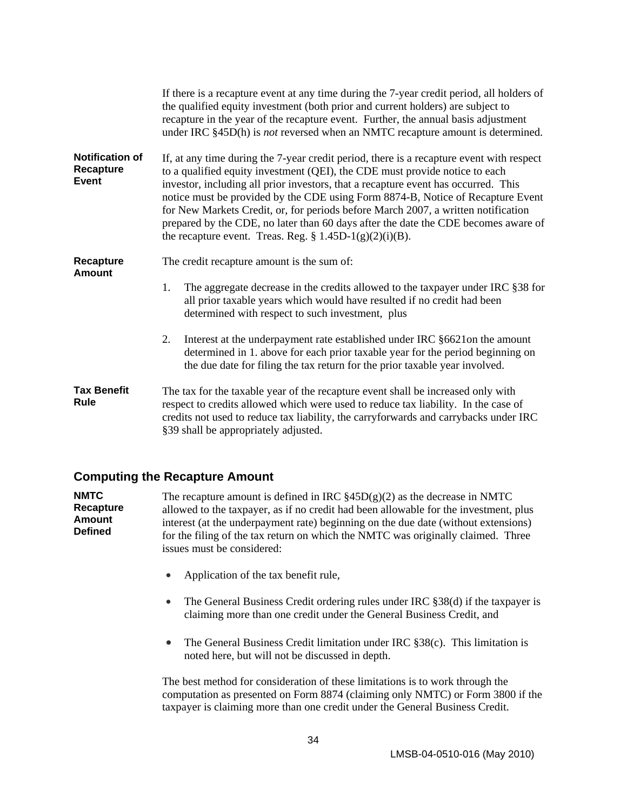<span id="page-38-0"></span>

|                                                     | If there is a recapture event at any time during the 7-year credit period, all holders of<br>the qualified equity investment (both prior and current holders) are subject to<br>recapture in the year of the recapture event. Further, the annual basis adjustment<br>under IRC §45D(h) is <i>not</i> reversed when an NMTC recapture amount is determined.                                                                                                                                                                                                                                |  |  |  |
|-----------------------------------------------------|--------------------------------------------------------------------------------------------------------------------------------------------------------------------------------------------------------------------------------------------------------------------------------------------------------------------------------------------------------------------------------------------------------------------------------------------------------------------------------------------------------------------------------------------------------------------------------------------|--|--|--|
| <b>Notification of</b><br>Recapture<br><b>Event</b> | If, at any time during the 7-year credit period, there is a recapture event with respect<br>to a qualified equity investment (QEI), the CDE must provide notice to each<br>investor, including all prior investors, that a recapture event has occurred. This<br>notice must be provided by the CDE using Form 8874-B, Notice of Recapture Event<br>for New Markets Credit, or, for periods before March 2007, a written notification<br>prepared by the CDE, no later than 60 days after the date the CDE becomes aware of<br>the recapture event. Treas. Reg. $\S 1.45D-1(g)(2)(i)(B)$ . |  |  |  |
| Recapture<br><b>Amount</b>                          | The credit recapture amount is the sum of:                                                                                                                                                                                                                                                                                                                                                                                                                                                                                                                                                 |  |  |  |
|                                                     | The aggregate decrease in the credits allowed to the taxpayer under IRC §38 for<br>1.<br>all prior taxable years which would have resulted if no credit had been<br>determined with respect to such investment, plus                                                                                                                                                                                                                                                                                                                                                                       |  |  |  |
|                                                     | Interest at the underpayment rate established under IRC §6621on the amount<br>2.<br>determined in 1. above for each prior taxable year for the period beginning on<br>the due date for filing the tax return for the prior taxable year involved.                                                                                                                                                                                                                                                                                                                                          |  |  |  |
| <b>Tax Benefit</b><br>Rule                          | The tax for the taxable year of the recapture event shall be increased only with<br>respect to credits allowed which were used to reduce tax liability. In the case of<br>credits not used to reduce tax liability, the carryforwards and carrybacks under IRC<br>§39 shall be appropriately adjusted.                                                                                                                                                                                                                                                                                     |  |  |  |

#### **Computing the Recapture Amount**

**NMTC Recapture Amount Defined**  The recapture amount is defined in IRC  $\S 45D(g)(2)$  as the decrease in NMTC allowed to the taxpayer, as if no credit had been allowable for the investment, plus interest (at the underpayment rate) beginning on the due date (without extensions) for the filing of the tax return on which the NMTC was originally claimed. Three issues must be considered:

- Application of the tax benefit rule,
- The General Business Credit ordering rules under IRC §38(d) if the taxpayer is claiming more than one credit under the General Business Credit, and
- The General Business Credit limitation under IRC §38(c). This limitation is noted here, but will not be discussed in depth.

The best method for consideration of these limitations is to work through the computation as presented on Form 8874 (claiming only NMTC) or Form 3800 if the taxpayer is claiming more than one credit under the General Business Credit.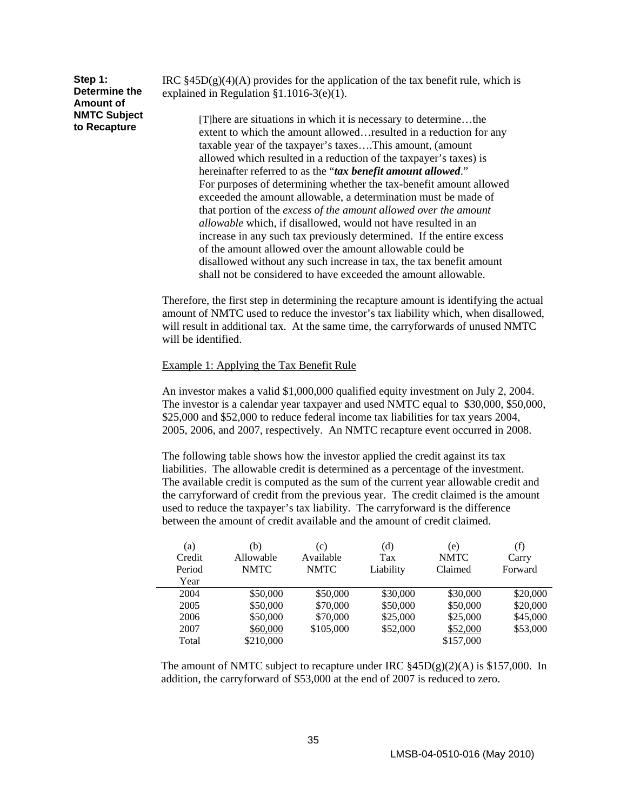| Step 1:             |
|---------------------|
| Determine the       |
| <b>Amount of</b>    |
| <b>NMTC Subject</b> |
| to Recapture        |

IRC  $\S 45D(g)(4)(A)$  provides for the application of the tax benefit rule, which is explained in Regulation §1.1016-3(e)(1).

> [T]here are situations in which it is necessary to determine…the extent to which the amount allowed…resulted in a reduction for any taxable year of the taxpayer's taxes….This amount, (amount allowed which resulted in a reduction of the taxpayer's taxes) is hereinafter referred to as the "*tax benefit amount allowed*." For purposes of determining whether the tax-benefit amount allowed exceeded the amount allowable, a determination must be made of that portion of the *excess of the amount allowed over the amount allowable* which, if disallowed, would not have resulted in an increase in any such tax previously determined. If the entire excess of the amount allowed over the amount allowable could be disallowed without any such increase in tax, the tax benefit amount shall not be considered to have exceeded the amount allowable.

Therefore, the first step in determining the recapture amount is identifying the actual amount of NMTC used to reduce the investor's tax liability which, when disallowed, will result in additional tax. At the same time, the carryforwards of unused NMTC will be identified.

#### Example 1: Applying the Tax Benefit Rule

An investor makes a valid \$1,000,000 qualified equity investment on July 2, 2004. The investor is a calendar year taxpayer and used NMTC equal to \$30,000, \$50,000, \$25,000 and \$52,000 to reduce federal income tax liabilities for tax years 2004, 2005, 2006, and 2007, respectively. An NMTC recapture event occurred in 2008.

The following table shows how the investor applied the credit against its tax liabilities. The allowable credit is determined as a percentage of the investment. The available credit is computed as the sum of the current year allowable credit and the carryforward of credit from the previous year. The credit claimed is the amount used to reduce the taxpayer's tax liability. The carryforward is the difference between the amount of credit available and the amount of credit claimed.

| (a)    | (b)         | (c)         | $\left( d\right)$ | (e)         | (f)      |
|--------|-------------|-------------|-------------------|-------------|----------|
| Credit | Allowable   | Available   | Tax               | <b>NMTC</b> | Carry    |
| Period | <b>NMTC</b> | <b>NMTC</b> | Liability         | Claimed     | Forward  |
| Year   |             |             |                   |             |          |
| 2004   | \$50,000    | \$50,000    | \$30,000          | \$30,000    | \$20,000 |
| 2005   | \$50,000    | \$70,000    | \$50,000          | \$50,000    | \$20,000 |
| 2006   | \$50,000    | \$70,000    | \$25,000          | \$25,000    | \$45,000 |
| 2007   | \$60,000    | \$105,000   | \$52,000          | \$52,000    | \$53,000 |
| Total  | \$210,000   |             |                   | \$157,000   |          |

The amount of NMTC subject to recapture under IRC  $\S 45D(g)(2)(A)$  is \$157,000. In addition, the carryforward of \$53,000 at the end of 2007 is reduced to zero.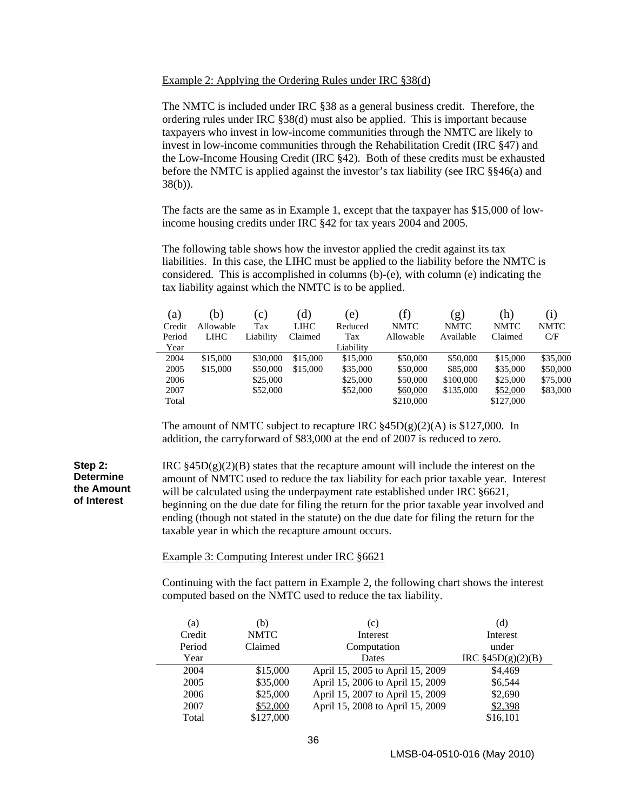#### Example 2: Applying the Ordering Rules under IRC §38(d)

The NMTC is included under IRC §38 as a general business credit. Therefore, the ordering rules under IRC §38(d) must also be applied. This is important because taxpayers who invest in low-income communities through the NMTC are likely to invest in low-income communities through the Rehabilitation Credit (IRC §47) and the Low-Income Housing Credit (IRC §42). Both of these credits must be exhausted before the NMTC is applied against the investor's tax liability (see IRC §§46(a) and 38(b)).

The facts are the same as in Example 1, except that the taxpayer has \$15,000 of lowincome housing credits under IRC §42 for tax years 2004 and 2005.

The following table shows how the investor applied the credit against its tax liabilities. In this case, the LIHC must be applied to the liability before the NMTC is considered. This is accomplished in columns (b)-(e), with column (e) indicating the tax liability against which the NMTC is to be applied.

| (a)    | (b)         | (c)       | (d)      | (e)       | (f)         | (g)         | (h)         | $\left( 1\right)$ |
|--------|-------------|-----------|----------|-----------|-------------|-------------|-------------|-------------------|
| Credit | Allowable   | Tax       | LIHC     | Reduced   | <b>NMTC</b> | <b>NMTC</b> | <b>NMTC</b> | <b>NMTC</b>       |
| Period | <b>LIHC</b> | Liability | Claimed  | Tax       | Allowable   | Available   | Claimed     | C/F               |
| Year   |             |           |          | Liability |             |             |             |                   |
| 2004   | \$15,000    | \$30,000  | \$15,000 | \$15,000  | \$50,000    | \$50,000    | \$15,000    | \$35,000          |
| 2005   | \$15,000    | \$50,000  | \$15,000 | \$35,000  | \$50,000    | \$85,000    | \$35,000    | \$50,000          |
| 2006   |             | \$25,000  |          | \$25,000  | \$50,000    | \$100,000   | \$25,000    | \$75,000          |
| 2007   |             | \$52,000  |          | \$52,000  | \$60,000    | \$135,000   | \$52,000    | \$83,000          |
| Total  |             |           |          |           | \$210,000   |             | \$127,000   |                   |

The amount of NMTC subject to recapture IRC  $\frac{245D(g)(2)(A)}{2545D(g)(2)(A)}$  is \$127,000. In addition, the carryforward of \$83,000 at the end of 2007 is reduced to zero.

**Step 2: Determine the Amount of Interest**  IRC  $\S 45D(g)(2)(B)$  states that the recapture amount will include the interest on the amount of NMTC used to reduce the tax liability for each prior taxable year. Interest will be calculated using the underpayment rate established under IRC §6621, beginning on the due date for filing the return for the prior taxable year involved and ending (though not stated in the statute) on the due date for filing the return for the taxable year in which the recapture amount occurs.

#### Example 3: Computing Interest under IRC §6621

Continuing with the fact pattern in Example 2, the following chart shows the interest computed based on the NMTC used to reduce the tax liability.

| (a)    | (b)         | (c)                              | (d)                   |
|--------|-------------|----------------------------------|-----------------------|
| Credit | <b>NMTC</b> | Interest                         | Interest              |
| Period | Claimed     | Computation                      | under                 |
| Year   |             | Dates                            | $IRC \S 45D(g)(2)(B)$ |
| 2004   | \$15,000    | April 15, 2005 to April 15, 2009 | \$4,469               |
| 2005   | \$35,000    | April 15, 2006 to April 15, 2009 | \$6.544               |
| 2006   | \$25,000    | April 15, 2007 to April 15, 2009 | \$2,690               |
| 2007   | \$52,000    | April 15, 2008 to April 15, 2009 | \$2,398               |
| Total  | \$127,000   |                                  | \$16,101              |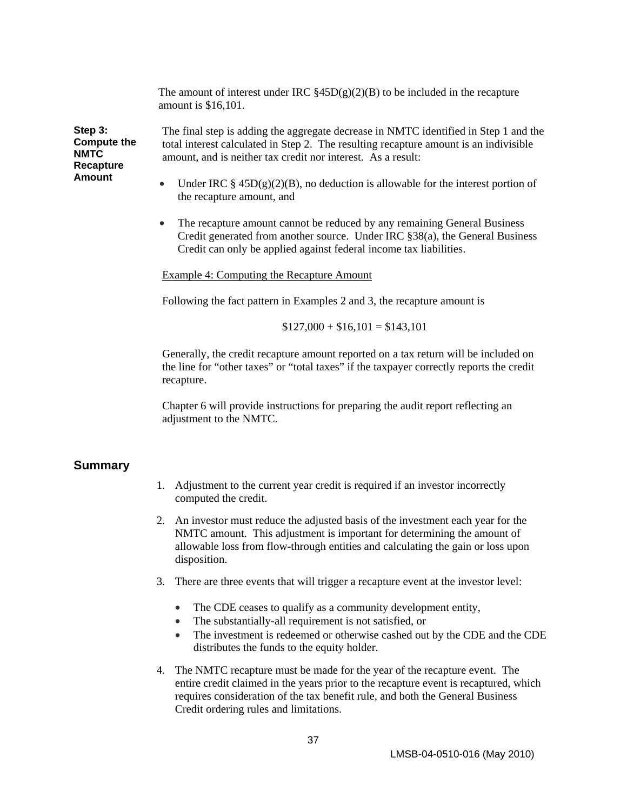The amount of interest under IRC  $\S 45D(g)(2)(B)$  to be included in the recapture amount is \$16,101.

<span id="page-41-0"></span>**Step 3: Compute the NMTC Recapture Amount** 

The final step is adding the aggregate decrease in NMTC identified in Step 1 and the total interest calculated in Step 2. The resulting recapture amount is an indivisible amount, and is neither tax credit nor interest. As a result:

- Under IRC  $\S$  45D(g)(2)(B), no deduction is allowable for the interest portion of the recapture amount, and
- The recapture amount cannot be reduced by any remaining General Business Credit generated from another source. Under IRC §38(a), the General Business Credit can only be applied against federal income tax liabilities.

Example 4: Computing the Recapture Amount

Following the fact pattern in Examples 2 and 3, the recapture amount is

 $$127,000 + $16,101 = $143,101$ 

Generally, the credit recapture amount reported on a tax return will be included on the line for "other taxes" or "total taxes" if the taxpayer correctly reports the credit recapture.

Chapter 6 will provide instructions for preparing the audit report reflecting an adjustment to the NMTC.

#### **Summary**

- 1. Adjustment to the current year credit is required if an investor incorrectly computed the credit.
- 2. An investor must reduce the adjusted basis of the investment each year for the NMTC amount. This adjustment is important for determining the amount of allowable loss from flow-through entities and calculating the gain or loss upon disposition.
- 3. There are three events that will trigger a recapture event at the investor level:
	- The CDE ceases to qualify as a community development entity,
	- The substantially-all requirement is not satisfied, or
	- The investment is redeemed or otherwise cashed out by the CDE and the CDE distributes the funds to the equity holder.
- 4. The NMTC recapture must be made for the year of the recapture event. The entire credit claimed in the years prior to the recapture event is recaptured, which requires consideration of the tax benefit rule, and both the General Business Credit ordering rules and limitations.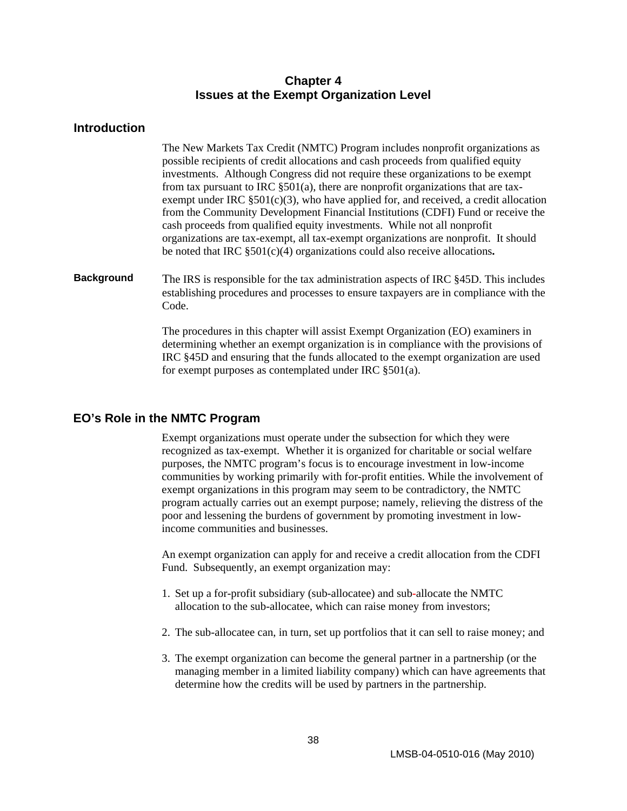#### **Chapter 4 Issues at the Exempt Organization Level**

#### <span id="page-42-0"></span>**Introduction**

The New Markets Tax Credit (NMTC) Program includes nonprofit organizations as possible recipients of credit allocations and cash proceeds from qualified equity investments. Although Congress did not require these organizations to be exempt from tax pursuant to IRC §501(a), there are nonprofit organizations that are taxexempt under IRC  $\S501(c)(3)$ , who have applied for, and received, a credit allocation from the Community Development Financial Institutions (CDFI) Fund or receive the cash proceeds from qualified equity investments. While not all nonprofit organizations are tax-exempt, all tax-exempt organizations are nonprofit. It should be noted that IRC §501(c)(4) organizations could also receive allocations**.** 

**Background** The IRS is responsible for the tax administration aspects of IRC §45D. This includes establishing procedures and processes to ensure taxpayers are in compliance with the Code.

> The procedures in this chapter will assist Exempt Organization (EO) examiners in determining whether an exempt organization is in compliance with the provisions of IRC §45D and ensuring that the funds allocated to the exempt organization are used for exempt purposes as contemplated under IRC §501(a).

#### **EO's Role in the NMTC Program**

Exempt organizations must operate under the subsection for which they were recognized as tax-exempt. Whether it is organized for charitable or social welfare purposes, the NMTC program's focus is to encourage investment in low-income communities by working primarily with for-profit entities. While the involvement of exempt organizations in this program may seem to be contradictory, the NMTC program actually carries out an exempt purpose; namely, relieving the distress of the poor and lessening the burdens of government by promoting investment in lowincome communities and businesses.

An exempt organization can apply for and receive a credit allocation from the CDFI Fund. Subsequently, an exempt organization may:

- 1. Set up a for-profit subsidiary (sub-allocatee) and sub**-**allocate the NMTC allocation to the sub-allocatee, which can raise money from investors;
- 2. The sub-allocatee can, in turn, set up portfolios that it can sell to raise money; and
- 3. The exempt organization can become the general partner in a partnership (or the managing member in a limited liability company) which can have agreements that determine how the credits will be used by partners in the partnership.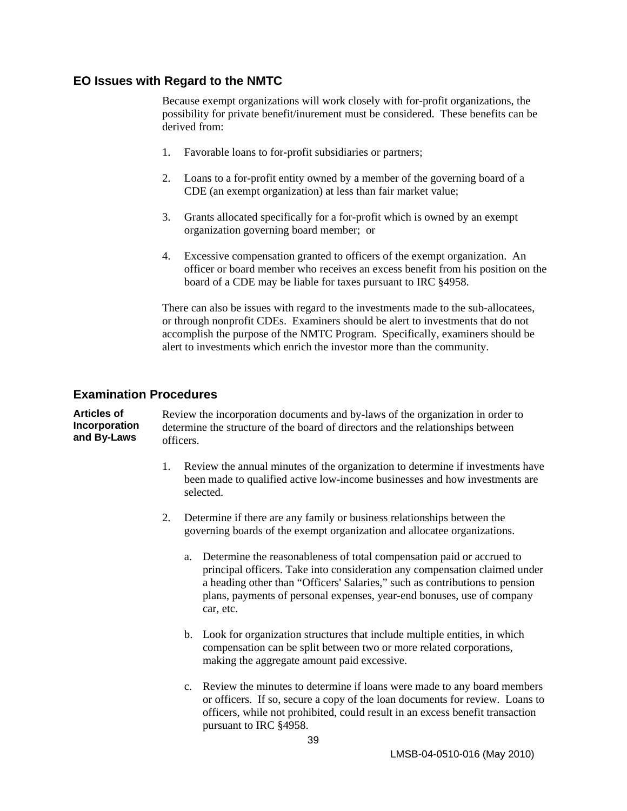#### <span id="page-43-0"></span>**EO Issues with Regard to the NMTC**

Because exempt organizations will work closely with for-profit organizations, the possibility for private benefit/inurement must be considered. These benefits can be derived from:

- 1. Favorable loans to for-profit subsidiaries or partners;
- 2. Loans to a for-profit entity owned by a member of the governing board of a CDE (an exempt organization) at less than fair market value;
- 3. Grants allocated specifically for a for-profit which is owned by an exempt organization governing board member; or
- 4. Excessive compensation granted to officers of the exempt organization. An officer or board member who receives an excess benefit from his position on the board of a CDE may be liable for taxes pursuant to IRC §4958.

There can also be issues with regard to the investments made to the sub-allocatees, or through nonprofit CDEs. Examiners should be alert to investments that do not accomplish the purpose of the NMTC Program. Specifically, examiners should be alert to investments which enrich the investor more than the community.

#### **Examination Procedures**

**Articles of Incorporation and By-Laws**  Review the incorporation documents and by-laws of the organization in order to determine the structure of the board of directors and the relationships between officers.

- 1. Review the annual minutes of the organization to determine if investments have been made to qualified active low-income businesses and how investments are selected.
- 2. Determine if there are any family or business relationships between the governing boards of the exempt organization and allocatee organizations.
	- a. Determine the reasonableness of total compensation paid or accrued to principal officers. Take into consideration any compensation claimed under a heading other than "Officers' Salaries," such as contributions to pension plans, payments of personal expenses, year-end bonuses, use of company car, etc.
	- b. Look for organization structures that include multiple entities, in which compensation can be split between two or more related corporations, making the aggregate amount paid excessive.
	- c. Review the minutes to determine if loans were made to any board members or officers. If so, secure a copy of the loan documents for review. Loans to officers, while not prohibited, could result in an excess benefit transaction pursuant to IRC §4958.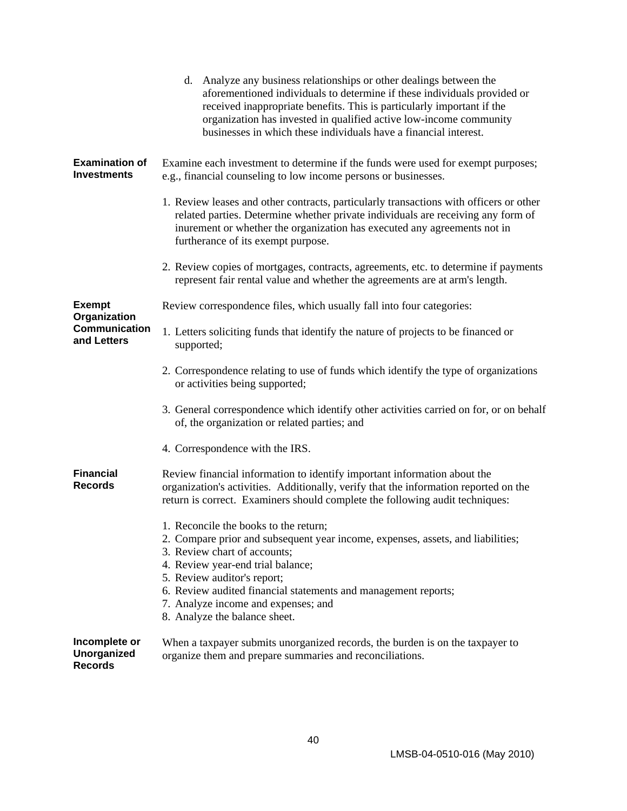|                                                       | d. Analyze any business relationships or other dealings between the<br>aforementioned individuals to determine if these individuals provided or<br>received inappropriate benefits. This is particularly important if the<br>organization has invested in qualified active low-income community<br>businesses in which these individuals have a financial interest.    |  |  |  |  |
|-------------------------------------------------------|------------------------------------------------------------------------------------------------------------------------------------------------------------------------------------------------------------------------------------------------------------------------------------------------------------------------------------------------------------------------|--|--|--|--|
| <b>Examination of</b><br><b>Investments</b>           | Examine each investment to determine if the funds were used for exempt purposes;<br>e.g., financial counseling to low income persons or businesses.                                                                                                                                                                                                                    |  |  |  |  |
|                                                       | 1. Review leases and other contracts, particularly transactions with officers or other<br>related parties. Determine whether private individuals are receiving any form of<br>inurement or whether the organization has executed any agreements not in<br>furtherance of its exempt purpose.                                                                           |  |  |  |  |
|                                                       | 2. Review copies of mortgages, contracts, agreements, etc. to determine if payments<br>represent fair rental value and whether the agreements are at arm's length.                                                                                                                                                                                                     |  |  |  |  |
| <b>Exempt</b>                                         | Review correspondence files, which usually fall into four categories:                                                                                                                                                                                                                                                                                                  |  |  |  |  |
| Organization<br><b>Communication</b><br>and Letters   | 1. Letters soliciting funds that identify the nature of projects to be financed or<br>supported;                                                                                                                                                                                                                                                                       |  |  |  |  |
|                                                       | 2. Correspondence relating to use of funds which identify the type of organizations<br>or activities being supported;                                                                                                                                                                                                                                                  |  |  |  |  |
|                                                       | 3. General correspondence which identify other activities carried on for, or on behalf<br>of, the organization or related parties; and                                                                                                                                                                                                                                 |  |  |  |  |
|                                                       | 4. Correspondence with the IRS.                                                                                                                                                                                                                                                                                                                                        |  |  |  |  |
| <b>Financial</b><br><b>Records</b>                    | Review financial information to identify important information about the<br>organization's activities. Additionally, verify that the information reported on the<br>return is correct. Examiners should complete the following audit techniques:                                                                                                                       |  |  |  |  |
|                                                       | 1. Reconcile the books to the return;<br>2. Compare prior and subsequent year income, expenses, assets, and liabilities;<br>3. Review chart of accounts;<br>4. Review year-end trial balance;<br>5. Review auditor's report;<br>6. Review audited financial statements and management reports;<br>7. Analyze income and expenses; and<br>8. Analyze the balance sheet. |  |  |  |  |
| Incomplete or<br><b>Unorganized</b><br><b>Records</b> | When a taxpayer submits unorganized records, the burden is on the taxpayer to<br>organize them and prepare summaries and reconciliations.                                                                                                                                                                                                                              |  |  |  |  |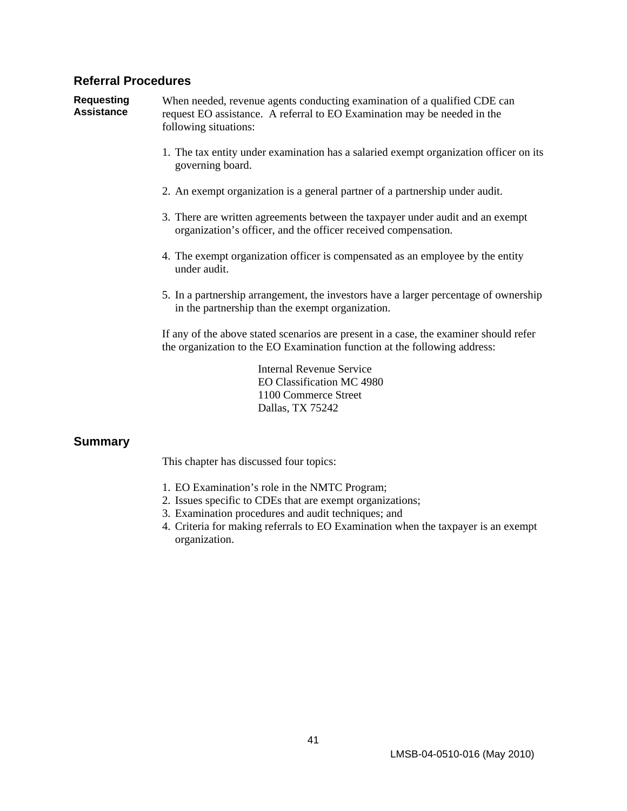#### <span id="page-45-0"></span>**Referral Procedures**

**Requesting Assistance** 

When needed, revenue agents conducting examination of a qualified CDE can request EO assistance. A referral to EO Examination may be needed in the following situations:

- 1. The tax entity under examination has a salaried exempt organization officer on its governing board.
- 2. An exempt organization is a general partner of a partnership under audit.
- 3. There are written agreements between the taxpayer under audit and an exempt organization's officer, and the officer received compensation.
- 4. The exempt organization officer is compensated as an employee by the entity under audit.
- 5. In a partnership arrangement, the investors have a larger percentage of ownership in the partnership than the exempt organization.

If any of the above stated scenarios are present in a case, the examiner should refer the organization to the EO Examination function at the following address:

> Internal Revenue Service EO Classification MC 4980 1100 Commerce Street Dallas, TX 75242

#### **Summary**

This chapter has discussed four topics:

- 1. EO Examination's role in the NMTC Program;
- 2. Issues specific to CDEs that are exempt organizations;
- 3. Examination procedures and audit techniques; and
- 4. Criteria for making referrals to EO Examination when the taxpayer is an exempt organization.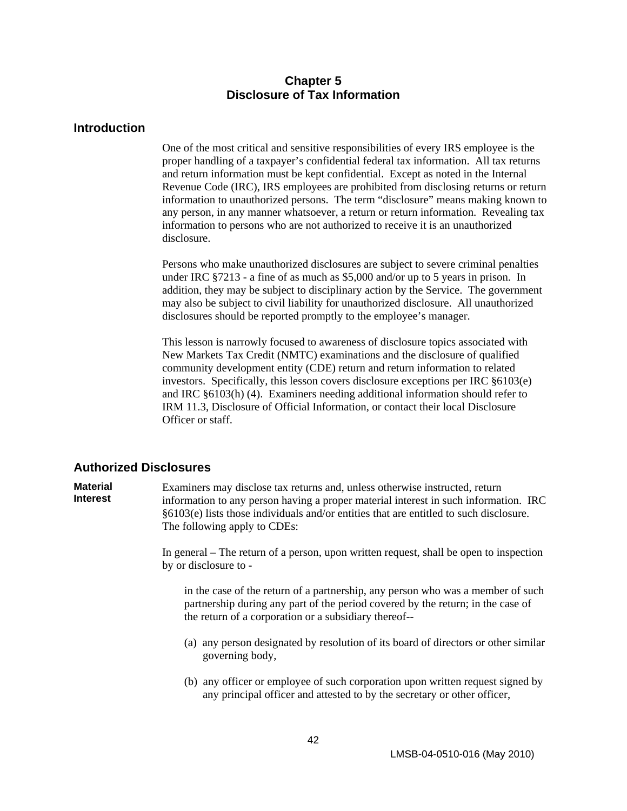#### **Chapter 5 Disclosure of Tax Information**

#### <span id="page-46-0"></span>**Introduction**

One of the most critical and sensitive responsibilities of every IRS employee is the proper handling of a taxpayer's confidential federal tax information. All tax returns and return information must be kept confidential. Except as noted in the Internal Revenue Code (IRC), IRS employees are prohibited from disclosing returns or return information to unauthorized persons. The term "disclosure" means making known to any person, in any manner whatsoever, a return or return information. Revealing tax information to persons who are not authorized to receive it is an unauthorized disclosure.

Persons who make unauthorized disclosures are subject to severe criminal penalties under IRC §7213 - a fine of as much as \$5,000 and/or up to 5 years in prison. In addition, they may be subject to disciplinary action by the Service. The government may also be subject to civil liability for unauthorized disclosure. All unauthorized disclosures should be reported promptly to the employee's manager.

This lesson is narrowly focused to awareness of disclosure topics associated with New Markets Tax Credit (NMTC) examinations and the disclosure of qualified community development entity (CDE) return and return information to related investors. Specifically, this lesson covers disclosure exceptions per IRC §6103(e) and IRC §6103(h) (4). Examiners needing additional information should refer to IRM 11.3, Disclosure of Official Information, or contact their local Disclosure Officer or staff.

#### **Authorized Disclosures**

**Material Interest**  Examiners may disclose tax returns and, unless otherwise instructed, return information to any person having a proper material interest in such information. IRC §6103(e) lists those individuals and/or entities that are entitled to such disclosure. The following apply to CDEs:

> In general – The return of a person, upon written request, shall be open to inspection by or disclosure to -

in the case of the return of a partnership, any person who was a member of such partnership during any part of the period covered by the return; in the case of the return of a corporation or a subsidiary thereof--

- (a) any person designated by resolution of its board of directors or other similar governing body,
- (b) any officer or employee of such corporation upon written request signed by any principal officer and attested to by the secretary or other officer,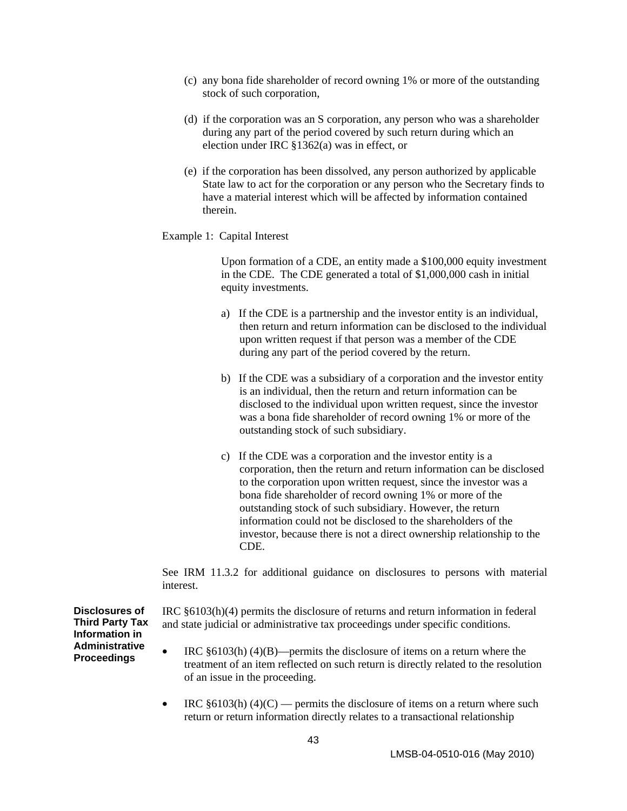- (c) any bona fide shareholder of record owning 1% or more of the outstanding stock of such corporation,
- (d) if the corporation was an S corporation, any person who was a shareholder during any part of the period covered by such return during which an election under IRC §1362(a) was in effect, or
- (e) if the corporation has been dissolved, any person authorized by applicable State law to act for the corporation or any person who the Secretary finds to have a material interest which will be affected by information contained therein.
- Example 1: Capital Interest

Upon formation of a CDE, an entity made a \$100,000 equity investment in the CDE. The CDE generated a total of \$1,000,000 cash in initial equity investments.

- a) If the CDE is a partnership and the investor entity is an individual, then return and return information can be disclosed to the individual upon written request if that person was a member of the CDE during any part of the period covered by the return.
- b) If the CDE was a subsidiary of a corporation and the investor entity is an individual, then the return and return information can be disclosed to the individual upon written request, since the investor was a bona fide shareholder of record owning 1% or more of the outstanding stock of such subsidiary.
- c) If the CDE was a corporation and the investor entity is a corporation, then the return and return information can be disclosed to the corporation upon written request, since the investor was a bona fide shareholder of record owning 1% or more of the outstanding stock of such subsidiary. However, the return information could not be disclosed to the shareholders of the investor, because there is not a direct ownership relationship to the CDE.

See IRM 11.3.2 for additional guidance on disclosures to persons with material interest.

**Disclosures of Third Party Tax Information in Administrative Proceedings**

IRC §6103(h)(4) permits the disclosure of returns and return information in federal and state judicial or administrative tax proceedings under specific conditions.

- IRC  $\S 6103(h)$  (4)(B)—permits the disclosure of items on a return where the treatment of an item reflected on such return is directly related to the resolution of an issue in the proceeding.
- IRC  $§6103(h) (4)(C)$  permits the disclosure of items on a return where such return or return information directly relates to a transactional relationship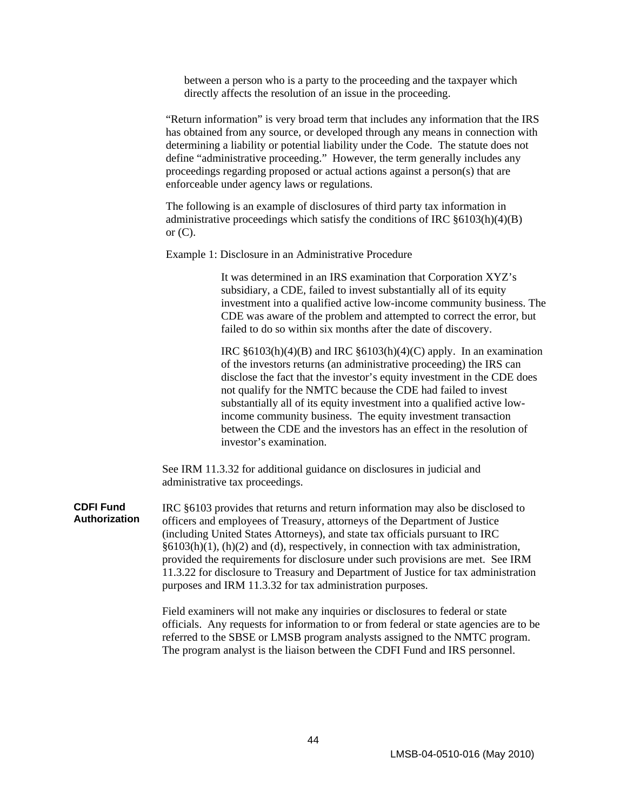between a person who is a party to the proceeding and the taxpayer which directly affects the resolution of an issue in the proceeding.

"Return information" is very broad term that includes any information that the IRS has obtained from any source, or developed through any means in connection with determining a liability or potential liability under the Code. The statute does not define "administrative proceeding." However, the term generally includes any proceedings regarding proposed or actual actions against a person(s) that are enforceable under agency laws or regulations.

The following is an example of disclosures of third party tax information in administrative proceedings which satisfy the conditions of IRC §6103(h)(4)(B) or  $(C)$ .

Example 1: Disclosure in an Administrative Procedure

It was determined in an IRS examination that Corporation XYZ's subsidiary, a CDE, failed to invest substantially all of its equity investment into a qualified active low-income community business. The CDE was aware of the problem and attempted to correct the error, but failed to do so within six months after the date of discovery.

IRC  $\S6103(h)(4)(B)$  and IRC  $\S6103(h)(4)(C)$  apply. In an examination of the investors returns (an administrative proceeding) the IRS can disclose the fact that the investor's equity investment in the CDE does not qualify for the NMTC because the CDE had failed to invest substantially all of its equity investment into a qualified active lowincome community business. The equity investment transaction between the CDE and the investors has an effect in the resolution of investor's examination.

See IRM 11.3.32 for additional guidance on disclosures in judicial and administrative tax proceedings.

**CDFI Fund Authorization** IRC §6103 provides that returns and return information may also be disclosed to officers and employees of Treasury, attorneys of the Department of Justice (including United States Attorneys), and state tax officials pursuant to IRC §6103(h)(1), (h)(2) and (d), respectively, in connection with tax administration, provided the requirements for disclosure under such provisions are met. See IRM 11.3.22 for disclosure to Treasury and Department of Justice for tax administration purposes and IRM 11.3.32 for tax administration purposes.

> Field examiners will not make any inquiries or disclosures to federal or state officials. Any requests for information to or from federal or state agencies are to be referred to the SBSE or LMSB program analysts assigned to the NMTC program. The program analyst is the liaison between the CDFI Fund and IRS personnel.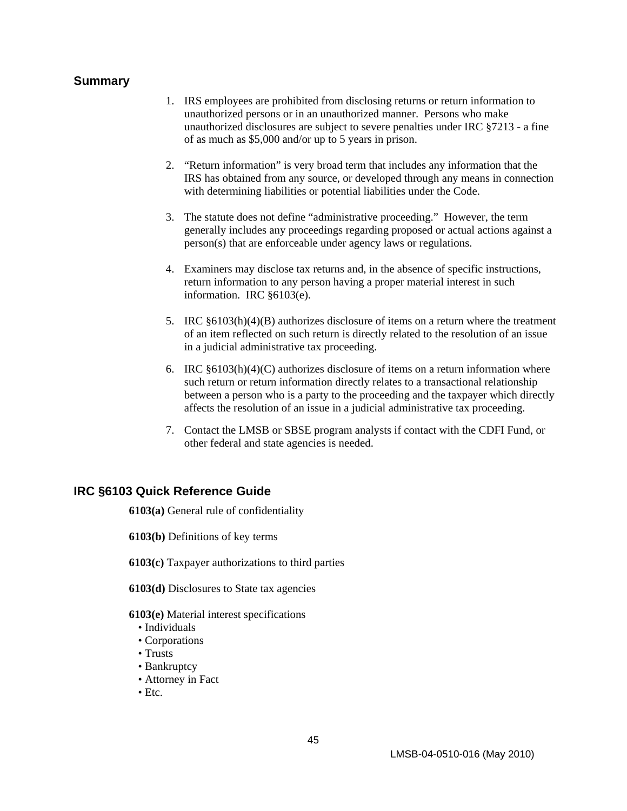#### <span id="page-49-0"></span>**Summary**

- 1. IRS employees are prohibited from disclosing returns or return information to unauthorized persons or in an unauthorized manner. Persons who make unauthorized disclosures are subject to severe penalties under IRC §7213 - a fine of as much as \$5,000 and/or up to 5 years in prison.
- 2. "Return information" is very broad term that includes any information that the IRS has obtained from any source, or developed through any means in connection with determining liabilities or potential liabilities under the Code.
- 3. The statute does not define "administrative proceeding." However, the term generally includes any proceedings regarding proposed or actual actions against a person(s) that are enforceable under agency laws or regulations.
- 4. Examiners may disclose tax returns and, in the absence of specific instructions, return information to any person having a proper material interest in such information. IRC §6103(e).
- 5. IRC §6103(h)(4)(B) authorizes disclosure of items on a return where the treatment of an item reflected on such return is directly related to the resolution of an issue in a judicial administrative tax proceeding.
- 6. IRC  $§6103(h)(4)(C)$  authorizes disclosure of items on a return information where such return or return information directly relates to a transactional relationship between a person who is a party to the proceeding and the taxpayer which directly affects the resolution of an issue in a judicial administrative tax proceeding.
- 7. Contact the LMSB or SBSE program analysts if contact with the CDFI Fund, or other federal and state agencies is needed.

#### **IRC §6103 Quick Reference Guide**

**6103(a)** General rule of confidentiality

**6103(b)** Definitions of key terms

**6103(c)** Taxpayer authorizations to third parties

**6103(d)** Disclosures to State tax agencies

#### **6103(e)** Material interest specifications

- Individuals
- Corporations
- Trusts
- Bankruptcy
- Attorney in Fact
- Etc.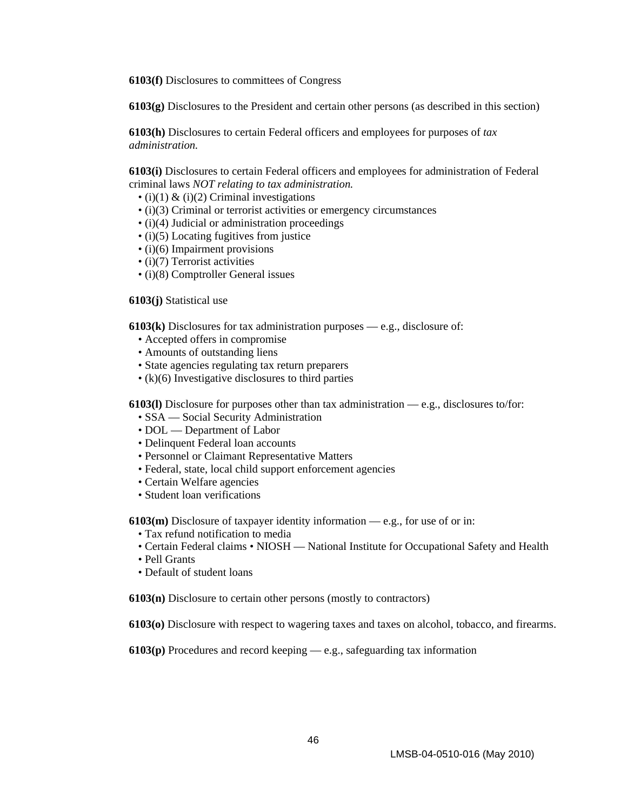**6103(f)** Disclosures to committees of Congress

**6103(g)** Disclosures to the President and certain other persons (as described in this section)

**6103(h)** Disclosures to certain Federal officers and employees for purposes of *tax administration.* 

**6103(i)** Disclosures to certain Federal officers and employees for administration of Federal criminal laws *NOT relating to tax administration.* 

- $\bullet$  (i)(1) & (i)(2) Criminal investigations
- (i)(3) Criminal or terrorist activities or emergency circumstances
- (i)(4) Judicial or administration proceedings
- (i)(5) Locating fugitives from justice
- (i)(6) Impairment provisions
- (i)(7) Terrorist activities
- (i)(8) Comptroller General issues

#### **6103(j)** Statistical use

**6103(k)** Disclosures for tax administration purposes — e.g., disclosure of:

- Accepted offers in compromise
- Amounts of outstanding liens
- State agencies regulating tax return preparers
- (k)(6) Investigative disclosures to third parties

**6103(l)** Disclosure for purposes other than tax administration — e.g., disclosures to/for:

- SSA Social Security Administration
- DOL Department of Labor
- Delinquent Federal loan accounts
- Personnel or Claimant Representative Matters
- Federal, state, local child support enforcement agencies
- Certain Welfare agencies
- Student loan verifications

**6103(m)** Disclosure of taxpayer identity information — e.g., for use of or in:

- Tax refund notification to media
- Certain Federal claims NIOSH National Institute for Occupational Safety and Health
- Pell Grants
- Default of student loans

**6103(n)** Disclosure to certain other persons (mostly to contractors)

**6103(o)** Disclosure with respect to wagering taxes and taxes on alcohol, tobacco, and firearms.

**6103(p)** Procedures and record keeping — e.g., safeguarding tax information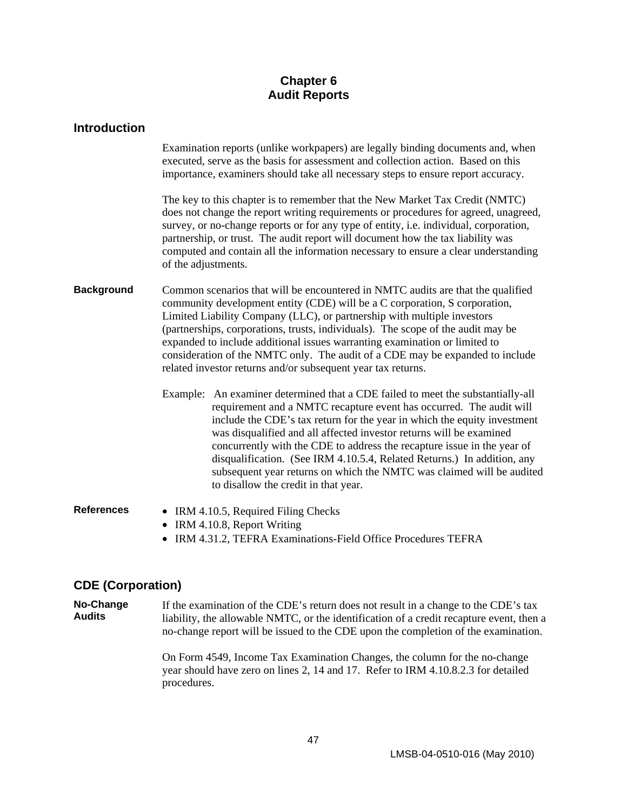## **Chapter 6 Audit Reports**

<span id="page-51-0"></span>

| <b>Introduction</b> |                                                                                                                                                                                                                                                                                                                                                                                                                                                                                                                                                                                  |  |  |  |
|---------------------|----------------------------------------------------------------------------------------------------------------------------------------------------------------------------------------------------------------------------------------------------------------------------------------------------------------------------------------------------------------------------------------------------------------------------------------------------------------------------------------------------------------------------------------------------------------------------------|--|--|--|
|                     | Examination reports (unlike workpapers) are legally binding documents and, when<br>executed, serve as the basis for assessment and collection action. Based on this<br>importance, examiners should take all necessary steps to ensure report accuracy.                                                                                                                                                                                                                                                                                                                          |  |  |  |
|                     | The key to this chapter is to remember that the New Market Tax Credit (NMTC)<br>does not change the report writing requirements or procedures for agreed, unagreed,<br>survey, or no-change reports or for any type of entity, i.e. individual, corporation,<br>partnership, or trust. The audit report will document how the tax liability was<br>computed and contain all the information necessary to ensure a clear understanding<br>of the adjustments.                                                                                                                     |  |  |  |
| <b>Background</b>   | Common scenarios that will be encountered in NMTC audits are that the qualified<br>community development entity (CDE) will be a C corporation, S corporation,<br>Limited Liability Company (LLC), or partnership with multiple investors<br>(partnerships, corporations, trusts, individuals). The scope of the audit may be<br>expanded to include additional issues warranting examination or limited to<br>consideration of the NMTC only. The audit of a CDE may be expanded to include<br>related investor returns and/or subsequent year tax returns.                      |  |  |  |
|                     | Example: An examiner determined that a CDE failed to meet the substantially-all<br>requirement and a NMTC recapture event has occurred. The audit will<br>include the CDE's tax return for the year in which the equity investment<br>was disqualified and all affected investor returns will be examined<br>concurrently with the CDE to address the recapture issue in the year of<br>disqualification. (See IRM 4.10.5.4, Related Returns.) In addition, any<br>subsequent year returns on which the NMTC was claimed will be audited<br>to disallow the credit in that year. |  |  |  |
| <b>References</b>   | • IRM 4.10.5, Required Filing Checks<br>• IRM 4.10.8, Report Writing<br>• IRM 4.31.2, TEFRA Examinations-Field Office Procedures TEFRA                                                                                                                                                                                                                                                                                                                                                                                                                                           |  |  |  |

### **CDE (Corporation)**

**No-Change Audits**  If the examination of the CDE's return does not result in a change to the CDE's tax liability, the allowable NMTC, or the identification of a credit recapture event, then a no-change report will be issued to the CDE upon the completion of the examination.

> On Form 4549, Income Tax Examination Changes, the column for the no-change year should have zero on lines 2, 14 and 17. Refer to IRM 4.10.8.2.3 for detailed procedures.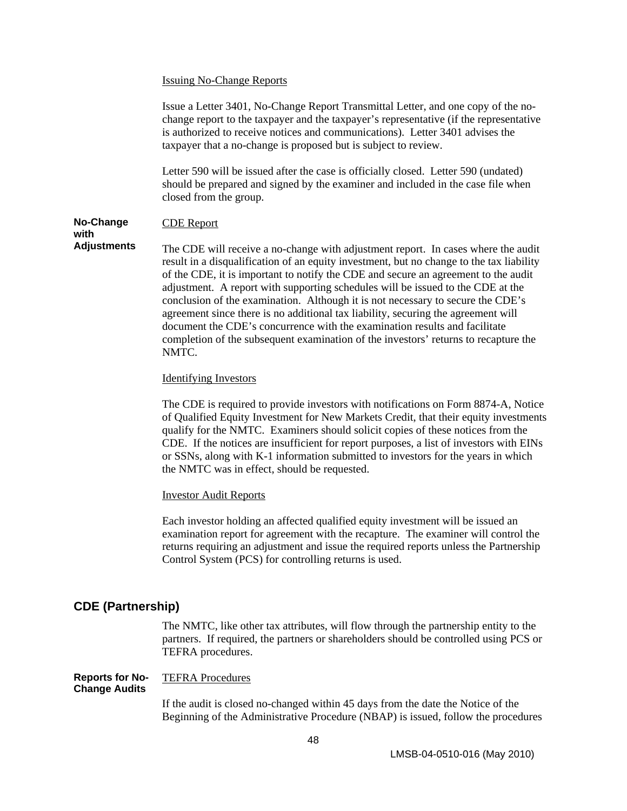#### <span id="page-52-0"></span>Issuing No-Change Reports

Issue a Letter 3401, No-Change Report Transmittal Letter, and one copy of the nochange report to the taxpayer and the taxpayer's representative (if the representative is authorized to receive notices and communications). Letter 3401 advises the taxpayer that a no-change is proposed but is subject to review.

Letter 590 will be issued after the case is officially closed. Letter 590 (undated) should be prepared and signed by the examiner and included in the case file when closed from the group.

#### **No-Change**  CDE Report

**with Adjustments** 

The CDE will receive a no-change with adjustment report. In cases where the audit result in a disqualification of an equity investment, but no change to the tax liability of the CDE, it is important to notify the CDE and secure an agreement to the audit adjustment. A report with supporting schedules will be issued to the CDE at the conclusion of the examination. Although it is not necessary to secure the CDE's agreement since there is no additional tax liability, securing the agreement will document the CDE's concurrence with the examination results and facilitate completion of the subsequent examination of the investors' returns to recapture the NMTC.

#### Identifying Investors

The CDE is required to provide investors with notifications on Form 8874-A, Notice of Qualified Equity Investment for New Markets Credit, that their equity investments qualify for the NMTC. Examiners should solicit copies of these notices from the CDE. If the notices are insufficient for report purposes, a list of investors with EINs or SSNs, along with K-1 information submitted to investors for the years in which the NMTC was in effect, should be requested.

#### Investor Audit Reports

Each investor holding an affected qualified equity investment will be issued an examination report for agreement with the recapture. The examiner will control the returns requiring an adjustment and issue the required reports unless the Partnership Control System (PCS) for controlling returns is used.

#### **CDE (Partnership)**

The NMTC, like other tax attributes, will flow through the partnership entity to the partners. If required, the partners or shareholders should be controlled using PCS or TEFRA procedures.

#### **Reports for No-Change Audits**  TEFRA Procedures

If the audit is closed no-changed within 45 days from the date the Notice of the Beginning of the Administrative Procedure (NBAP) is issued, follow the procedures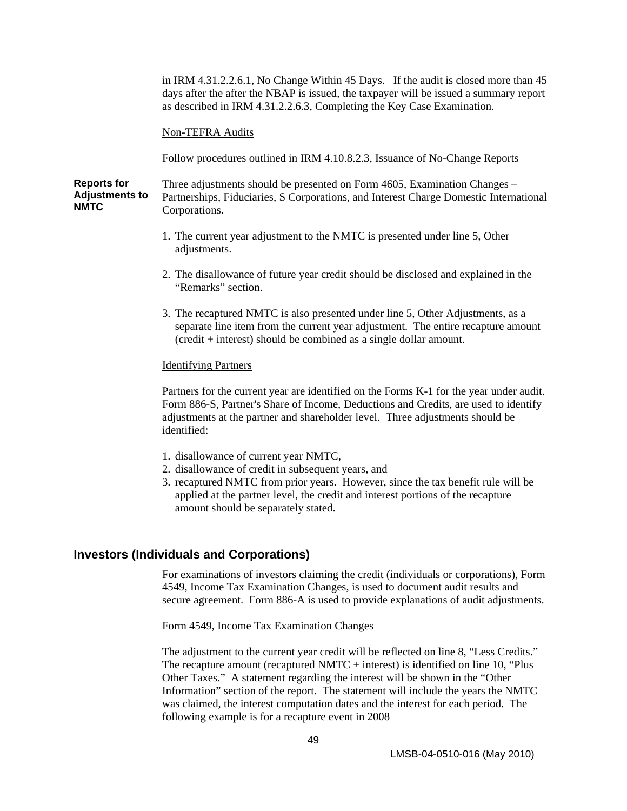<span id="page-53-0"></span>in IRM 4.31.2.2.6.1, No Change Within 45 Days. If the audit is closed more than 45 days after the after the NBAP is issued, the taxpayer will be issued a summary report as described in IRM 4.31.2.2.6.3, Completing the Key Case Examination.

#### Non-TEFRA Audits

Follow procedures outlined in IRM 4.10.8.2.3, Issuance of No-Change Reports

**Reports for Adjustments to NMTC**  Three adjustments should be presented on Form 4605, Examination Changes – Partnerships, Fiduciaries, S Corporations, and Interest Charge Domestic International Corporations.

- 1. The current year adjustment to the NMTC is presented under line 5, Other adjustments.
- 2. The disallowance of future year credit should be disclosed and explained in the "Remarks" section.
- 3. The recaptured NMTC is also presented under line 5, Other Adjustments, as a separate line item from the current year adjustment. The entire recapture amount (credit + interest) should be combined as a single dollar amount.

#### Identifying Partners

Partners for the current year are identified on the Forms K-1 for the year under audit. Form 886-S, Partner's Share of Income, Deductions and Credits, are used to identify adjustments at the partner and shareholder level. Three adjustments should be identified:

- 1. disallowance of current year NMTC,
- 2. disallowance of credit in subsequent years, and
- 3. recaptured NMTC from prior years. However, since the tax benefit rule will be applied at the partner level, the credit and interest portions of the recapture amount should be separately stated.

#### **Investors (Individuals and Corporations)**

For examinations of investors claiming the credit (individuals or corporations), Form 4549, Income Tax Examination Changes, is used to document audit results and secure agreement. Form 886-A is used to provide explanations of audit adjustments.

Form 4549, Income Tax Examination Changes

The adjustment to the current year credit will be reflected on line 8, "Less Credits." The recapture amount (recaptured NMTC  $+$  interest) is identified on line 10, "Plus Other Taxes." A statement regarding the interest will be shown in the "Other Information" section of the report. The statement will include the years the NMTC was claimed, the interest computation dates and the interest for each period. The following example is for a recapture event in 2008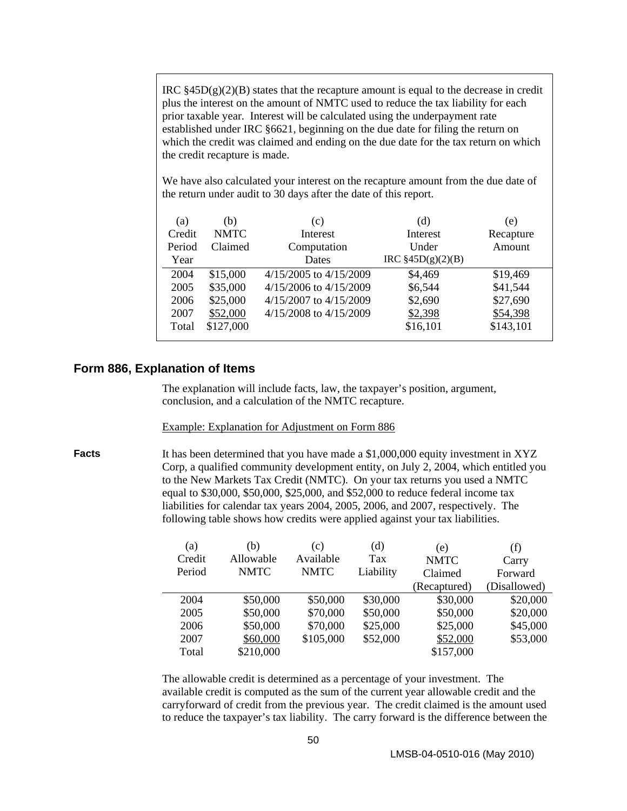<span id="page-54-0"></span>IRC  $§45D(g)(2)(B)$  states that the recapture amount is equal to the decrease in credit plus the interest on the amount of NMTC used to reduce the tax liability for each prior taxable year. Interest will be calculated using the underpayment rate established under IRC §6621, beginning on the due date for filing the return on which the credit was claimed and ending on the due date for the tax return on which the credit recapture is made.

We have also calculated your interest on the recapture amount from the due date of the return under audit to 30 days after the date of this report.

| (a)    | (b)         | (c)                        | (d)                    | (e)       |
|--------|-------------|----------------------------|------------------------|-----------|
| Credit | <b>NMTC</b> | Interest                   | Interest               | Recapture |
| Period | Claimed     | Computation                | Under                  | Amount    |
| Year   |             | Dates                      | $IRC$ §45 $D(g)(2)(B)$ |           |
| 2004   | \$15,000    | $4/15/2005$ to $4/15/2009$ | \$4,469                | \$19,469  |
| 2005   | \$35,000    | $4/15/2006$ to $4/15/2009$ | \$6,544                | \$41,544  |
| 2006   | \$25,000    | 4/15/2007 to 4/15/2009     | \$2,690                | \$27,690  |
| 2007   | \$52,000    | $4/15/2008$ to $4/15/2009$ | \$2,398                | \$54,398  |
| Total  | \$127,000   |                            | \$16,101               | \$143,101 |
|        |             |                            |                        |           |

#### **Form 886, Explanation of Items**

The explanation will include facts, law, the taxpayer's position, argument, conclusion, and a calculation of the NMTC recapture.

#### Example: Explanation for Adjustment on Form 886

**Facts** It has been determined that you have made a \$1,000,000 equity investment in XYZ Corp, a qualified community development entity, on July 2, 2004, which entitled you to the New Markets Tax Credit (NMTC). On your tax returns you used a NMTC equal to \$30,000, \$50,000, \$25,000, and \$52,000 to reduce federal income tax liabilities for calendar tax years 2004, 2005, 2006, and 2007, respectively. The following table shows how credits were applied against your tax liabilities.

| (a)    | (b)         | (c)         | (d)       | (e)          | (f)          |
|--------|-------------|-------------|-----------|--------------|--------------|
| Credit | Allowable   | Available   | Tax       | <b>NMTC</b>  | Carry        |
| Period | <b>NMTC</b> | <b>NMTC</b> | Liability | Claimed      | Forward      |
|        |             |             |           | (Recaptured) | (Disallowed) |
| 2004   | \$50,000    | \$50,000    | \$30,000  | \$30,000     | \$20,000     |
| 2005   | \$50,000    | \$70,000    | \$50,000  | \$50,000     | \$20,000     |
| 2006   | \$50,000    | \$70,000    | \$25,000  | \$25,000     | \$45,000     |
| 2007   | \$60,000    | \$105,000   | \$52,000  | \$52,000     | \$53,000     |
| Total  | \$210,000   |             |           | \$157,000    |              |

The allowable credit is determined as a percentage of your investment. The available credit is computed as the sum of the current year allowable credit and the carryforward of credit from the previous year. The credit claimed is the amount used to reduce the taxpayer's tax liability. The carry forward is the difference between the